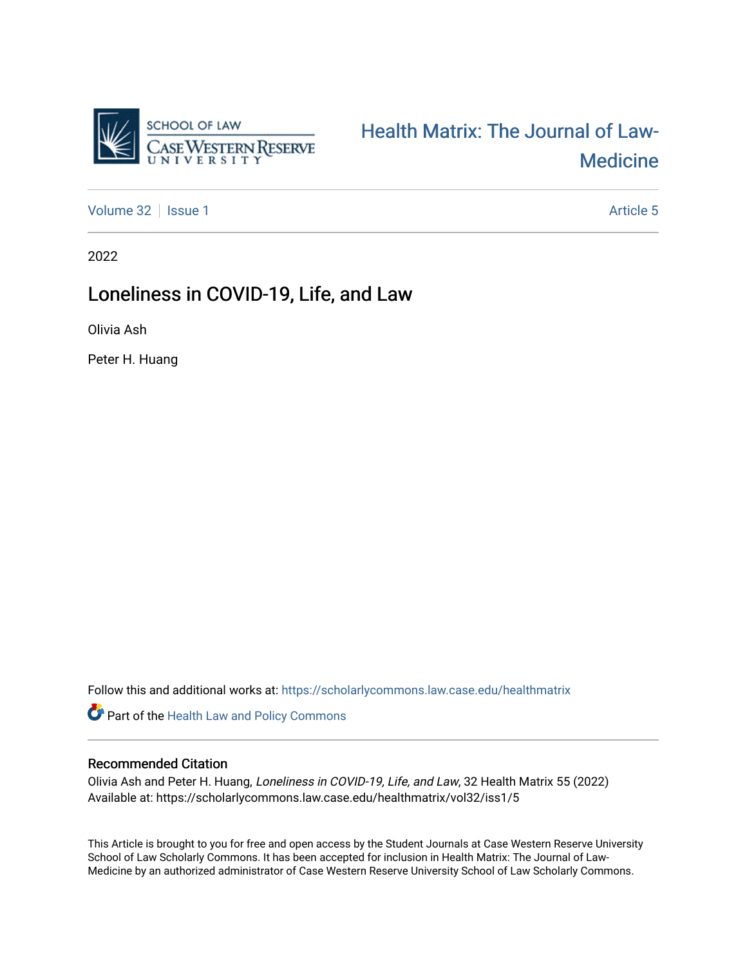

[Health Matrix: The Journal of Law-](https://scholarlycommons.law.case.edu/healthmatrix)**Medicine** 

[Volume 32](https://scholarlycommons.law.case.edu/healthmatrix/vol32) | [Issue 1](https://scholarlycommons.law.case.edu/healthmatrix/vol32/iss1) Article 5

2022

# Loneliness in COVID-19, Life, and Law

Olivia Ash

Peter H. Huang

Follow this and additional works at: [https://scholarlycommons.law.case.edu/healthmatrix](https://scholarlycommons.law.case.edu/healthmatrix?utm_source=scholarlycommons.law.case.edu%2Fhealthmatrix%2Fvol32%2Fiss1%2F5&utm_medium=PDF&utm_campaign=PDFCoverPages) 

Part of the [Health Law and Policy Commons](http://network.bepress.com/hgg/discipline/901?utm_source=scholarlycommons.law.case.edu%2Fhealthmatrix%2Fvol32%2Fiss1%2F5&utm_medium=PDF&utm_campaign=PDFCoverPages) 

# Recommended Citation

Olivia Ash and Peter H. Huang, Loneliness in COVID-19, Life, and Law, 32 Health Matrix 55 (2022) Available at: https://scholarlycommons.law.case.edu/healthmatrix/vol32/iss1/5

This Article is brought to you for free and open access by the Student Journals at Case Western Reserve University School of Law Scholarly Commons. It has been accepted for inclusion in Health Matrix: The Journal of Law-Medicine by an authorized administrator of Case Western Reserve University School of Law Scholarly Commons.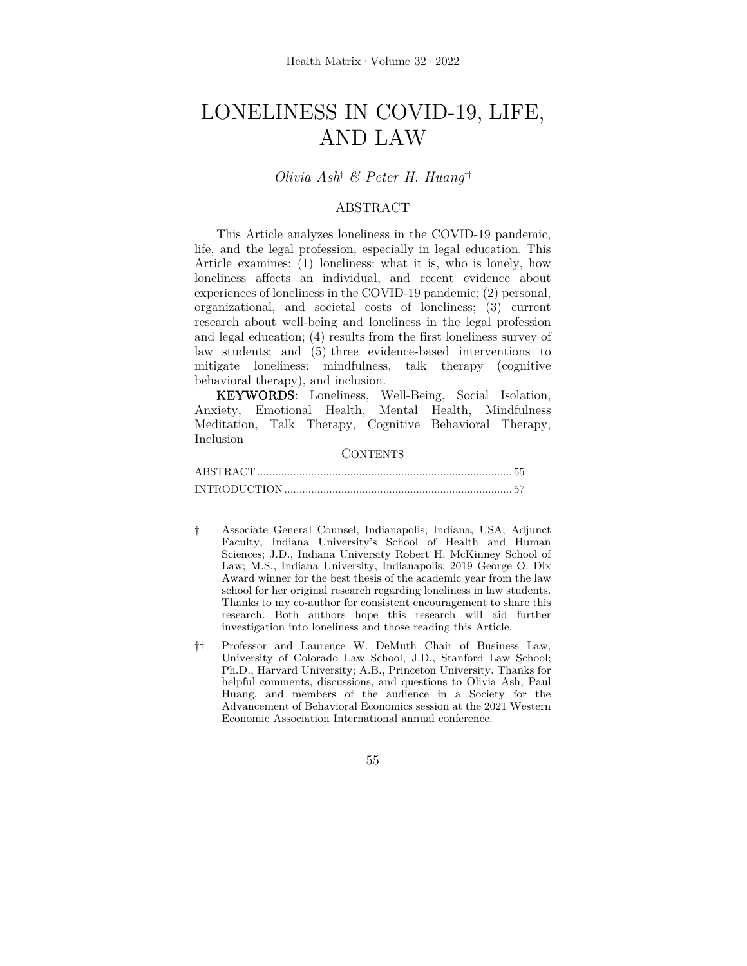# LONELINESS IN COVID-19, LIFE, AND LAW

*Olivia Ash*† *& Peter H. Huang*††

# ABSTRACT

This Article analyzes loneliness in the COVID-19 pandemic, life, and the legal profession, especially in legal education. This Article examines: (1) loneliness: what it is, who is lonely, how loneliness affects an individual, and recent evidence about experiences of loneliness in the COVID-19 pandemic; (2) personal, organizational, and societal costs of loneliness; (3) current research about well-being and loneliness in the legal profession and legal education; (4) results from the first loneliness survey of law students; and (5) three evidence-based interventions to mitigate loneliness: mindfulness, talk therapy (cognitive behavioral therapy), and inclusion.

KEYWORDS: Loneliness, Well-Being, Social Isolation, Anxiety, Emotional Health, Mental Health, Mindfulness Meditation, Talk Therapy, Cognitive Behavioral Therapy, Inclusion

#### **CONTENTS**

<sup>†</sup> Associate General Counsel, Indianapolis, Indiana, USA; Adjunct Faculty, Indiana University's School of Health and Human Sciences; J.D., Indiana University Robert H. McKinney School of Law; M.S., Indiana University, Indianapolis; 2019 George O. Dix Award winner for the best thesis of the academic year from the law school for her original research regarding loneliness in law students. Thanks to my co-author for consistent encouragement to share this research. Both authors hope this research will aid further investigation into loneliness and those reading this Article.

<sup>††</sup> Professor and Laurence W. DeMuth Chair of Business Law, University of Colorado Law School, J.D., Stanford Law School; Ph.D., Harvard University; A.B., Princeton University. Thanks for helpful comments, discussions, and questions to Olivia Ash, Paul Huang, and members of the audience in a Society for the Advancement of Behavioral Economics session at the 2021 Western Economic Association International annual conference.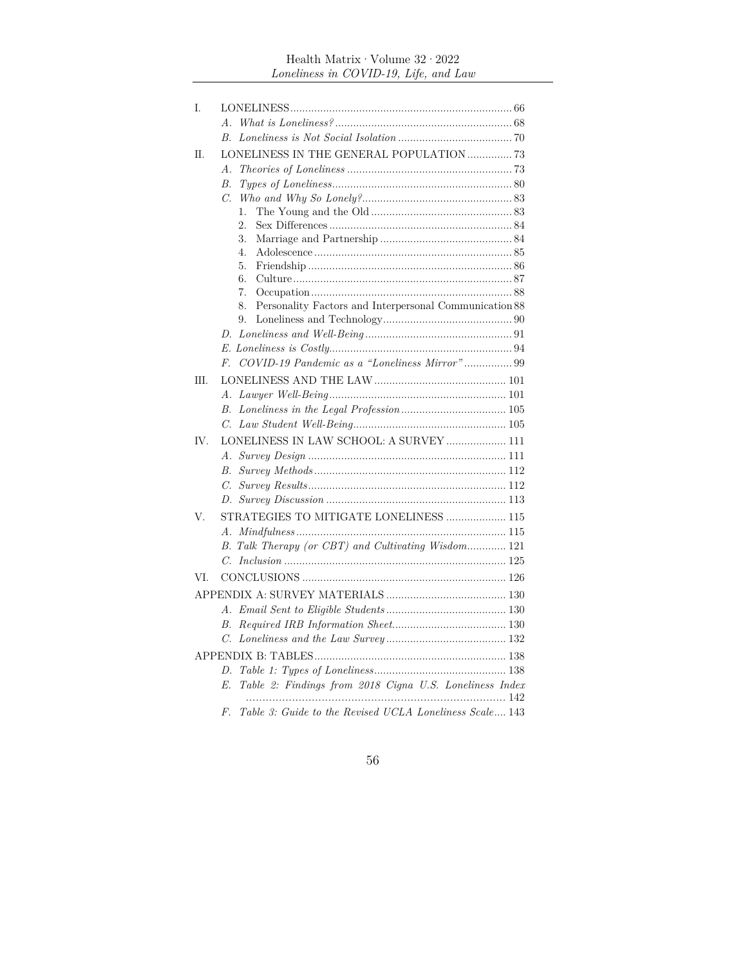# <code>Health Matrix</code>  $\cdot$  <code>Volume 32</code>  $\cdot$  <code>2022</code> *Loneliness in COVID-19, Life, and Law*

| Ι.   |                                                                    |
|------|--------------------------------------------------------------------|
|      |                                                                    |
|      | $B_{\cdot}$                                                        |
| П.   | LONELINESS IN THE GENERAL POPULATION  73                           |
|      | А.                                                                 |
|      | В.                                                                 |
|      | C.                                                                 |
|      | 1.                                                                 |
|      | 2.                                                                 |
|      | 3.                                                                 |
|      | 4.                                                                 |
|      | 5.                                                                 |
|      | 6.                                                                 |
|      | 7.<br>Personality Factors and Interpersonal Communication 88<br>8. |
|      | 9.                                                                 |
|      | D.                                                                 |
|      |                                                                    |
|      | COVID-19 Pandemic as a "Loneliness Mirror"99<br>F.                 |
| III. |                                                                    |
|      | А.                                                                 |
|      | В.                                                                 |
|      | $C_{\cdot}$                                                        |
| IV.  | LONELINESS IN LAW SCHOOL: A SURVEY  111                            |
|      | A.                                                                 |
|      | В.                                                                 |
|      | C.                                                                 |
|      | D.                                                                 |
| V.   | STRATEGIES TO MITIGATE LONELINESS  115                             |
|      | А.                                                                 |
|      | B. Talk Therapy (or CBT) and Cultivating Wisdom 121                |
|      | $C_{-}$                                                            |
| VI.  |                                                                    |
|      |                                                                    |
|      |                                                                    |
|      |                                                                    |
|      | $B$ .                                                              |
|      | C.                                                                 |
|      |                                                                    |
|      | D.                                                                 |
|      | Table 2: Findings from 2018 Cigna U.S. Loneliness Index<br>E.      |
|      | Table 3: Guide to the Revised UCLA Loneliness Scale 143<br>F.      |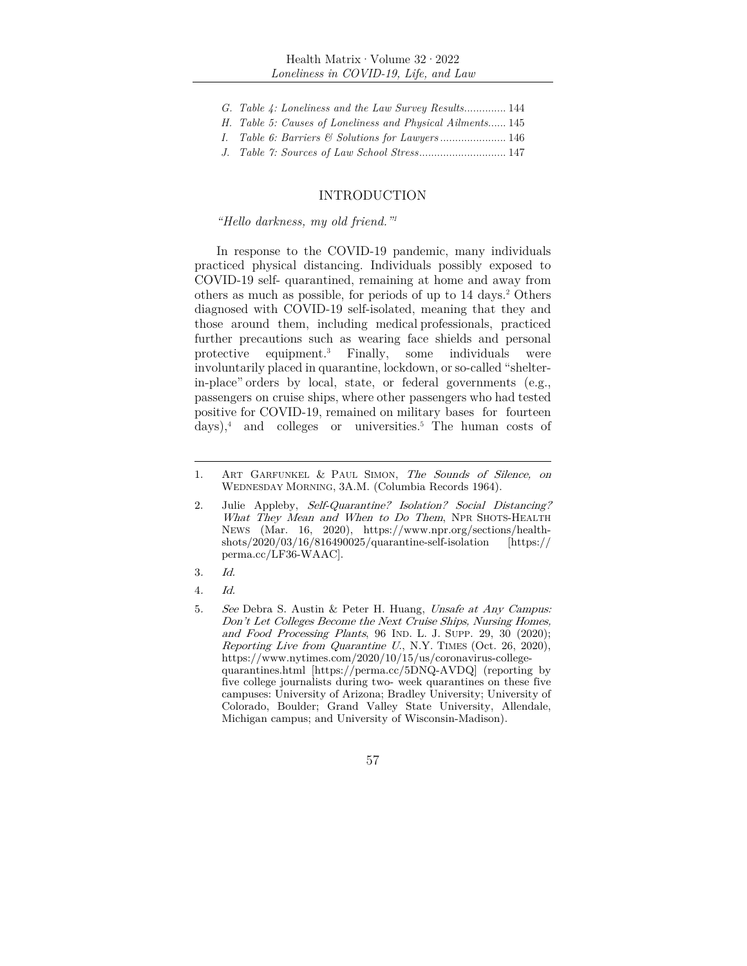- *G. Table 4: Loneliness and the Law Survey Results*.............. 144
- *H. Table 5: Causes of Loneliness and Physical Ailments*...... 145
- *I. Table 6: Barriers & Solutions for Lawyers* ...................... 146
- *J. Table 7: Sources of Law School Stress*............................. 147

# INTRODUCTION

#### *"Hello darkness, my old friend."1*

In response to the COVID-19 pandemic, many individuals practiced physical distancing. Individuals possibly exposed to COVID-19 self- quarantined, remaining at home and away from others as much as possible, for periods of up to 14 days.2 Others diagnosed with COVID-19 self-isolated, meaning that they and those around them, including medical professionals, practiced further precautions such as wearing face shields and personal protective equipment.<sup>3</sup> Finally, some individuals were involuntarily placed in quarantine, lockdown, or so-called "shelterin-place" orders by local, state, or federal governments (e.g., passengers on cruise ships, where other passengers who had tested positive for COVID-19, remained on military bases for fourteen  $\text{days}$ ,<sup>4</sup> and colleges or universities.<sup>5</sup> The human costs of

- 3. Id.
- 4. Id.

<sup>1.</sup> ART GARFUNKEL & PAUL SIMON, The Sounds of Silence, on WEDNESDAY MORNING, 3A.M. (Columbia Records 1964).

<sup>2.</sup> Julie Appleby, Self-Quarantine? Isolation? Social Distancing? What They Mean and When to Do Them, NPR SHOTS-HEALTH NEWS (Mar. 16, 2020), https://www.npr.org/sections/healthshots/2020/03/16/816490025/quarantine-self-isolation [https:// perma.cc/LF36-WAAC].

<sup>5</sup>. See Debra S. Austin & Peter H. Huang, Unsafe at Any Campus: Don't Let Colleges Become the Next Cruise Ships, Nursing Homes, and Food Processing Plants, 96 IND. L. J. SUPP. 29, 30 (2020); Reporting Live from Quarantine U., N.Y. TIMES (Oct. 26, 2020), https://www.nytimes.com/2020/10/15/us/coronavirus-collegequarantines.html [https://perma.cc/5DNQ-AVDQ] (reporting by five college journalists during two- week quarantines on these five campuses: University of Arizona; Bradley University; University of Colorado, Boulder; Grand Valley State University, Allendale, Michigan campus; and University of Wisconsin-Madison).

<sup>57</sup>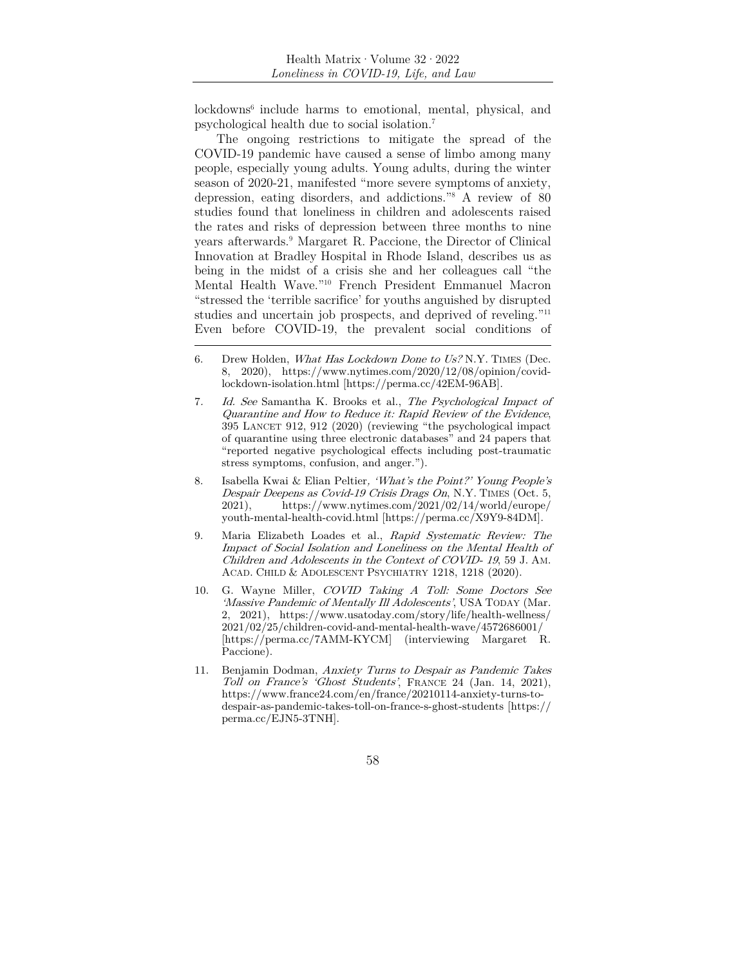lockdowns<sup>6</sup> include harms to emotional, mental, physical, and psychological health due to social isolation.7

The ongoing restrictions to mitigate the spread of the COVID-19 pandemic have caused a sense of limbo among many people, especially young adults. Young adults, during the winter season of 2020-21, manifested "more severe symptoms of anxiety, depression, eating disorders, and addictions."8 A review of 80 studies found that loneliness in children and adolescents raised the rates and risks of depression between three months to nine years afterwards.9 Margaret R. Paccione, the Director of Clinical Innovation at Bradley Hospital in Rhode Island, describes us as being in the midst of a crisis she and her colleagues call "the Mental Health Wave."10 French President Emmanuel Macron "stressed the 'terrible sacrifice' for youths anguished by disrupted studies and uncertain job prospects, and deprived of reveling."11 Even before COVID-19, the prevalent social conditions of

- 7. Id. See Samantha K. Brooks et al., The Psychological Impact of Quarantine and How to Reduce it: Rapid Review of the Evidence, 395 LANCET 912, 912 (2020) (reviewing "the psychological impact of quarantine using three electronic databases" and 24 papers that "reported negative psychological effects including post-traumatic stress symptoms, confusion, and anger.").
- 8. Isabella Kwai & Elian Peltier, 'What's the Point?' Young People's Despair Deepens as Covid-19 Crisis Drags On, N.Y. TIMES (Oct. 5,  $2021$ ), https://www.nytimes.com/2021/02/14/world/europe/ youth-mental-health-covid.html [https://perma.cc/X9Y9-84DM].
- 9. Maria Elizabeth Loades et al., Rapid Systematic Review: The Impact of Social Isolation and Loneliness on the Mental Health of Children and Adolescents in the Context of COVID- 19, 59 J. AM. ACAD. CHILD & ADOLESCENT PSYCHIATRY 1218, 1218 (2020).
- 10. G. Wayne Miller, COVID Taking A Toll: Some Doctors See 'Massive Pandemic of Mentally Ill Adolescents', USA TODAY (Mar. 2, 2021), https://www.usatoday.com/story/life/health-wellness/ 2021/02/25/children-covid-and-mental-health-wave/4572686001/ [https://perma.cc/7AMM-KYCM] (interviewing Margaret R. Paccione).
- 11. Benjamin Dodman, Anxiety Turns to Despair as Pandemic Takes Toll on France's 'Ghost Students', FRANCE 24 (Jan. 14, 2021), https://www.france24.com/en/france/20210114-anxiety-turns-todespair-as-pandemic-takes-toll-on-france-s-ghost-students [https:// perma.cc/EJN5-3TNH].

<sup>6.</sup> Drew Holden, *What Has Lockdown Done to Us?* N.Y. TIMES (Dec. 8, 2020), https://www.nytimes.com/2020/12/08/opinion/covidlockdown-isolation.html [https://perma.cc/42EM-96AB].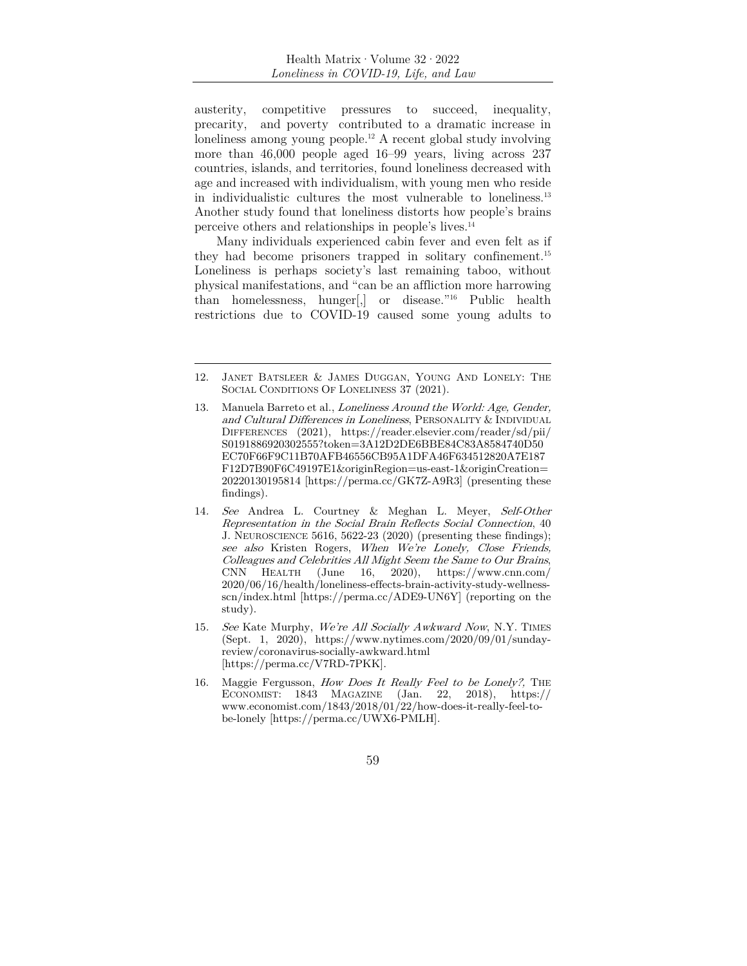austerity, competitive pressures to succeed, inequality, precarity, and poverty contributed to a dramatic increase in loneliness among young people.12 A recent global study involving more than 46,000 people aged 16–99 years, living across 237 countries, islands, and territories, found loneliness decreased with age and increased with individualism, with young men who reside in individualistic cultures the most vulnerable to loneliness.13 Another study found that loneliness distorts how people's brains perceive others and relationships in people's lives.14

Many individuals experienced cabin fever and even felt as if they had become prisoners trapped in solitary confinement.15 Loneliness is perhaps society's last remaining taboo, without physical manifestations, and "can be an affliction more harrowing than homelessness, hunger[,] or disease."16 Public health restrictions due to COVID-19 caused some young adults to

- 14. See Andrea L. Courtney & Meghan L. Meyer, Self-Other Representation in the Social Brain Reflects Social Connection, 40 J. NEUROSCIENCE 5616, 5622-23 (2020) (presenting these findings); see also Kristen Rogers, When We're Lonely, Close Friends, Colleagues and Celebrities All Might Seem the Same to Our Brains, CNN HEALTH (June 16, 2020), https://www.cnn.com/ 2020/06/16/health/loneliness-effects-brain-activity-study-wellnessscn/index.html [https://perma.cc/ADE9-UN6Y] (reporting on the study).
- 15. See Kate Murphy, We're All Socially Awkward Now, N.Y. TIMES (Sept. 1, 2020), https://www.nytimes.com/2020/09/01/sundayreview/coronavirus-socially-awkward.html [https://perma.cc/V7RD-7PKK].
- 16. Maggie Fergusson, How Does It Really Feel to be Lonely?, THE ECONOMIST: 1843 MAGAZINE (Jan. 22, 2018), https:// www.economist.com/1843/2018/01/22/how-does-it-really-feel-tobe-lonely [https://perma.cc/UWX6-PMLH].



<sup>12.</sup> JANET BATSLEER & JAMES DUGGAN, YOUNG AND LONELY: THE SOCIAL CONDITIONS OF LONELINESS 37 (2021).

<sup>13.</sup> Manuela Barreto et al., Loneliness Around the World: Age, Gender, and Cultural Differences in Loneliness, PERSONALITY & INDIVIDUAL DIFFERENCES (2021), https://reader.elsevier.com/reader/sd/pii/ S0191886920302555?token=3A12D2DE6BBE84C83A8584740D50 EC70F66F9C11B70AFB46556CB95A1DFA46F634512820A7E187 F12D7B90F6C49197E1&originRegion=us-east-1&originCreation= 20220130195814 [https://perma.cc/GK7Z-A9R3] (presenting these findings).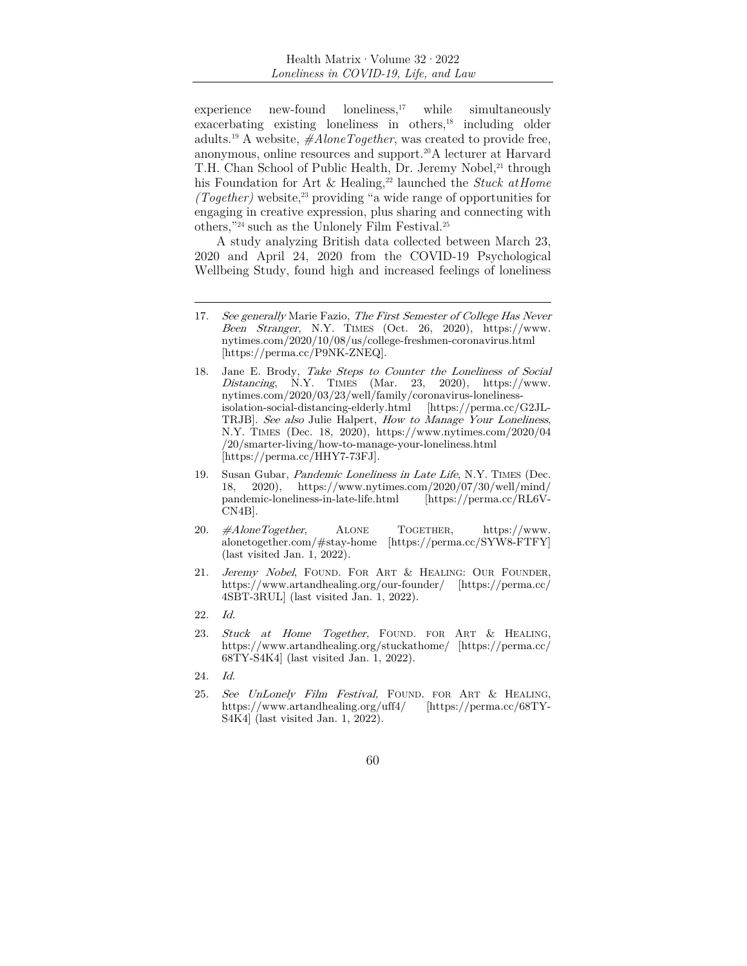$experience$  new-found loneliness,<sup>17</sup> while simultaneously  $exacerbating$  existing loneliness in others, $18$  including older adults.19 A website, *#AloneTogether*, was created to provide free, anonymous, online resources and support.20A lecturer at Harvard T.H. Chan School of Public Health, Dr. Jeremy Nobel,<sup>21</sup> through his Foundation for Art & Healing,<sup>22</sup> launched the *Stuck at Home (Together)* website,23 providing "a wide range of opportunities for engaging in creative expression, plus sharing and connecting with others,"24 such as the Unlonely Film Festival.25

A study analyzing British data collected between March 23, 2020 and April 24, 2020 from the COVID-19 Psychological Wellbeing Study, found high and increased feelings of loneliness

- 20. #AloneTogether, ALONE TOGETHER, https://www. alonetogether.com/#stay-home [https://perma.cc/SYW8-FTFY] (last visited Jan. 1, 2022).
- 21. Jeremy Nobel, FOUND. FOR ART & HEALING: OUR FOUNDER, https://www.artandhealing.org/our-founder/ [https://perma.cc/ 4SBT-3RUL] (last visited Jan. 1, 2022).
- 22. Id.
- 23. Stuck at Home Together, FOUND. FOR ART & HEALING, https://www.artandhealing.org/stuckathome/ [https://perma.cc/ 68TY-S4K4] (last visited Jan. 1, 2022).
- 24. Id.
- 25. See UnLonely Film Festival, FOUND. FOR ART & HEALING, https://www.artandhealing.org/uff4/ [https://perma.cc/68TY-S4K4] (last visited Jan. 1, 2022).
	- 60

<sup>17.</sup> See generally Marie Fazio, The First Semester of College Has Never Been Stranger, N.Y. TIMES (Oct. 26, 2020), https://www. nytimes.com/2020/10/08/us/college-freshmen-coronavirus.html [https://perma.cc/P9NK-ZNEQ].

<sup>18.</sup> Jane E. Brody, Take Steps to Counter the Loneliness of Social  $Distanceing$ , N.Y. TIMES (Mar. 23, 2020), https://www. nytimes.com/2020/03/23/well/family/coronavirus-lonelinessisolation-social-distancing-elderly.html [https://perma.cc/G2JL-TRJB]. See also Julie Halpert, How to Manage Your Loneliness, N.Y. TIMES (Dec. 18, 2020), https://www.nytimes.com/2020/04 /20/smarter-living/how-to-manage-your-loneliness.html [https://perma.cc/HHY7-73FJ].

<sup>19.</sup> Susan Gubar, Pandemic Loneliness in Late Life, N.Y. TIMES (Dec. 18, 2020), https://www.nytimes.com/2020/07/30/well/mind/ pandemic-loneliness-in-late-life.html [https://perma.cc/RL6V-CN4B].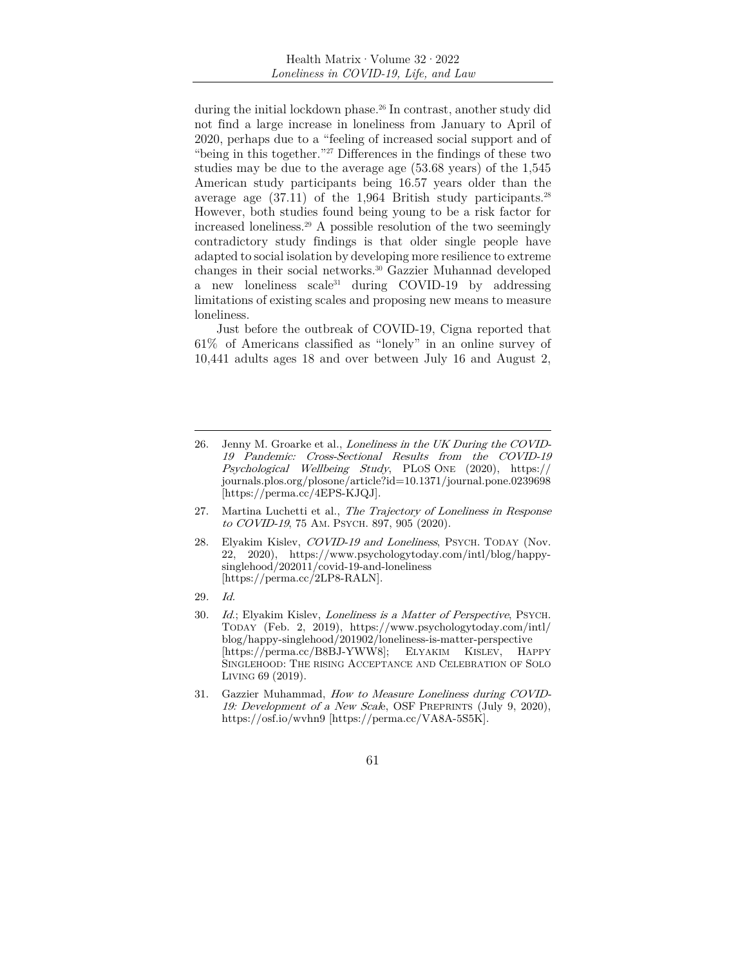during the initial lockdown phase.<sup>26</sup> In contrast, another study did not find a large increase in loneliness from January to April of 2020, perhaps due to a "feeling of increased social support and of "being in this together."<sup>27</sup> Differences in the findings of these two studies may be due to the average age (53.68 years) of the 1,545 American study participants being 16.57 years older than the average age  $(37.11)$  of the 1,964 British study participants.<sup>28</sup> However, both studies found being young to be a risk factor for increased loneliness.29 A possible resolution of the two seemingly contradictory study findings is that older single people have adapted to social isolation by developing more resilience to extreme changes in their social networks.30 Gazzier Muhannad developed a new loneliness scale31 during COVID-19 by addressing limitations of existing scales and proposing new means to measure loneliness.

Just before the outbreak of COVID-19, Cigna reported that 61% of Americans classified as "lonely" in an online survey of 10,441 adults ages 18 and over between July 16 and August 2,

- 26. Jenny M. Groarke et al., *Loneliness in the UK During the COVID-*19 Pandemic: Cross-Sectional Results from the COVID-19 Psychological Wellbeing Study, PLOS ONE (2020), https:// journals.plos.org/plosone/article?id=10.1371/journal.pone.0239698 [https://perma.cc/4EPS-KJQJ].
- 27. Martina Luchetti et al., The Trajectory of Loneliness in Response to COVID-19, 75 AM. PSYCH. 897, 905 (2020).
- 28. Elyakim Kislev, *COVID-19 and Loneliness*, PSYCH. TODAY (Nov. 22, 2020), https://www.psychologytoday.com/intl/blog/happysinglehood/202011/covid-19-and-loneliness [https://perma.cc/2LP8-RALN].
- 29. Id.
- 30. Id.; Elyakim Kislev, Loneliness is a Matter of Perspective, PSYCH. TODAY (Feb. 2, 2019), https://www.psychologytoday.com/intl/ blog/happy-singlehood/201902/loneliness-is-matter-perspective [https://perma.cc/B8BJ-YWW8]; ELYAKIM KISLEV, HAPPY SINGLEHOOD: THE RISING ACCEPTANCE AND CELEBRATION OF SOLO LIVING 69 (2019).
- 31. Gazzier Muhammad, How to Measure Loneliness during COVID-19: Development of a New Scale, OSF PREPRINTS (July 9, 2020), https://osf.io/wvhn9 [https://perma.cc/VA8A-5S5K].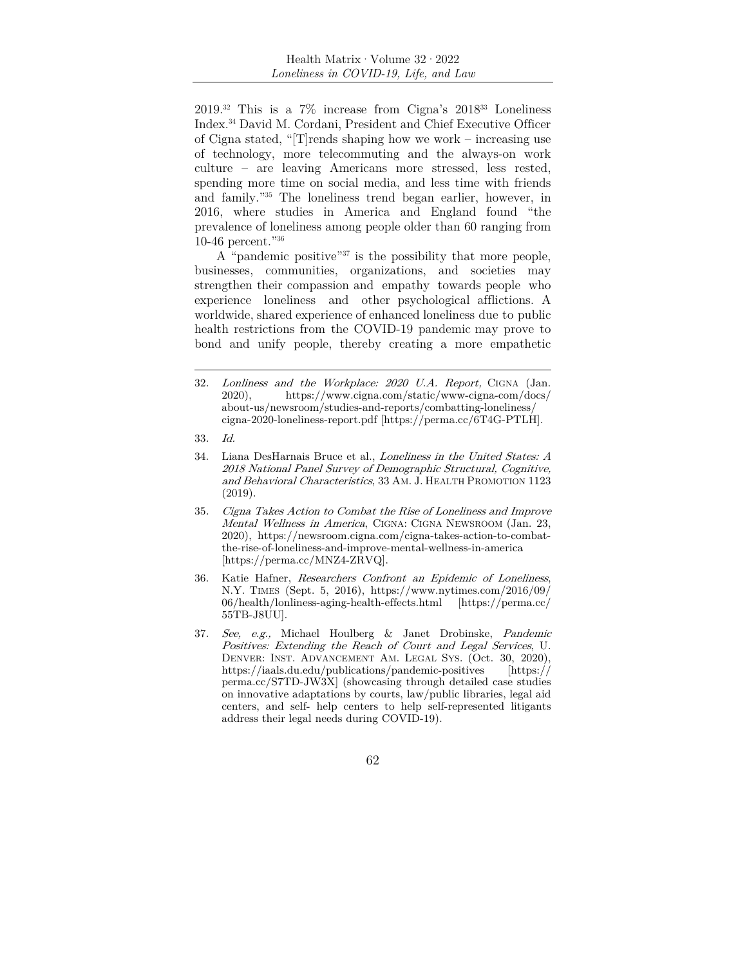$2019.^{32}$  This is a  $7\%$  increase from Cigna's  $2018^{33}$  Loneliness Index.34 David M. Cordani, President and Chief Executive Officer of Cigna stated, "[T]rends shaping how we work – increasing use of technology, more telecommuting and the always-on work culture – are leaving Americans more stressed, less rested, spending more time on social media, and less time with friends and family."35 The loneliness trend began earlier, however, in 2016, where studies in America and England found "the prevalence of loneliness among people older than 60 ranging from 10-46 percent."36

A "pandemic positive"37 is the possibility that more people, businesses, communities, organizations, and societies may strengthen their compassion and empathy towards people who experience loneliness and other psychological afflictions. A worldwide, shared experience of enhanced loneliness due to public health restrictions from the COVID-19 pandemic may prove to bond and unify people, thereby creating a more empathetic

- 36. Katie Hafner, Researchers Confront an Epidemic of Loneliness, N.Y. TIMES (Sept. 5, 2016), https://www.nytimes.com/2016/09/ 06/health/lonliness-aging-health-effects.html [https://perma.cc/ 55TB-J8UU].
- 37. See, e.g., Michael Houlberg & Janet Drobinske, Pandemic Positives: Extending the Reach of Court and Legal Services, U. DENVER: INST. ADVANCEMENT AM. LEGAL SYS. (Oct. 30, 2020), https://iaals.du.edu/publications/pandemic-positives [https:// perma.cc/S7TD-JW3X] (showcasing through detailed case studies on innovative adaptations by courts, law/public libraries, legal aid centers, and self- help centers to help self-represented litigants address their legal needs during COVID-19).

<sup>32</sup>. Lonliness and the Workplace: 2020 U.A. Report, CIGNA (Jan. 2020), https://www.cigna.com/static/www-cigna-com/docs/ about-us/newsroom/studies-and-reports/combatting-loneliness/ cigna-2020-loneliness-report.pdf [https://perma.cc/6T4G-PTLH].

<sup>33</sup>. Id.

<sup>34.</sup> Liana DesHarnais Bruce et al., Loneliness in the United States: A 2018 National Panel Survey of Demographic Structural, Cognitive, and Behavioral Characteristics, 33 AM. J. HEALTH PROMOTION 1123 (2019).

<sup>35</sup>. Cigna Takes Action to Combat the Rise of Loneliness and Improve Mental Wellness in America, CIGNA: CIGNA NEWSROOM (Jan. 23, 2020), https://newsroom.cigna.com/cigna-takes-action-to-combatthe-rise-of-loneliness-and-improve-mental-wellness-in-america [https://perma.cc/MNZ4-ZRVQ].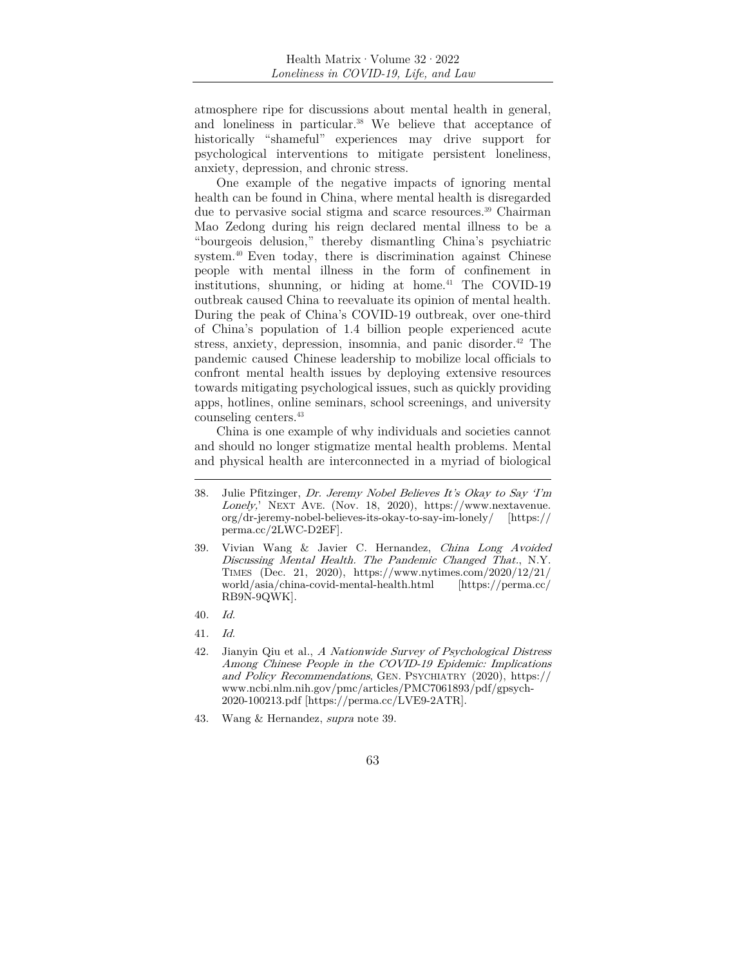atmosphere ripe for discussions about mental health in general, and loneliness in particular.<sup>38</sup> We believe that acceptance of historically "shameful" experiences may drive support for psychological interventions to mitigate persistent loneliness, anxiety, depression, and chronic stress.

One example of the negative impacts of ignoring mental health can be found in China, where mental health is disregarded due to pervasive social stigma and scarce resources.39 Chairman Mao Zedong during his reign declared mental illness to be a "bourgeois delusion," thereby dismantling China's psychiatric system.40 Even today, there is discrimination against Chinese people with mental illness in the form of confinement in institutions, shunning, or hiding at home.<sup>41</sup> The COVID-19 outbreak caused China to reevaluate its opinion of mental health. During the peak of China's COVID-19 outbreak, over one-third of China's population of 1.4 billion people experienced acute stress, anxiety, depression, insomnia, and panic disorder.<sup>42</sup> The pandemic caused Chinese leadership to mobilize local officials to confront mental health issues by deploying extensive resources towards mitigating psychological issues, such as quickly providing apps, hotlines, online seminars, school screenings, and university counseling centers.43

China is one example of why individuals and societies cannot and should no longer stigmatize mental health problems. Mental and physical health are interconnected in a myriad of biological

<sup>38.</sup> Julie Pfitzinger, Dr. Jeremy Nobel Believes It's Okay to Say 'I'm Lonely,' NEXT AVE. (Nov. 18, 2020), https://www.nextavenue. org/dr-jeremy-nobel-believes-its-okay-to-say-im-lonely/ [https:// perma.cc/2LWC-D2EF].

<sup>39.</sup> Vivian Wang & Javier C. Hernandez, China Long Avoided Discussing Mental Health. The Pandemic Changed That., N.Y. TIMES (Dec. 21, 2020), https://www.nytimes.com/2020/12/21/ world/asia/china-covid-mental-health.html [https://perma.cc/ RB9N-9QWK].

<sup>40</sup>. Id.

<sup>41</sup>. Id.

<sup>42.</sup> Jianyin Qiu et al., A Nationwide Survey of Psychological Distress Among Chinese People in the COVID-19 Epidemic: Implications and Policy Recommendations, GEN. PSYCHIATRY (2020), https:// www.ncbi.nlm.nih.gov/pmc/articles/PMC7061893/pdf/gpsych-2020-100213.pdf [https://perma.cc/LVE9-2ATR].

<sup>43.</sup> Wang & Hernandez, supra note 39.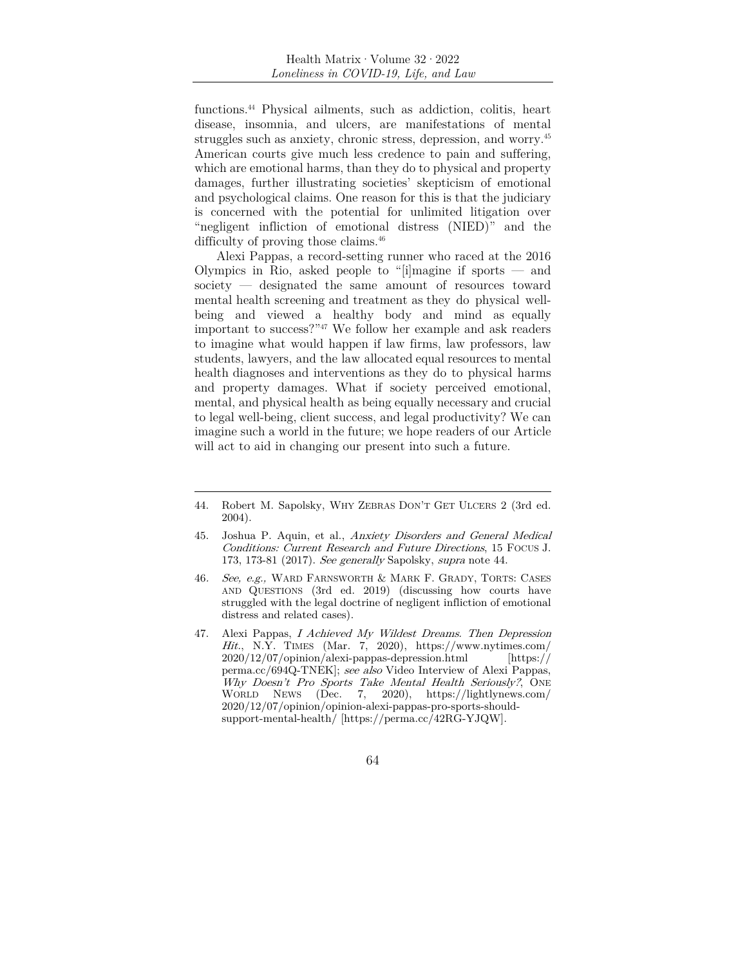functions.44 Physical ailments, such as addiction, colitis, heart disease, insomnia, and ulcers, are manifestations of mental struggles such as anxiety, chronic stress, depression, and worry.45 American courts give much less credence to pain and suffering, which are emotional harms, than they do to physical and property damages, further illustrating societies' skepticism of emotional and psychological claims. One reason for this is that the judiciary is concerned with the potential for unlimited litigation over "negligent infliction of emotional distress (NIED)" and the difficulty of proving those claims.<sup>46</sup>

Alexi Pappas, a record-setting runner who raced at the 2016 Olympics in Rio, asked people to "[i]magine if sports  $-$  and society — designated the same amount of resources toward mental health screening and treatment as they do physical wellbeing and viewed a healthy body and mind as equally important to success?"47 We follow her example and ask readers to imagine what would happen if law firms, law professors, law students, lawyers, and the law allocated equal resources to mental health diagnoses and interventions as they do to physical harms and property damages. What if society perceived emotional, mental, and physical health as being equally necessary and crucial to legal well-being, client success, and legal productivity? We can imagine such a world in the future; we hope readers of our Article will act to aid in changing our present into such a future.

- 46. See, e.g., WARD FARNSWORTH & MARK F. GRADY, TORTS: CASES AND QUESTIONS (3rd ed. 2019) (discussing how courts have struggled with the legal doctrine of negligent infliction of emotional distress and related cases).
- 47. Alexi Pappas, I Achieved My Wildest Dreams. Then Depression Hit., N.Y. TIMES (Mar. 7, 2020), https://www.nytimes.com/ 2020/12/07/opinion/alexi-pappas-depression.html [https:// perma.cc/694Q-TNEK]; see also Video Interview of Alexi Pappas, Why Doesn't Pro Sports Take Mental Health Seriously?, ONE WORLD NEWS (Dec. 7, 2020), https://lightlynews.com/ 2020/12/07/opinion/opinion-alexi-pappas-pro-sports-shouldsupport-mental-health/ [https://perma.cc/42RG-YJQW].

<sup>44.</sup> Robert M. Sapolsky, WHY ZEBRAS DON'T GET ULCERS 2 (3rd ed. 2004).

<sup>45.</sup> Joshua P. Aquin, et al., Anxiety Disorders and General Medical Conditions: Current Research and Future Directions, 15 FOCUS J. 173, 173-81 (2017). See generally Sapolsky, supra note 44.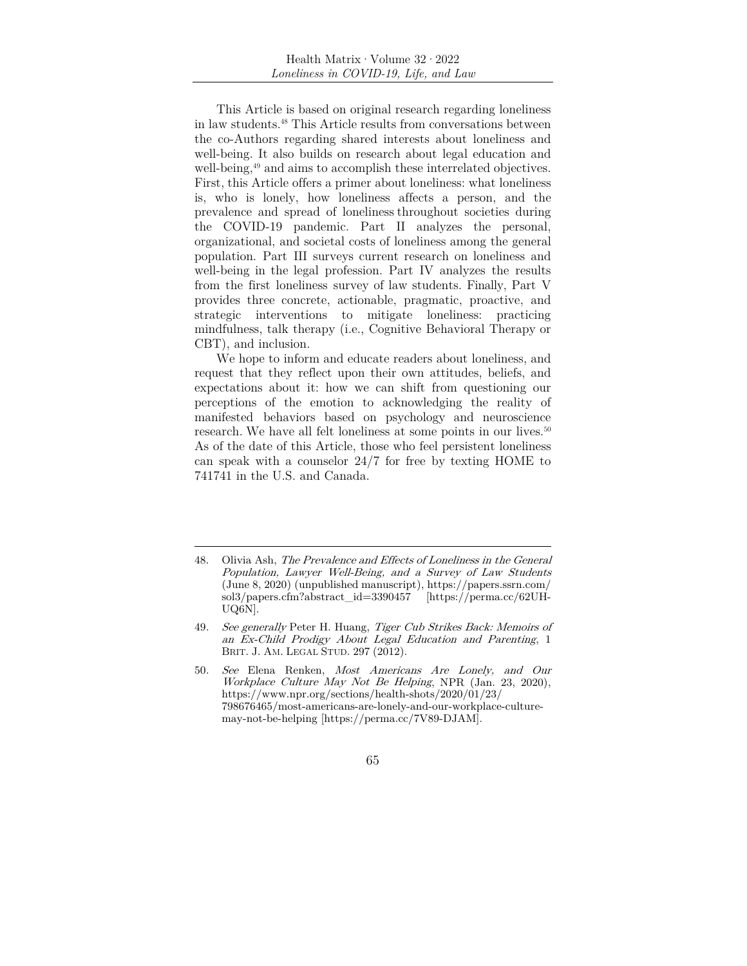This Article is based on original research regarding loneliness in law students.48 This Article results from conversations between the co-Authors regarding shared interests about loneliness and well-being. It also builds on research about legal education and well-being,<sup>49</sup> and aims to accomplish these interrelated objectives. First, this Article offers a primer about loneliness: what loneliness is, who is lonely, how loneliness affects a person, and the prevalence and spread of loneliness throughout societies during the COVID-19 pandemic. Part II analyzes the personal, organizational, and societal costs of loneliness among the general population. Part III surveys current research on loneliness and well-being in the legal profession. Part IV analyzes the results from the first loneliness survey of law students. Finally, Part V provides three concrete, actionable, pragmatic, proactive, and strategic interventions to mitigate loneliness: practicing mindfulness, talk therapy (i.e., Cognitive Behavioral Therapy or CBT), and inclusion.

We hope to inform and educate readers about loneliness, and request that they reflect upon their own attitudes, beliefs, and expectations about it: how we can shift from questioning our perceptions of the emotion to acknowledging the reality of manifested behaviors based on psychology and neuroscience research. We have all felt loneliness at some points in our lives.<sup>50</sup> As of the date of this Article, those who feel persistent loneliness can speak with a counselor 24/7 for free by texting HOME to 741741 in the U.S. and Canada.

<sup>48.</sup> Olivia Ash, The Prevalence and Effects of Loneliness in the General Population, Lawyer Well-Being, and a Survey of Law Students (June 8, 2020) (unpublished manuscript), https://papers.ssrn.com/ sol3/papers.cfm?abstract\_id=3390457 [https://perma.cc/62UH-UQ6N].

<sup>49</sup>. See generally Peter H. Huang, Tiger Cub Strikes Back: Memoirs of an Ex-Child Prodigy About Legal Education and Parenting, 1 BRIT. J. AM. LEGAL STUD. 297 (2012).

<sup>50</sup>. See Elena Renken, Most Americans Are Lonely, and Our Workplace Culture May Not Be Helping, NPR (Jan. 23, 2020), https://www.npr.org/sections/health-shots/2020/01/23/ 798676465/most-americans-are-lonely-and-our-workplace-culturemay-not-be-helping [https://perma.cc/7V89-DJAM].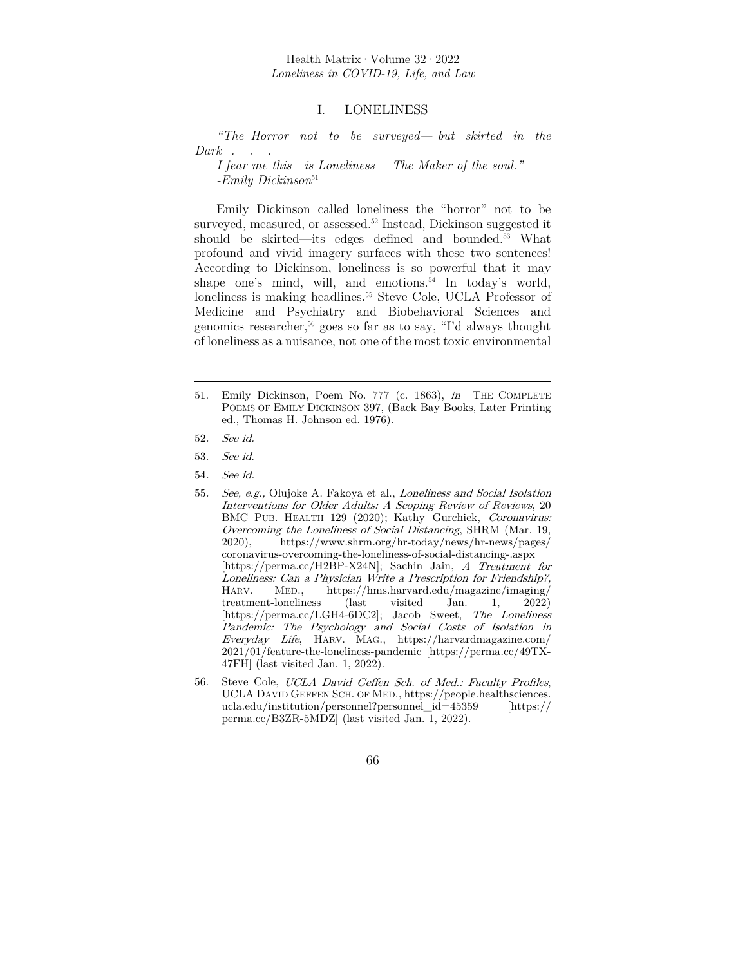#### I. LONELINESS

*"The Horror not to be surveyed— but skirted in the Dark . . .* 

*I fear me this—is Loneliness— The Maker of the soul." -Emily Dickinson*<sup>51</sup>

Emily Dickinson called loneliness the "horror" not to be surveyed, measured, or assessed.<sup>52</sup> Instead, Dickinson suggested it should be skirted—its edges defined and bounded.53 What profound and vivid imagery surfaces with these two sentences! According to Dickinson, loneliness is so powerful that it may shape one's mind, will, and emotions.<sup>54</sup> In today's world, loneliness is making headlines.<sup>55</sup> Steve Cole, UCLA Professor of Medicine and Psychiatry and Biobehavioral Sciences and genomics researcher,<sup>56</sup> goes so far as to say, "I'd always thought of loneliness as a nuisance, not one of the most toxic environmental

- 51. Emily Dickinson, Poem No. 777 (c. 1863), in THE COMPLETE POEMS OF EMILY DICKINSON 397, (Back Bay Books, Later Printing ed., Thomas H. Johnson ed. 1976).
- 52. See id.
- 53. See id.
- 54. See id.

56. Steve Cole, UCLA David Geffen Sch. of Med.: Faculty Profiles, UCLA DAVID GEFFEN SCH. OF MED., https://people.healthsciences. ucla.edu/institution/personnel?personnel\_id=45359 [https:// perma.cc/B3ZR-5MDZ] (last visited Jan. 1, 2022).

<sup>55</sup>. See, e.g., Olujoke A. Fakoya et al., Loneliness and Social Isolation Interventions for Older Adults: A Scoping Review of Reviews, 20 BMC PUB. HEALTH 129 (2020); Kathy Gurchiek, Coronavirus: Overcoming the Loneliness of Social Distancing, SHRM (Mar. 19, 2020), https://www.shrm.org/hr-today/news/hr-news/pages/ coronavirus-overcoming-the-loneliness-of-social-distancing-.aspx [https://perma.cc/H2BP-X24N]; Sachin Jain, A Treatment for Loneliness: Can a Physician Write a Prescription for Friendship?, HARV. MED., https://hms.harvard.edu/magazine/imaging/ treatment-loneliness (last visited Jan. 1, 2022) [https://perma.cc/LGH4-6DC2]; Jacob Sweet, The Loneliness Pandemic: The Psychology and Social Costs of Isolation in Everyday Life, HARV. MAG., https://harvardmagazine.com/ 2021/01/feature-the-loneliness-pandemic [https://perma.cc/49TX-47FH] (last visited Jan. 1, 2022).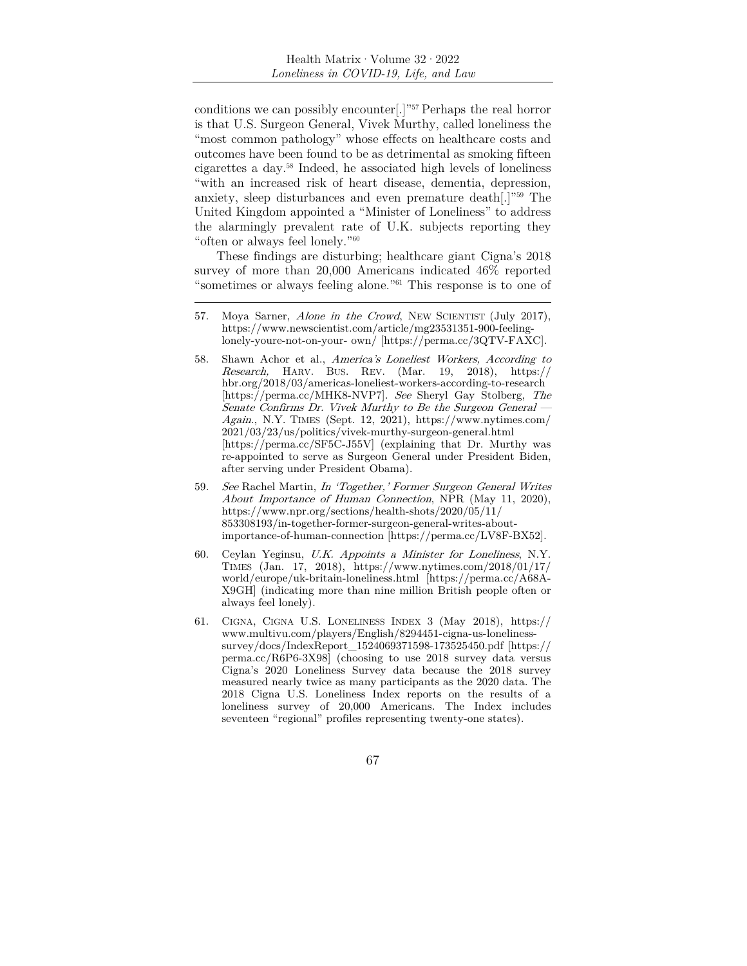conditions we can possibly encounter[.]"57 Perhaps the real horror is that U.S. Surgeon General, Vivek Murthy, called loneliness the "most common pathology" whose effects on healthcare costs and outcomes have been found to be as detrimental as smoking fifteen cigarettes a day.58 Indeed, he associated high levels of loneliness "with an increased risk of heart disease, dementia, depression, anxiety, sleep disturbances and even premature death[.]"59 The United Kingdom appointed a "Minister of Loneliness" to address the alarmingly prevalent rate of U.K. subjects reporting they "often or always feel lonely."60

These findings are disturbing; healthcare giant Cigna's 2018 survey of more than 20,000 Americans indicated 46% reported "sometimes or always feeling alone."61 This response is to one of

- 58. Shawn Achor et al., America's Loneliest Workers, According to Research, HARV. BUS. REV. (Mar. 19, 2018), https:// hbr.org/2018/03/americas-loneliest-workers-according-to-research [https://perma.cc/MHK8-NVP7]. See Sheryl Gay Stolberg, The Senate Confirms Dr. Vivek Murthy to Be the Surgeon General — Again., N.Y. TIMES (Sept. 12, 2021), https://www.nytimes.com/ 2021/03/23/us/politics/vivek-murthy-surgeon-general.html [https://perma.cc/SF5C-J55V] (explaining that Dr. Murthy was re-appointed to serve as Surgeon General under President Biden, after serving under President Obama).
- 59. See Rachel Martin, In 'Together,' Former Surgeon General Writes About Importance of Human Connection, NPR (May 11, 2020), https://www.npr.org/sections/health-shots/2020/05/11/ 853308193/in-together-former-surgeon-general-writes-aboutimportance-of-human-connection [https://perma.cc/LV8F-BX52].
- 60. Ceylan Yeginsu, U.K. Appoints a Minister for Loneliness, N.Y. TIMES (Jan. 17, 2018), https://www.nytimes.com/2018/01/17/ world/europe/uk-britain-loneliness.html [https://perma.cc/A68A-X9GH] (indicating more than nine million British people often or always feel lonely).
- 61. CIGNA, CIGNA U.S. LONELINESS INDEX 3 (May 2018), https:// www.multivu.com/players/English/8294451-cigna-us-lonelinesssurvey/docs/IndexReport\_1524069371598-173525450.pdf [https:// perma.cc/R6P6-3X98] (choosing to use 2018 survey data versus Cigna's 2020 Loneliness Survey data because the 2018 survey measured nearly twice as many participants as the 2020 data. The 2018 Cigna U.S. Loneliness Index reports on the results of a loneliness survey of 20,000 Americans. The Index includes seventeen "regional" profiles representing twenty-one states).

<sup>57.</sup> Moya Sarner, Alone in the Crowd, NEW SCIENTIST (July 2017), https://www.newscientist.com/article/mg23531351-900-feelinglonely-youre-not-on-your- own/ [https://perma.cc/3QTV-FAXC].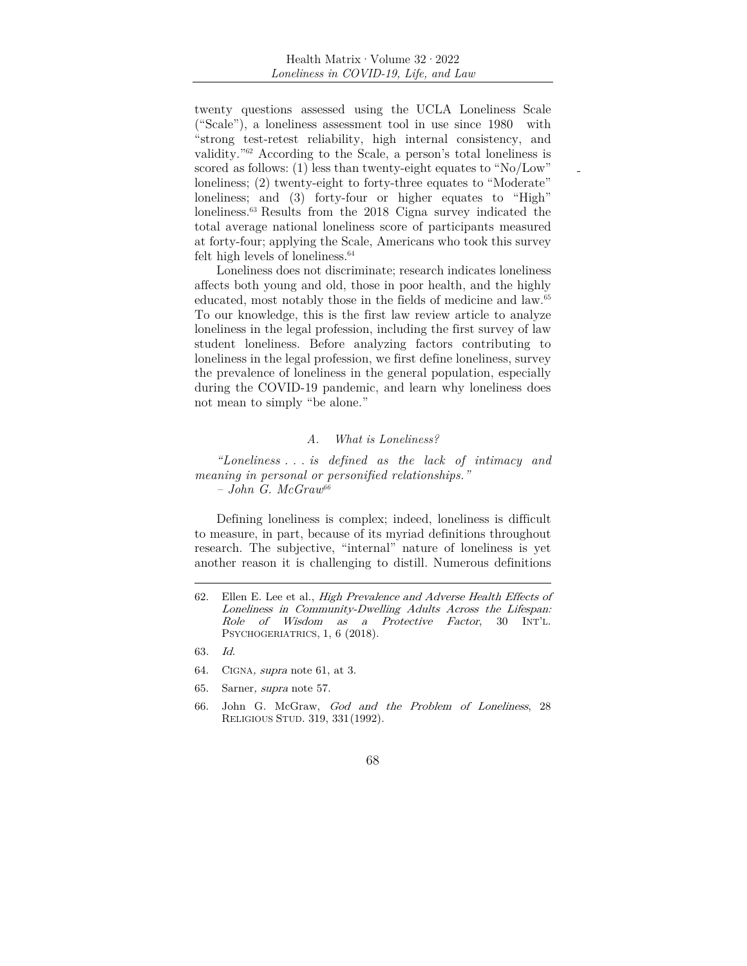twenty questions assessed using the UCLA Loneliness Scale ("Scale"), a loneliness assessment tool in use since 1980 with "strong test-retest reliability, high internal consistency, and validity."62 According to the Scale, a person's total loneliness is scored as follows: (1) less than twenty-eight equates to "No/Low" loneliness; (2) twenty-eight to forty-three equates to "Moderate" loneliness; and (3) forty-four or higher equates to "High" loneliness.63 Results from the 2018 Cigna survey indicated the total average national loneliness score of participants measured at forty-four; applying the Scale, Americans who took this survey felt high levels of loneliness.<sup>64</sup>

Loneliness does not discriminate; research indicates loneliness affects both young and old, those in poor health, and the highly educated, most notably those in the fields of medicine and law.<sup>65</sup> To our knowledge, this is the first law review article to analyze loneliness in the legal profession, including the first survey of law student loneliness. Before analyzing factors contributing to loneliness in the legal profession, we first define loneliness, survey the prevalence of loneliness in the general population, especially during the COVID-19 pandemic, and learn why loneliness does not mean to simply "be alone."

#### *A. What is Loneliness?*

*"Loneliness . . . is defined as the lack of intimacy and meaning in personal or personified relationships." – John G. McGraw66*

Defining loneliness is complex; indeed, loneliness is difficult to measure, in part, because of its myriad definitions throughout research. The subjective, "internal" nature of loneliness is yet another reason it is challenging to distill. Numerous definitions

- 65. Sarner, supra note 57.
- 66. John G. McGraw, God and the Problem of Loneliness, 28 RELIGIOUS STUD. 319, 331 (1992).

<sup>62.</sup> Ellen E. Lee et al., High Prevalence and Adverse Health Effects of Loneliness in Community-Dwelling Adults Across the Lifespan: Role of Wisdom as a Protective Factor, 30 INT'L. PSYCHOGERIATRICS, 1, 6 (2018).

<sup>63</sup>. Id.

<sup>64.</sup> CIGNA, supra note 61, at 3.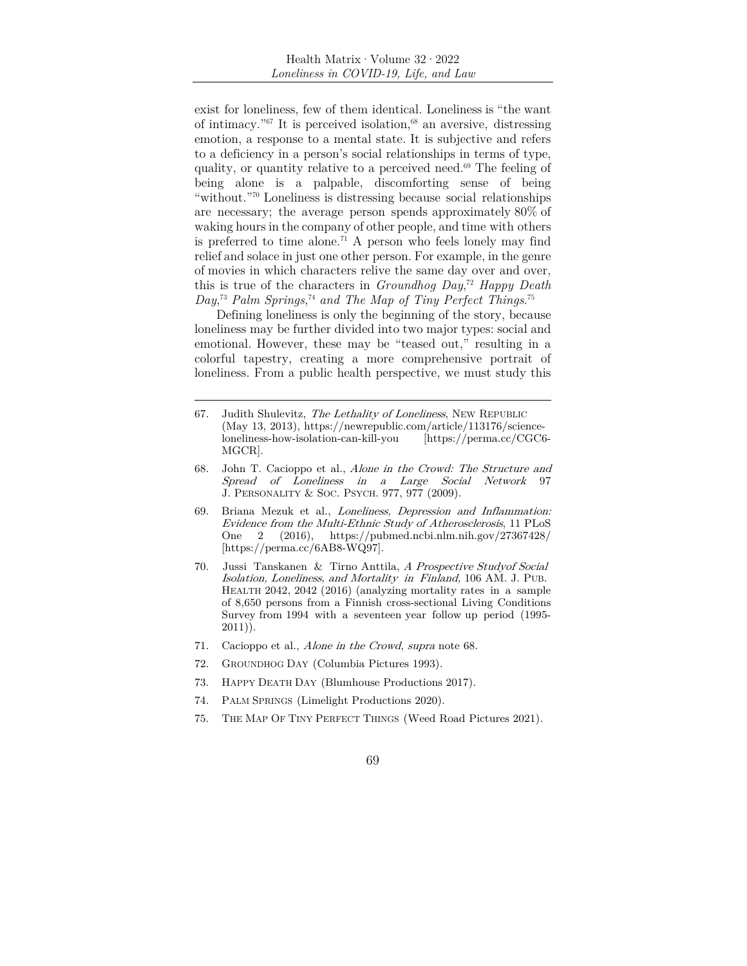exist for loneliness, few of them identical. Loneliness is "the want of intimacy.<sup>"67</sup> It is perceived isolation,<sup>68</sup> an aversive, distressing emotion, a response to a mental state. It is subjective and refers to a deficiency in a person's social relationships in terms of type, quality, or quantity relative to a perceived need.69 The feeling of being alone is a palpable, discomforting sense of being "without."70 Loneliness is distressing because social relationships are necessary; the average person spends approximately 80% of waking hours in the company of other people, and time with others is preferred to time alone.<sup>71</sup> A person who feels lonely may find relief and solace in just one other person. For example, in the genre of movies in which characters relive the same day over and over, this is true of the characters in *Groundhog Day*, <sup>72</sup> *Happy Death Day*, <sup>73</sup> *Palm Springs*, <sup>74</sup> *and The Map of Tiny Perfect Things*. 75

Defining loneliness is only the beginning of the story, because loneliness may be further divided into two major types: social and emotional. However, these may be "teased out," resulting in a colorful tapestry, creating a more comprehensive portrait of loneliness. From a public health perspective, we must study this

- 67. Judith Shulevitz, The Lethality of Loneliness, NEW REPUBLIC (May 13, 2013), https://newrepublic.com/article/113176/scienceloneliness-how-isolation-can-kill-you [https://perma.cc/CGC6- MGCR].
- 68. John T. Cacioppo et al., Alone in the Crowd: The Structure and Spread of Loneliness in a Large Social Network 97 J. PERSONALITY & SOC. PSYCH. 977, 977 (2009).
- 69. Briana Mezuk et al., Loneliness, Depression and Inflammation: Evidence from the Multi-Ethnic Study of Atherosclerosis, 11 PLoS One 2 (2016), https://pubmed.ncbi.nlm.nih.gov/27367428/ [https://perma.cc/6AB8-WQ97].
- 70. Jussi Tanskanen & Tirno Anttila, A Prospective Studyof Social Isolation, Loneliness, and Mortality in Finland, 106 AM. J. PUB. HEALTH 2042, 2042 (2016) (analyzing mortality rates in a sample of 8,650 persons from a Finnish cross-sectional Living Conditions Survey from 1994 with a seventeen year follow up period (1995- 2011)).
- 71. Cacioppo et al., Alone in the Crowd, supra note 68.
- 72. GROUNDHOG DAY (Columbia Pictures 1993).
- 73. HAPPY DEATH DAY (Blumhouse Productions 2017).
- 74. PALM SPRINGS (Limelight Productions 2020).
- 75. THE MAP OF TINY PERFECT THINGS (Weed Road Pictures 2021).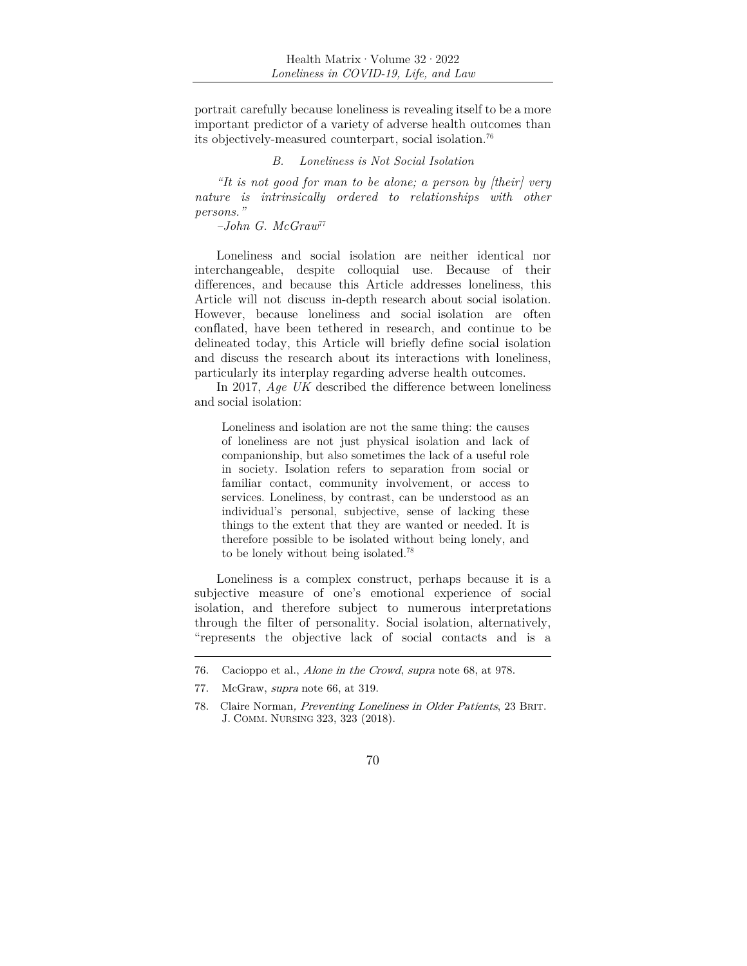portrait carefully because loneliness is revealing itself to be a more important predictor of a variety of adverse health outcomes than its objectively-measured counterpart, social isolation.76

# *B. Loneliness is Not Social Isolation*

*"It is not good for man to be alone; a person by [their] very nature is intrinsically ordered to relationships with other persons."* 

*–John G. McGraw*<sup>77</sup>

Loneliness and social isolation are neither identical nor interchangeable, despite colloquial use. Because of their differences, and because this Article addresses loneliness, this Article will not discuss in-depth research about social isolation. However, because loneliness and social isolation are often conflated, have been tethered in research, and continue to be delineated today, this Article will briefly define social isolation and discuss the research about its interactions with loneliness, particularly its interplay regarding adverse health outcomes.

In 2017, *Age UK* described the difference between loneliness and social isolation:

Loneliness and isolation are not the same thing: the causes of loneliness are not just physical isolation and lack of companionship, but also sometimes the lack of a useful role in society. Isolation refers to separation from social or familiar contact, community involvement, or access to services. Loneliness, by contrast, can be understood as an individual's personal, subjective, sense of lacking these things to the extent that they are wanted or needed. It is therefore possible to be isolated without being lonely, and to be lonely without being isolated.78

Loneliness is a complex construct, perhaps because it is a subjective measure of one's emotional experience of social isolation, and therefore subject to numerous interpretations through the filter of personality. Social isolation, alternatively, "represents the objective lack of social contacts and is a

<sup>76.</sup> Cacioppo et al., Alone in the Crowd, supra note 68, at 978.

<sup>77.</sup> McGraw, supra note 66, at 319.

<sup>78.</sup> Claire Norman, Preventing Loneliness in Older Patients, 23 BRIT. J. COMM. NURSING 323, 323 (2018).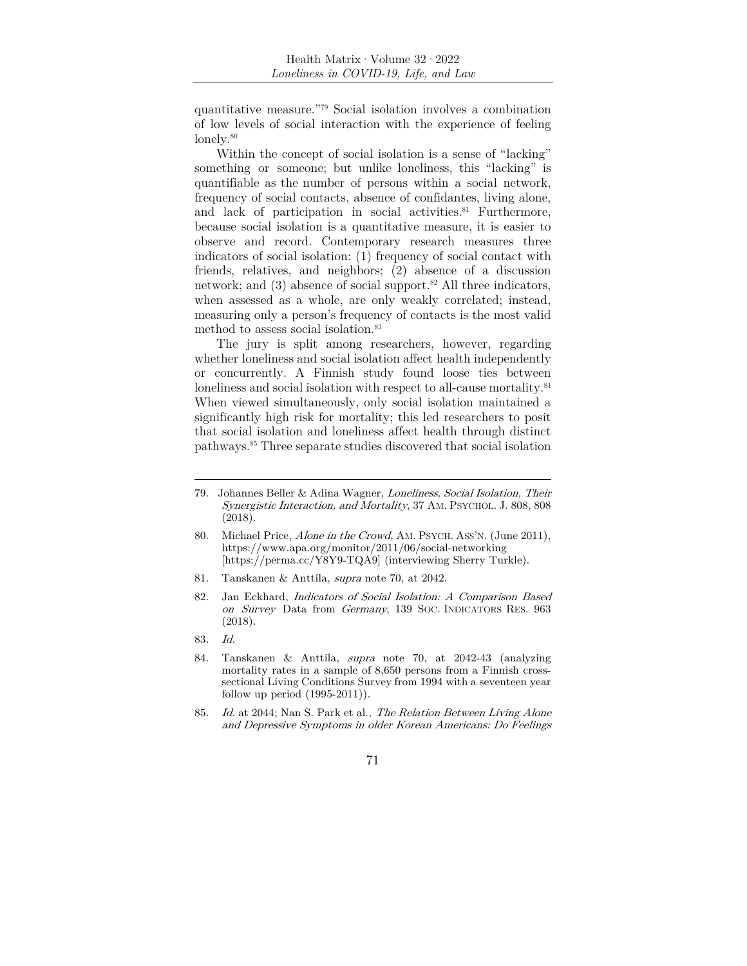quantitative measure."79 Social isolation involves a combination of low levels of social interaction with the experience of feeling lonely.<sup>80</sup>

Within the concept of social isolation is a sense of "lacking" something or someone; but unlike loneliness, this "lacking" is quantifiable as the number of persons within a social network, frequency of social contacts, absence of confidantes, living alone, and lack of participation in social activities.<sup>81</sup> Furthermore, because social isolation is a quantitative measure, it is easier to observe and record. Contemporary research measures three indicators of social isolation: (1) frequency of social contact with friends, relatives, and neighbors; (2) absence of a discussion network; and  $(3)$  absence of social support.<sup>82</sup> All three indicators, when assessed as a whole, are only weakly correlated; instead, measuring only a person's frequency of contacts is the most valid method to assess social isolation.<sup>83</sup>

The jury is split among researchers, however, regarding whether loneliness and social isolation affect health independently or concurrently. A Finnish study found loose ties between loneliness and social isolation with respect to all-cause mortality.<sup>84</sup> When viewed simultaneously, only social isolation maintained a significantly high risk for mortality; this led researchers to posit that social isolation and loneliness affect health through distinct pathways.85 Three separate studies discovered that social isolation

- 81. Tanskanen & Anttila, supra note 70, at 2042.
- 82. Jan Eckhard, Indicators of Social Isolation: A Comparison Based on Survey Data from Germany, 139 SOC. INDICATORS RES. 963 (2018).
- 83. Id.
- 84. Tanskanen & Anttila, supra note 70, at 2042-43 (analyzing mortality rates in a sample of 8,650 persons from a Finnish crosssectional Living Conditions Survey from 1994 with a seventeen year follow up period (1995-2011)).
- 85. Id. at 2044; Nan S. Park et al., The Relation Between Living Alone and Depressive Symptoms in older Korean Americans: Do Feelings

<sup>79.</sup> Johannes Beller & Adina Wagner, Loneliness, Social Isolation, Their Synergistic Interaction, and Mortality, 37 AM. PSYCHOL. J. 808, 808 (2018).

<sup>80.</sup> Michael Price, Alone in the Crowd, AM. PSYCH. ASS'N. (June 2011), https://www.apa.org/monitor/2011/06/social-networking [https://perma.cc/Y8Y9-TQA9] (interviewing Sherry Turkle).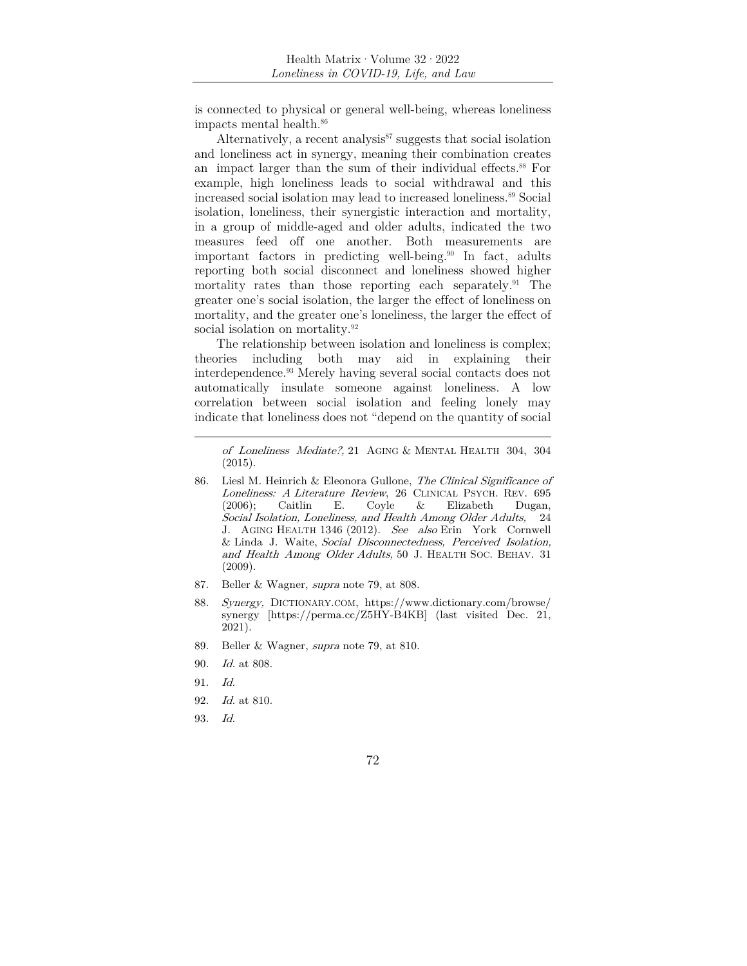is connected to physical or general well-being, whereas loneliness impacts mental health.86

Alternatively, a recent analysis $87$  suggests that social isolation and loneliness act in synergy, meaning their combination creates an impact larger than the sum of their individual effects.<sup>88</sup> For example, high loneliness leads to social withdrawal and this increased social isolation may lead to increased loneliness.89 Social isolation, loneliness, their synergistic interaction and mortality, in a group of middle-aged and older adults, indicated the two measures feed off one another. Both measurements are important factors in predicting well-being.<sup>90</sup> In fact, adults reporting both social disconnect and loneliness showed higher mortality rates than those reporting each separately.<sup>91</sup> The greater one's social isolation, the larger the effect of loneliness on mortality, and the greater one's loneliness, the larger the effect of social isolation on mortality.<sup>92</sup>

The relationship between isolation and loneliness is complex; theories including both may aid in explaining their interdependence.93 Merely having several social contacts does not automatically insulate someone against loneliness. A low correlation between social isolation and feeling lonely may indicate that loneliness does not "depend on the quantity of social

of Loneliness Mediate?, 21 AGING & MENTAL HEALTH 304, 304 (2015).

- 86. Liesl M. Heinrich & Eleonora Gullone, The Clinical Significance of Loneliness: A Literature Review, 26 CLINICAL PSYCH. REV. 695 (2006); Caitlin E. Coyle & Elizabeth Dugan, Social Isolation, Loneliness, and Health Among Older Adults, 24 J. AGING HEALTH 1346 (2012). See also Erin York Cornwell & Linda J. Waite, Social Disconnectedness, Perceived Isolation, and Health Among Older Adults, 50 J. HEALTH SOC. BEHAV. 31 (2009).
- 87. Beller & Wagner, supra note 79, at 808.
- 88. Synergy, DICTIONARY.COM, https://www.dictionary.com/browse/ synergy [https://perma.cc/Z5HY-B4KB] (last visited Dec. 21, 2021).
- 89. Beller & Wagner, supra note 79, at 810.
- 90. Id. at 808.
- 91. Id.
- 92. Id. at 810.
- 93. Id.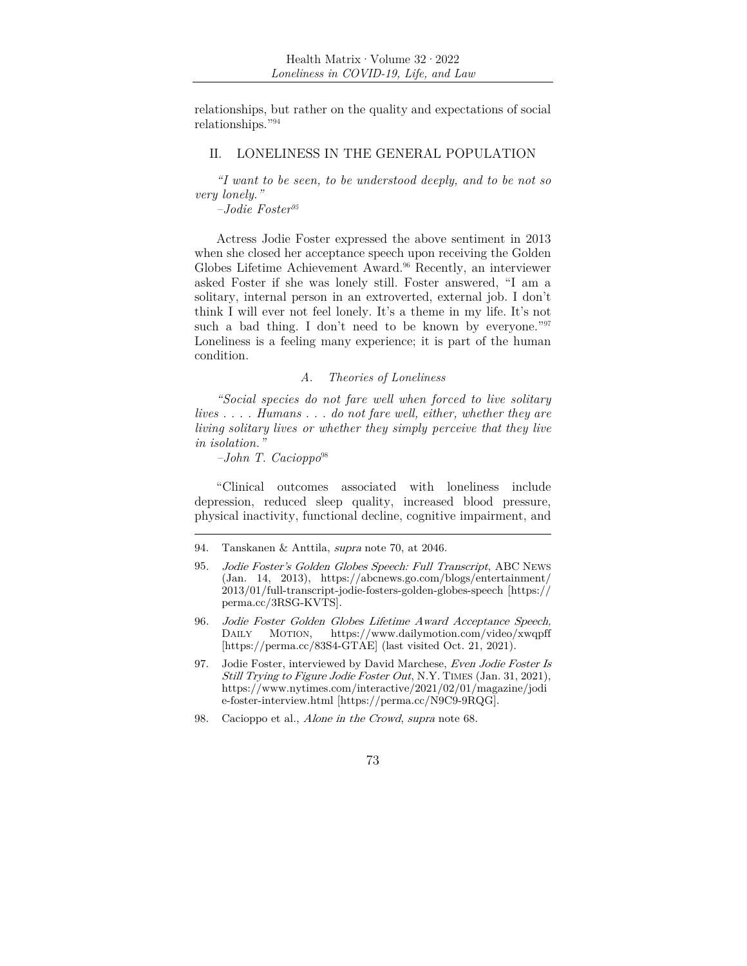relationships, but rather on the quality and expectations of social relationships."94

### II. LONELINESS IN THE GENERAL POPULATION

*"I want to be seen, to be understood deeply, and to be not so very lonely."* 

*–Jodie Foster95*

Actress Jodie Foster expressed the above sentiment in 2013 when she closed her acceptance speech upon receiving the Golden Globes Lifetime Achievement Award.<sup>96</sup> Recently, an interviewer asked Foster if she was lonely still. Foster answered, "I am a solitary, internal person in an extroverted, external job. I don't think I will ever not feel lonely. It's a theme in my life. It's not such a bad thing. I don't need to be known by everyone."<sup>97</sup> Loneliness is a feeling many experience; it is part of the human condition.

### *A. Theories of Loneliness*

*"Social species do not fare well when forced to live solitary lives . . . . Humans . . . do not fare well, either, whether they are living solitary lives or whether they simply perceive that they live in isolation."* 

*–John T. Cacioppo*<sup>98</sup>

"Clinical outcomes associated with loneliness include depression, reduced sleep quality, increased blood pressure, physical inactivity, functional decline, cognitive impairment, and

<sup>94.</sup> Tanskanen & Anttila, supra note 70, at 2046.

<sup>95</sup>. Jodie Foster's Golden Globes Speech: Full Transcript, ABC NEWS (Jan. 14, 2013), https://abcnews.go.com/blogs/entertainment/ 2013/01/full-transcript-jodie-fosters-golden-globes-speech [https:// perma.cc/3RSG-KVTS].

<sup>96</sup>. Jodie Foster Golden Globes Lifetime Award Acceptance Speech, DAILY MOTION, https://www.dailymotion.com/video/xwqpff [https://perma.cc/83S4-GTAE] (last visited Oct. 21, 2021).

<sup>97.</sup> Jodie Foster, interviewed by David Marchese, Even Jodie Foster Is Still Trying to Figure Jodie Foster Out, N.Y. TIMES (Jan. 31, 2021), https://www.nytimes.com/interactive/2021/02/01/magazine/jodi e-foster-interview.html [https://perma.cc/N9C9-9RQG].

<sup>98.</sup> Cacioppo et al., Alone in the Crowd, supra note 68.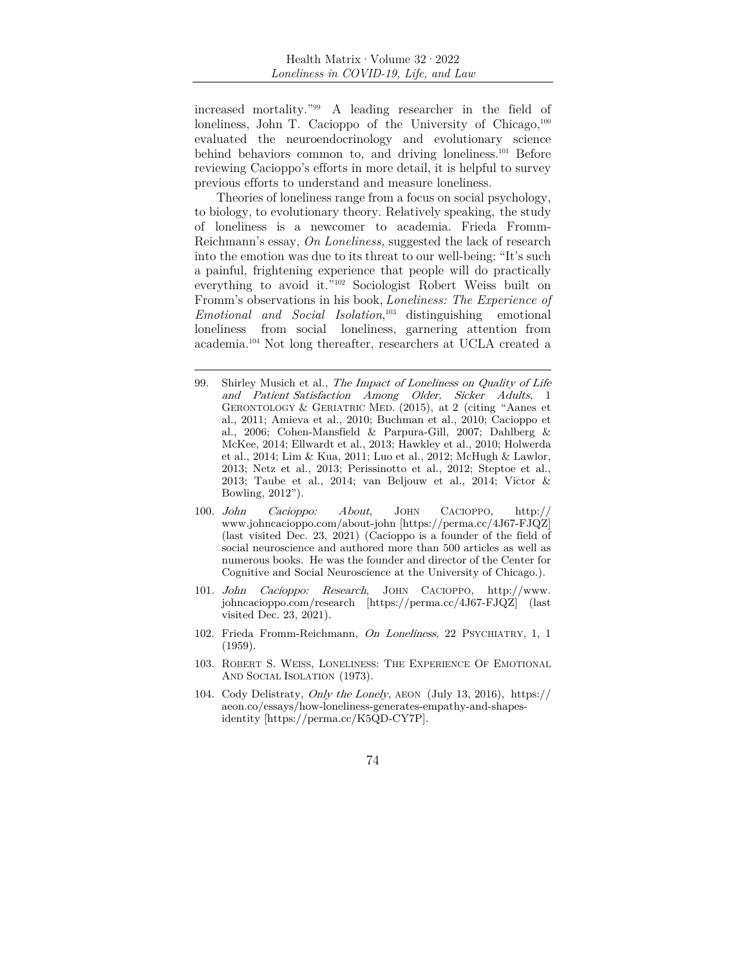increased mortality."99 A leading researcher in the field of loneliness, John T. Cacioppo of the University of Chicago, $100$ evaluated the neuroendocrinology and evolutionary science behind behaviors common to, and driving loneliness.101 Before reviewing Cacioppo's efforts in more detail, it is helpful to survey previous efforts to understand and measure loneliness.

Theories of loneliness range from a focus on social psychology, to biology, to evolutionary theory. Relatively speaking, the study of loneliness is a newcomer to academia. Frieda Fromm-Reichmann's essay, *On Loneliness,* suggested the lack of research into the emotion was due to its threat to our well-being: "It's such a painful, frightening experience that people will do practically everything to avoid it."102 Sociologist Robert Weiss built on Fromm's observations in his book, *Loneliness: The Experience of Emotional and Social Isolation*, 103 distinguishing emotional loneliness from social loneliness, garnering attention from academia.104 Not long thereafter, researchers at UCLA created a

- 99. Shirley Musich et al., The Impact of Loneliness on Quality of Life and Patient Satisfaction Among Older, Sicker Adults, 1 GERONTOLOGY & GERIATRIC MED. (2015), at 2 (citing "Aanes et al., 2011; Amieva et al., 2010; Buchman et al., 2010; Cacioppo et al., 2006; Cohen-Mansfield & Parpura-Gill, 2007; Dahlberg & McKee, 2014; Ellwardt et al., 2013; Hawkley et al., 2010; Holwerda et al., 2014; Lim & Kua, 2011; Luo et al., 2012; McHugh & Lawlor, 2013; Netz et al., 2013; Perissinotto et al., 2012; Steptoe et al., 2013; Taube et al., 2014; van Beljouw et al., 2014; Victor & Bowling, 2012").
- 100. John Cacioppo: About, JOHN CACIOPPO, http:// www.johncacioppo.com/about-john [https://perma.cc/4J67-FJQZ] (last visited Dec. 23, 2021) (Cacioppo is a founder of the field of social neuroscience and authored more than 500 articles as well as numerous books. He was the founder and director of the Center for Cognitive and Social Neuroscience at the University of Chicago.).
- 101. John Cacioppo: Research, JOHN CACIOPPO, http://www. johncacioppo.com/research [https://perma.cc/4J67-FJQZ] (last visited Dec. 23, 2021).
- 102. Frieda Fromm-Reichmann, On Loneliness, 22 PSYCHIATRY, 1, 1 (1959).
- 103. ROBERT S. WEISS, LONELINESS: THE EXPERIENCE OF EMOTIONAL AND SOCIAL ISOLATION (1973).
- 104. Cody Delistraty, Only the Lonely, AEON (July 13, 2016), https:// aeon.co/essays/how-loneliness-generates-empathy-and-shapesidentity [https://perma.cc/K5QD-CY7P].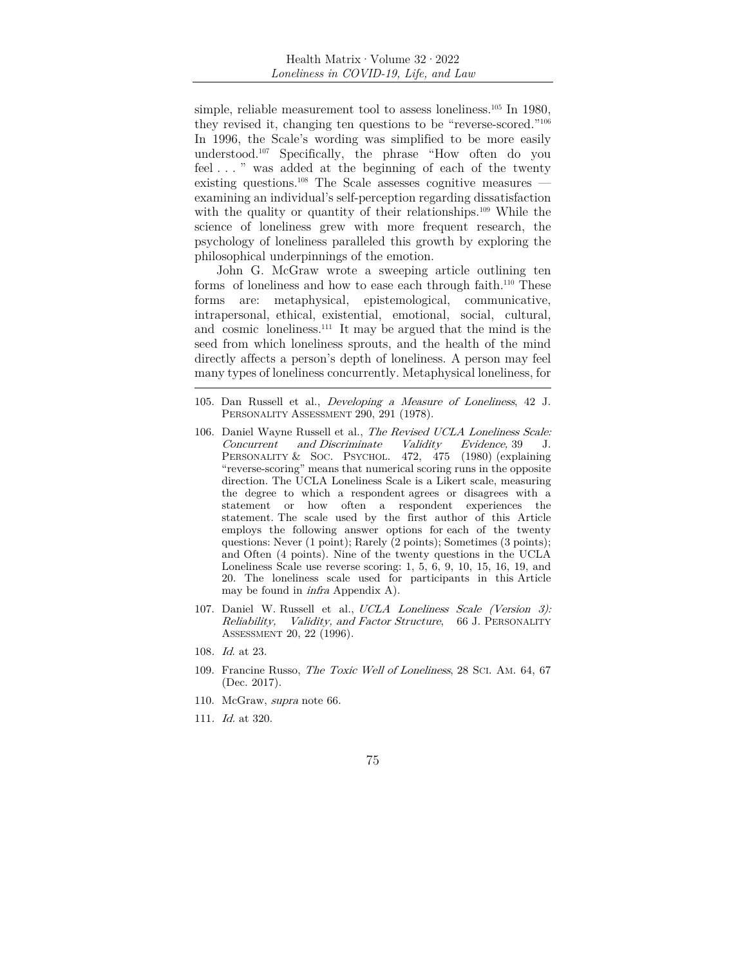simple, reliable measurement tool to assess loneliness.<sup>105</sup> In 1980, they revised it, changing ten questions to be "reverse-scored."106 In 1996, the Scale's wording was simplified to be more easily understood.107 Specifically, the phrase "How often do you feel . . . " was added at the beginning of each of the twenty existing questions.<sup>108</sup> The Scale assesses cognitive measures examining an individual's self-perception regarding dissatisfaction with the quality or quantity of their relationships.<sup>109</sup> While the science of loneliness grew with more frequent research, the psychology of loneliness paralleled this growth by exploring the philosophical underpinnings of the emotion.

John G. McGraw wrote a sweeping article outlining ten forms of loneliness and how to ease each through faith.<sup>110</sup> These forms are: metaphysical, epistemological, communicative, intrapersonal, ethical, existential, emotional, social, cultural, and cosmic loneliness.111 It may be argued that the mind is the seed from which loneliness sprouts, and the health of the mind directly affects a person's depth of loneliness. A person may feel many types of loneliness concurrently. Metaphysical loneliness, for

- 106. Daniel Wayne Russell et al., *The Revised UCLA Loneliness Scale:*<br>Concurrent and Discriminate Validity Evidence, 39 J. Concurrent and Discriminate Validity Evidence, 39 J. PERSONALITY & SOC. PSYCHOL. 472, 475 (1980) (explaining "reverse-scoring" means that numerical scoring runs in the opposite direction. The UCLA Loneliness Scale is a Likert scale, measuring the degree to which a respondent agrees or disagrees with a statement or how often a respondent experiences the statement. The scale used by the first author of this Article employs the following answer options for each of the twenty questions: Never (1 point); Rarely (2 points); Sometimes (3 points); and Often (4 points). Nine of the twenty questions in the UCLA Loneliness Scale use reverse scoring: 1, 5, 6, 9, 10, 15, 16, 19, and 20. The loneliness scale used for participants in this Article may be found in infra Appendix A).
- 107. Daniel W. Russell et al., UCLA Loneliness Scale (Version 3): Reliability, Validity, and Factor Structure, 66 J. PERSONALITY ASSESSMENT 20, 22 (1996).
- 108. Id. at 23.
- 109. Francine Russo, *The Toxic Well of Loneliness*, 28 SCI. AM. 64, 67 (Dec. 2017).
- 110. McGraw, supra note 66.
- 111. Id. at 320.
- 75

<sup>105.</sup> Dan Russell et al., Developing a Measure of Loneliness, 42 J. PERSONALITY ASSESSMENT 290, 291 (1978).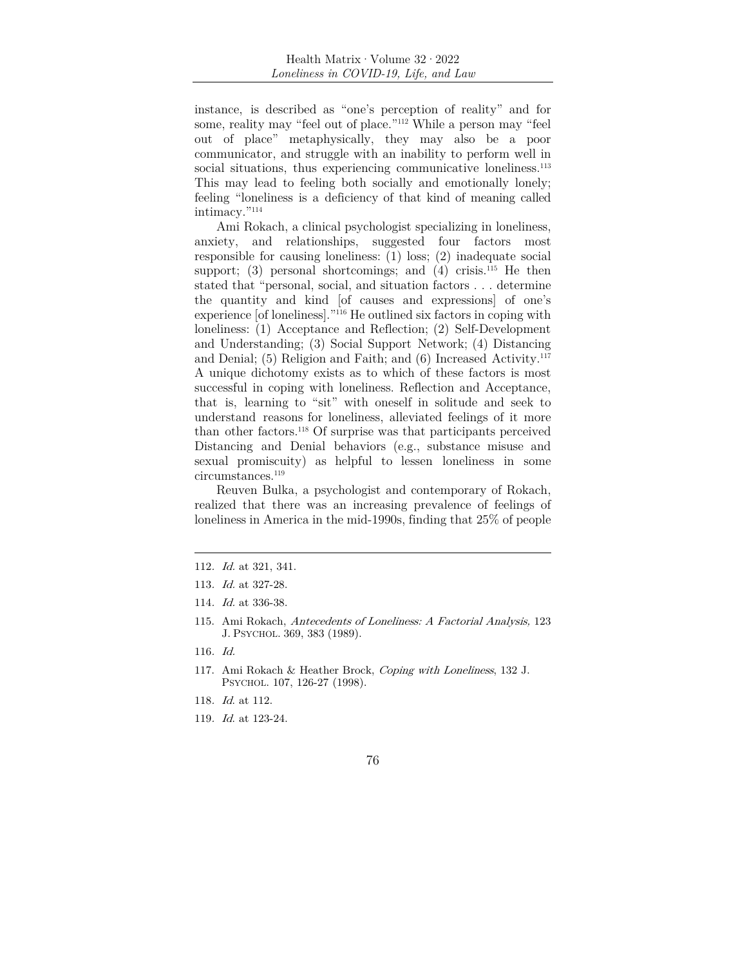instance, is described as "one's perception of reality" and for some, reality may "feel out of place."112 While a person may "feel out of place" metaphysically, they may also be a poor communicator, and struggle with an inability to perform well in social situations, thus experiencing communicative loneliness.<sup>113</sup> This may lead to feeling both socially and emotionally lonely; feeling "loneliness is a deficiency of that kind of meaning called intimacy."114

Ami Rokach, a clinical psychologist specializing in loneliness, anxiety, and relationships, suggested four factors most responsible for causing loneliness: (1) loss; (2) inadequate social support; (3) personal shortcomings; and (4) crisis.<sup>115</sup> He then stated that "personal, social, and situation factors . . . determine the quantity and kind [of causes and expressions] of one's experience [of loneliness]."116 He outlined six factors in coping with loneliness: (1) Acceptance and Reflection; (2) Self-Development and Understanding; (3) Social Support Network; (4) Distancing and Denial; (5) Religion and Faith; and (6) Increased Activity.117 A unique dichotomy exists as to which of these factors is most successful in coping with loneliness. Reflection and Acceptance, that is, learning to "sit" with oneself in solitude and seek to understand reasons for loneliness, alleviated feelings of it more than other factors.118 Of surprise was that participants perceived Distancing and Denial behaviors (e.g., substance misuse and sexual promiscuity) as helpful to lessen loneliness in some circumstances.<sup>119</sup>

Reuven Bulka, a psychologist and contemporary of Rokach, realized that there was an increasing prevalence of feelings of loneliness in America in the mid-1990s, finding that 25% of people

112. Id. at 321, 341.

- 116. Id.
- 117. Ami Rokach & Heather Brock, Coping with Loneliness, 132 J. PSYCHOL. 107, 126-27 (1998).
- 118. Id. at 112.
- 119. Id. at 123-24.

<sup>113</sup>. Id. at 327-28.

<sup>114</sup>. Id. at 336-38.

<sup>115.</sup> Ami Rokach, Antecedents of Loneliness: A Factorial Analysis, 123 J. PSYCHOL. 369, 383 (1989).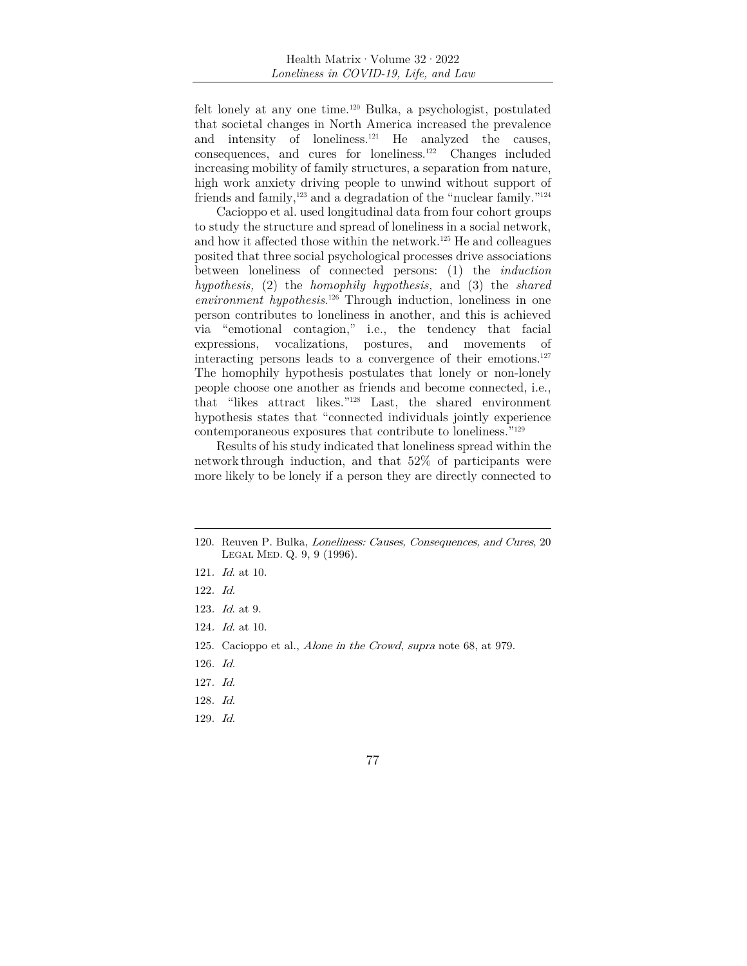felt lonely at any one time.120 Bulka, a psychologist, postulated that societal changes in North America increased the prevalence and intensity of loneliness.<sup>121</sup> He analyzed the causes, consequences, and cures for loneliness.122 Changes included increasing mobility of family structures, a separation from nature, high work anxiety driving people to unwind without support of friends and family,<sup>123</sup> and a degradation of the "nuclear family."<sup>124</sup>

Cacioppo et al. used longitudinal data from four cohort groups to study the structure and spread of loneliness in a social network, and how it affected those within the network.125 He and colleagues posited that three social psychological processes drive associations between loneliness of connected persons: (1) the *induction hypothesis,* (2) the *homophily hypothesis,* and (3) the *shared environment hypothesis*. 126 Through induction, loneliness in one person contributes to loneliness in another, and this is achieved via "emotional contagion," i.e., the tendency that facial expressions, vocalizations, postures, and movements of interacting persons leads to a convergence of their emotions. $127$ The homophily hypothesis postulates that lonely or non-lonely people choose one another as friends and become connected, i.e., that "likes attract likes."128 Last, the shared environment hypothesis states that "connected individuals jointly experience contemporaneous exposures that contribute to loneliness."129

Results of his study indicated that loneliness spread within the network through induction, and that 52% of participants were more likely to be lonely if a person they are directly connected to

129. Id.

<sup>120.</sup> Reuven P. Bulka, Loneliness: Causes, Consequences, and Cures, 20 LEGAL MED. Q. 9, 9 (1996).

<sup>121</sup>. Id. at 10.

<sup>122</sup>. Id.

<sup>123</sup>. Id. at 9.

<sup>124</sup>. Id. at 10.

<sup>125.</sup> Cacioppo et al., Alone in the Crowd, supra note 68, at 979.

<sup>126</sup>. Id.

<sup>127</sup>. Id.

<sup>128</sup>. Id.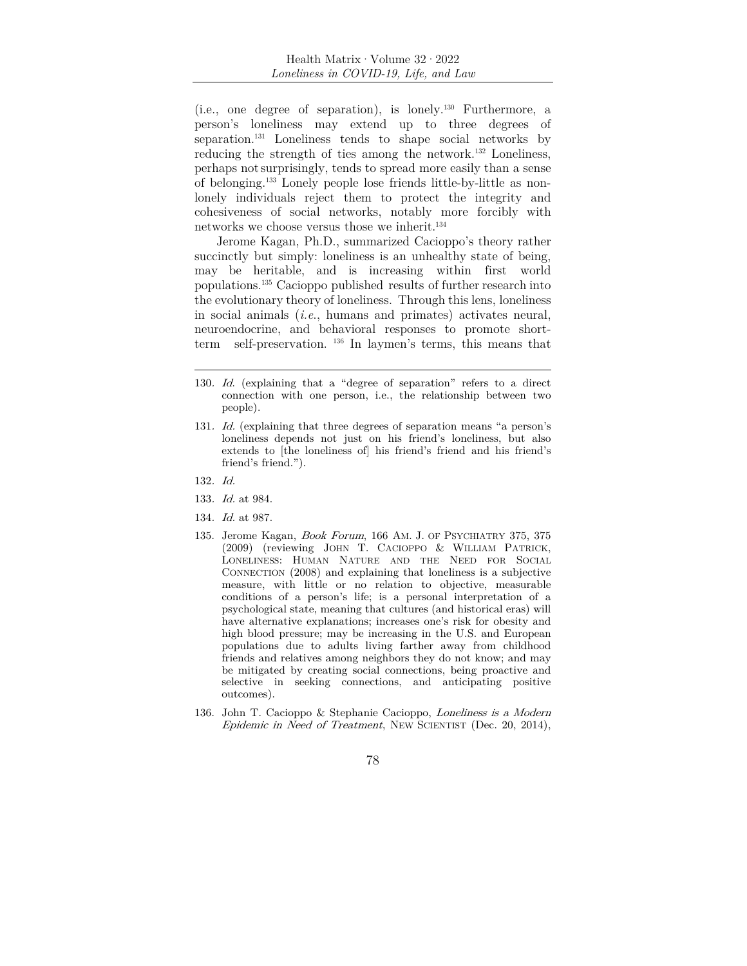(i.e., one degree of separation), is lonely.130 Furthermore, a person's loneliness may extend up to three degrees of separation.131 Loneliness tends to shape social networks by reducing the strength of ties among the network.132 Loneliness, perhaps not surprisingly, tends to spread more easily than a sense of belonging.133 Lonely people lose friends little-by-little as nonlonely individuals reject them to protect the integrity and cohesiveness of social networks, notably more forcibly with networks we choose versus those we inherit.<sup>134</sup>

Jerome Kagan, Ph.D., summarized Cacioppo's theory rather succinctly but simply: loneliness is an unhealthy state of being, may be heritable, and is increasing within first world populations.135 Cacioppo published results of further research into the evolutionary theory of loneliness. Through this lens, loneliness in social animals (*i.e*., humans and primates) activates neural, neuroendocrine, and behavioral responses to promote shortterm self-preservation. 136 In laymen's terms, this means that

- 132. Id.
- 133. Id. at 984.
- 134. Id. at 987.
- 135. Jerome Kagan, Book Forum, 166 AM. J. OF PSYCHIATRY 375, 375 (2009) (reviewing JOHN T. CACIOPPO & WILLIAM PATRICK, LONELINESS: HUMAN NATURE AND THE NEED FOR SOCIAL CONNECTION (2008) and explaining that loneliness is a subjective measure, with little or no relation to objective, measurable conditions of a person's life; is a personal interpretation of a psychological state, meaning that cultures (and historical eras) will have alternative explanations; increases one's risk for obesity and high blood pressure; may be increasing in the U.S. and European populations due to adults living farther away from childhood friends and relatives among neighbors they do not know; and may be mitigated by creating social connections, being proactive and selective in seeking connections, and anticipating positive outcomes).
- 136. John T. Cacioppo & Stephanie Cacioppo, Loneliness is a Modern Epidemic in Need of Treatment, NEW SCIENTIST (Dec. 20, 2014),
	- 78

<sup>130</sup>. Id. (explaining that a "degree of separation" refers to a direct connection with one person, i.e., the relationship between two people).

<sup>131</sup>. Id. (explaining that three degrees of separation means "a person's loneliness depends not just on his friend's loneliness, but also extends to [the loneliness of] his friend's friend and his friend's friend's friend.").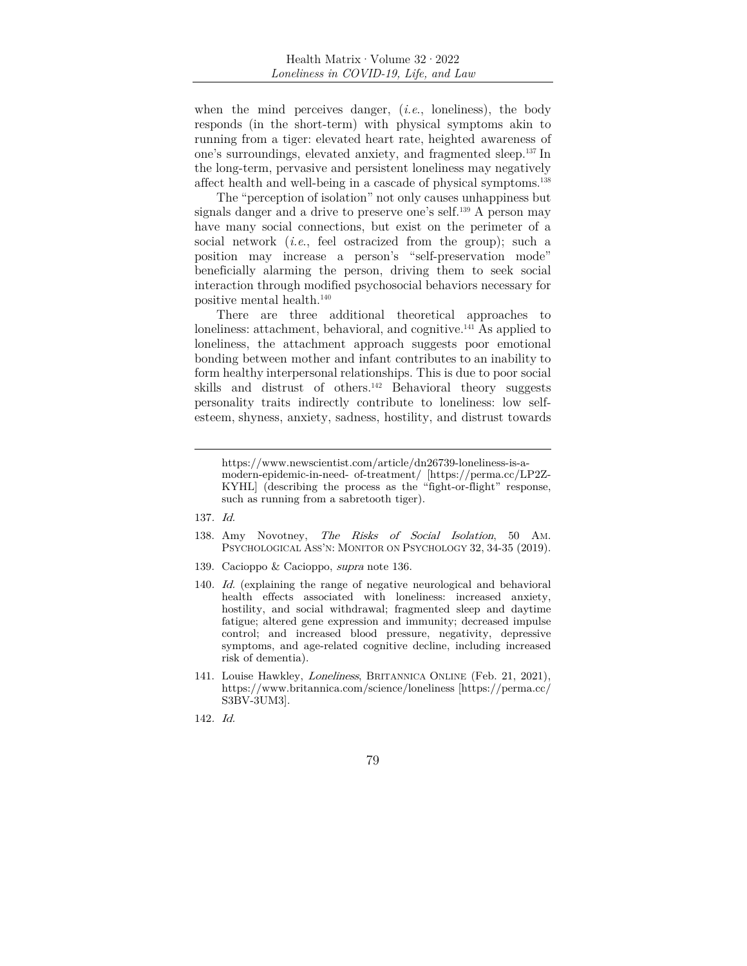when the mind perceives danger, (*i.e*., loneliness), the body responds (in the short-term) with physical symptoms akin to running from a tiger: elevated heart rate, heighted awareness of one's surroundings, elevated anxiety, and fragmented sleep.137 In the long-term, pervasive and persistent loneliness may negatively affect health and well-being in a cascade of physical symptoms.138

The "perception of isolation" not only causes unhappiness but signals danger and a drive to preserve one's self.<sup>139</sup> A person may have many social connections, but exist on the perimeter of a social network (*i.e*., feel ostracized from the group); such a position may increase a person's "self-preservation mode" beneficially alarming the person, driving them to seek social interaction through modified psychosocial behaviors necessary for positive mental health.140

There are three additional theoretical approaches to loneliness: attachment, behavioral, and cognitive.<sup>141</sup> As applied to loneliness, the attachment approach suggests poor emotional bonding between mother and infant contributes to an inability to form healthy interpersonal relationships. This is due to poor social skills and distrust of others.<sup>142</sup> Behavioral theory suggests personality traits indirectly contribute to loneliness: low selfesteem, shyness, anxiety, sadness, hostility, and distrust towards

- 138. Amy Novotney, The Risks of Social Isolation, 50 AM. PSYCHOLOGICAL ASS'N: MONITOR ON PSYCHOLOGY 32, 34-35 (2019).
- 139. Cacioppo & Cacioppo, supra note 136.
- 140. Id. (explaining the range of negative neurological and behavioral health effects associated with loneliness: increased anxiety, hostility, and social withdrawal; fragmented sleep and daytime fatigue; altered gene expression and immunity; decreased impulse control; and increased blood pressure, negativity, depressive symptoms, and age-related cognitive decline, including increased risk of dementia).
- 141. Louise Hawkley, Loneliness, BRITANNICA ONLINE (Feb. 21, 2021), https://www.britannica.com/science/loneliness [https://perma.cc/ S3BV-3UM3].
- 142. Id.

https://www.newscientist.com/article/dn26739-loneliness-is-amodern-epidemic-in-need- of-treatment/ [https://perma.cc/LP2Z-KYHL] (describing the process as the "fight-or-flight" response, such as running from a sabretooth tiger).

<sup>137</sup>. Id.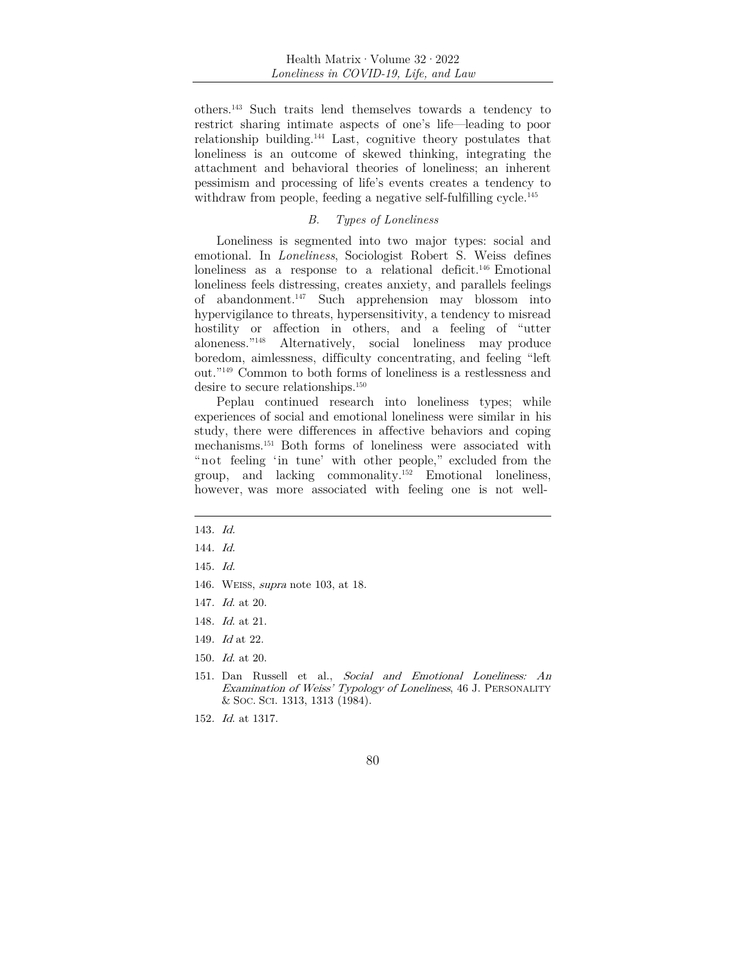others.143 Such traits lend themselves towards a tendency to restrict sharing intimate aspects of one's life—leading to poor relationship building.144 Last, cognitive theory postulates that loneliness is an outcome of skewed thinking, integrating the attachment and behavioral theories of loneliness; an inherent pessimism and processing of life's events creates a tendency to withdraw from people, feeding a negative self-fulfilling cycle.<sup>145</sup>

#### *B. Types of Loneliness*

Loneliness is segmented into two major types: social and emotional. In *Loneliness*, Sociologist Robert S. Weiss defines loneliness as a response to a relational deficit.<sup>146</sup> Emotional loneliness feels distressing, creates anxiety, and parallels feelings of abandonment.147 Such apprehension may blossom into hypervigilance to threats, hypersensitivity, a tendency to misread hostility or affection in others, and a feeling of "utter aloneness."148 Alternatively, social loneliness may produce boredom, aimlessness, difficulty concentrating, and feeling "left out."149 Common to both forms of loneliness is a restlessness and desire to secure relationships.<sup>150</sup>

Peplau continued research into loneliness types; while experiences of social and emotional loneliness were similar in his study, there were differences in affective behaviors and coping mechanisms.151 Both forms of loneliness were associated with "not feeling 'in tune' with other people," excluded from the group, and lacking commonality.152 Emotional loneliness, however, was more associated with feeling one is not well-

- 145. Id.
- 146. WEISS, supra note 103, at 18.
- 147. Id. at 20.
- 148. Id. at 21.
- 149. Id at 22.
- 150. Id. at 20.
- 151. Dan Russell et al., Social and Emotional Loneliness: An Examination of Weiss' Typology of Loneliness, 46 J. PERSONALITY & SOC. SCI. 1313, 1313 (1984).
- 152. Id. at 1317.

<sup>143</sup>. Id.

<sup>144</sup>. Id.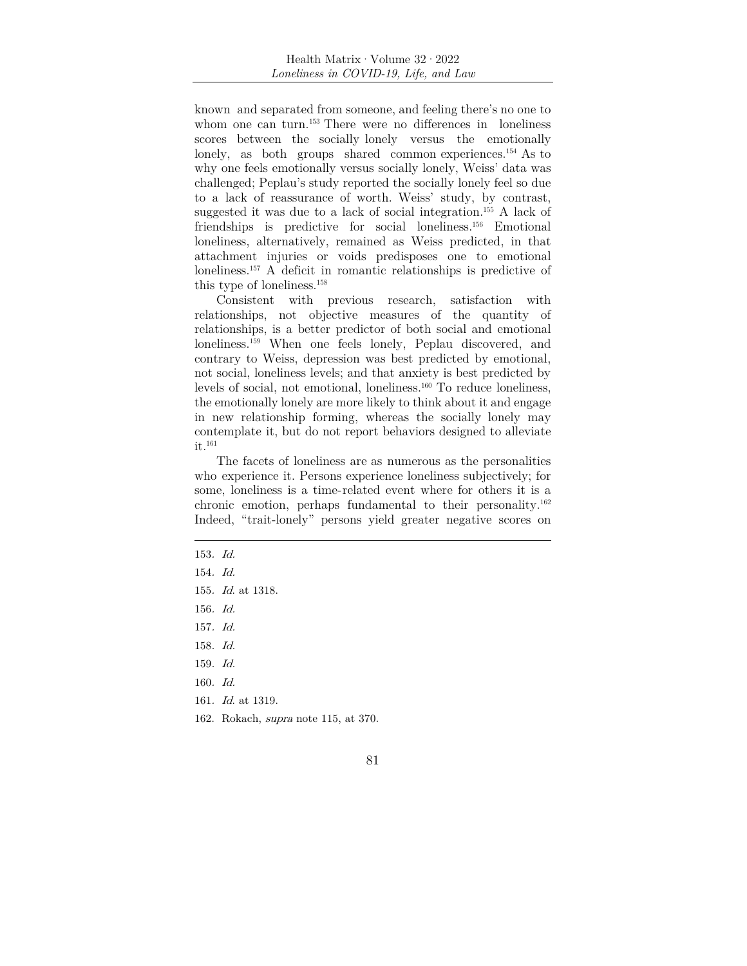known and separated from someone, and feeling there's no one to whom one can turn.<sup>153</sup> There were no differences in loneliness scores between the socially lonely versus the emotionally lonely, as both groups shared common experiences.<sup>154</sup> As to why one feels emotionally versus socially lonely, Weiss' data was challenged; Peplau's study reported the socially lonely feel so due to a lack of reassurance of worth. Weiss' study, by contrast, suggested it was due to a lack of social integration.155 A lack of friendships is predictive for social loneliness.156 Emotional loneliness, alternatively, remained as Weiss predicted, in that attachment injuries or voids predisposes one to emotional loneliness.157 A deficit in romantic relationships is predictive of this type of loneliness.158

Consistent with previous research, satisfaction with relationships, not objective measures of the quantity of relationships, is a better predictor of both social and emotional loneliness.<sup>159</sup> When one feels lonely, Peplau discovered, and contrary to Weiss, depression was best predicted by emotional, not social, loneliness levels; and that anxiety is best predicted by levels of social, not emotional, loneliness.<sup>160</sup> To reduce loneliness, the emotionally lonely are more likely to think about it and engage in new relationship forming, whereas the socially lonely may contemplate it, but do not report behaviors designed to alleviate it.161

The facets of loneliness are as numerous as the personalities who experience it. Persons experience loneliness subjectively; for some, loneliness is a time- related event where for others it is a chronic emotion, perhaps fundamental to their personality.162 Indeed, "trait-lonely" persons yield greater negative scores on

- 153. Id.
- 154. Id.
- 155. Id. at 1318.
- 156. Id.
- 157. Id.
- 158. Id.
- 159. Id.
- 160. Id.
- 161. Id. at 1319.
- 162. Rokach, supra note 115, at 370.
	- 81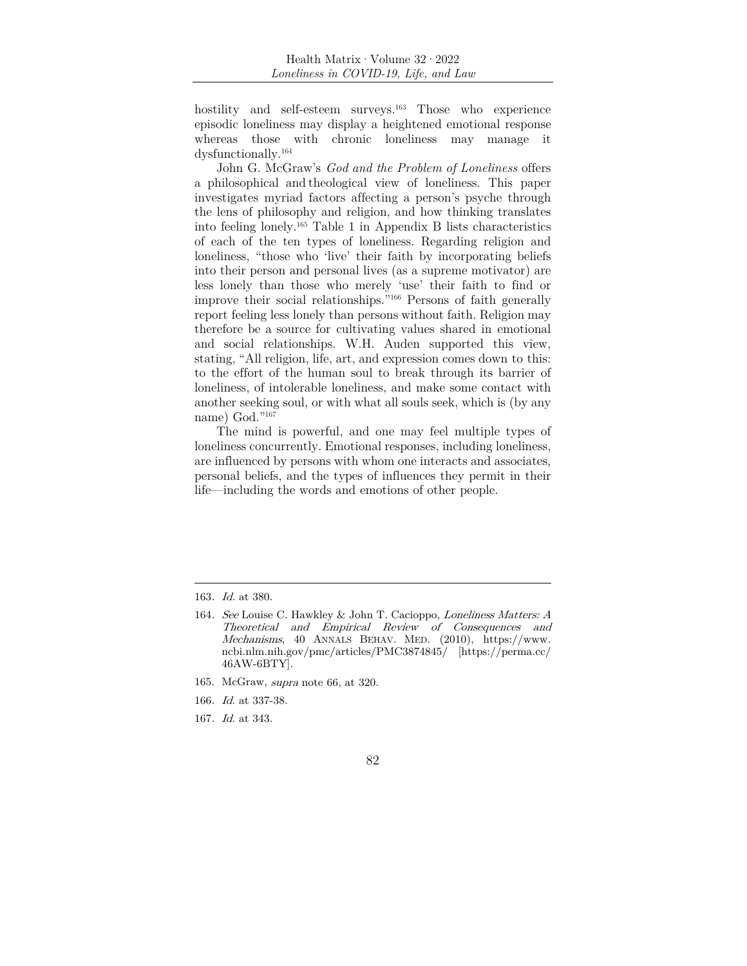hostility and self-esteem surveys.<sup>163</sup> Those who experience episodic loneliness may display a heightened emotional response whereas those with chronic loneliness may manage it dysfunctionally.164

John G. McGraw's *God and the Problem of Loneliness* offers a philosophical and theological view of loneliness. This paper investigates myriad factors affecting a person's psyche through the lens of philosophy and religion, and how thinking translates into feeling lonely.165 Table 1 in Appendix B lists characteristics of each of the ten types of loneliness. Regarding religion and loneliness, "those who 'live' their faith by incorporating beliefs into their person and personal lives (as a supreme motivator) are less lonely than those who merely 'use' their faith to find or improve their social relationships."166 Persons of faith generally report feeling less lonely than persons without faith. Religion may therefore be a source for cultivating values shared in emotional and social relationships. W.H. Auden supported this view, stating, "All religion, life, art, and expression comes down to this: to the effort of the human soul to break through its barrier of loneliness, of intolerable loneliness, and make some contact with another seeking soul, or with what all souls seek, which is (by any name) God."167

The mind is powerful, and one may feel multiple types of loneliness concurrently. Emotional responses, including loneliness, are influenced by persons with whom one interacts and associates, personal beliefs, and the types of influences they permit in their life—including the words and emotions of other people.

- 165. McGraw, supra note 66, at 320.
- 166. Id. at 337-38.
- 167. Id. at 343.

<sup>163</sup>. Id. at 380.

<sup>164</sup>. See Louise C. Hawkley & John T. Cacioppo, Loneliness Matters: A Theoretical and Empirical Review of Consequences and Mechanisms, 40 ANNALS BEHAV. MED. (2010), https://www. ncbi.nlm.nih.gov/pmc/articles/PMC3874845/ [https://perma.cc/ 46AW-6BTY].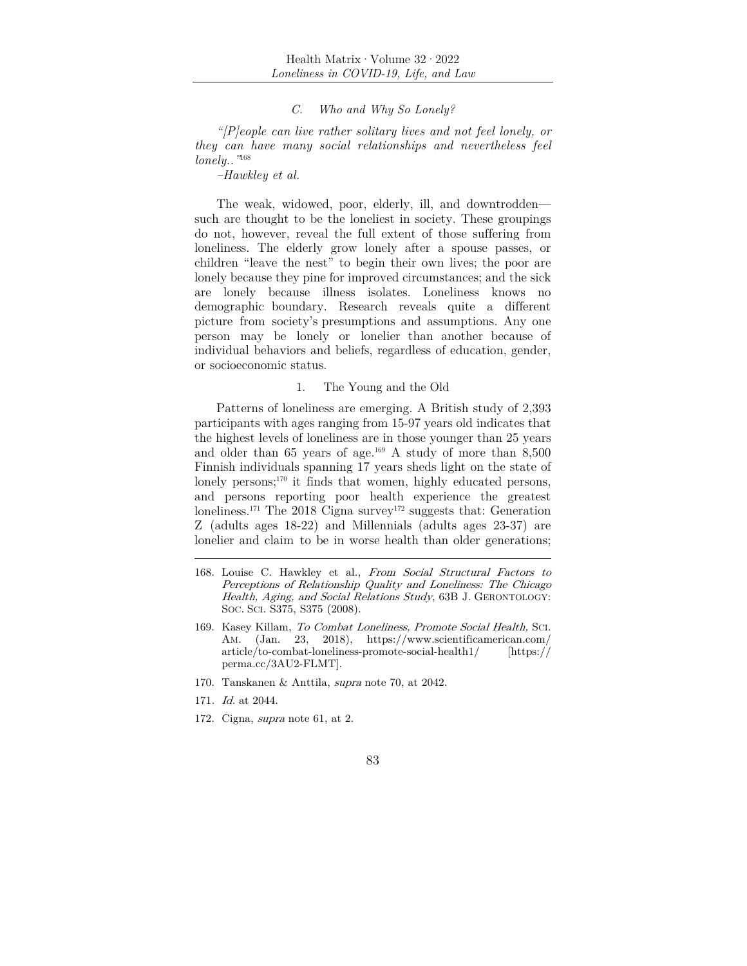#### *C. Who and Why So Lonely?*

*"[P]eople can live rather solitary lives and not feel lonely, or they can have many social relationships and nevertheless feel lonely.."*168

*–Hawkley et al.* 

The weak, widowed, poor, elderly, ill, and downtrodden such are thought to be the loneliest in society. These groupings do not, however, reveal the full extent of those suffering from loneliness. The elderly grow lonely after a spouse passes, or children "leave the nest" to begin their own lives; the poor are lonely because they pine for improved circumstances; and the sick are lonely because illness isolates. Loneliness knows no demographic boundary. Research reveals quite a different picture from society's presumptions and assumptions. Any one person may be lonely or lonelier than another because of individual behaviors and beliefs, regardless of education, gender, or socioeconomic status.

#### 1. The Young and the Old

Patterns of loneliness are emerging. A British study of 2,393 participants with ages ranging from 15-97 years old indicates that the highest levels of loneliness are in those younger than 25 years and older than  $65$  years of age.<sup>169</sup> A study of more than  $8,500$ Finnish individuals spanning 17 years sheds light on the state of lonely persons;<sup>170</sup> it finds that women, highly educated persons, and persons reporting poor health experience the greatest loneliness.<sup>171</sup> The 2018 Cigna survey<sup>172</sup> suggests that: Generation Z (adults ages 18-22) and Millennials (adults ages 23-37) are lonelier and claim to be in worse health than older generations;

- 170. Tanskanen & Anttila, supra note 70, at 2042.
- 171. Id. at 2044.
- 172. Cigna, supra note 61, at 2.

<sup>168.</sup> Louise C. Hawkley et al., From Social Structural Factors to Perceptions of Relationship Quality and Loneliness: The Chicago Health, Aging, and Social Relations Study, 63B J. GERONTOLOGY: SOC. SCI. S375, S375 (2008).

<sup>169.</sup> Kasey Killam, To Combat Loneliness, Promote Social Health, SCI. AM. (Jan. 23, 2018), https://www.scientificamerican.com/ article/to-combat-loneliness-promote-social-health1/ [https:// perma.cc/3AU2-FLMT].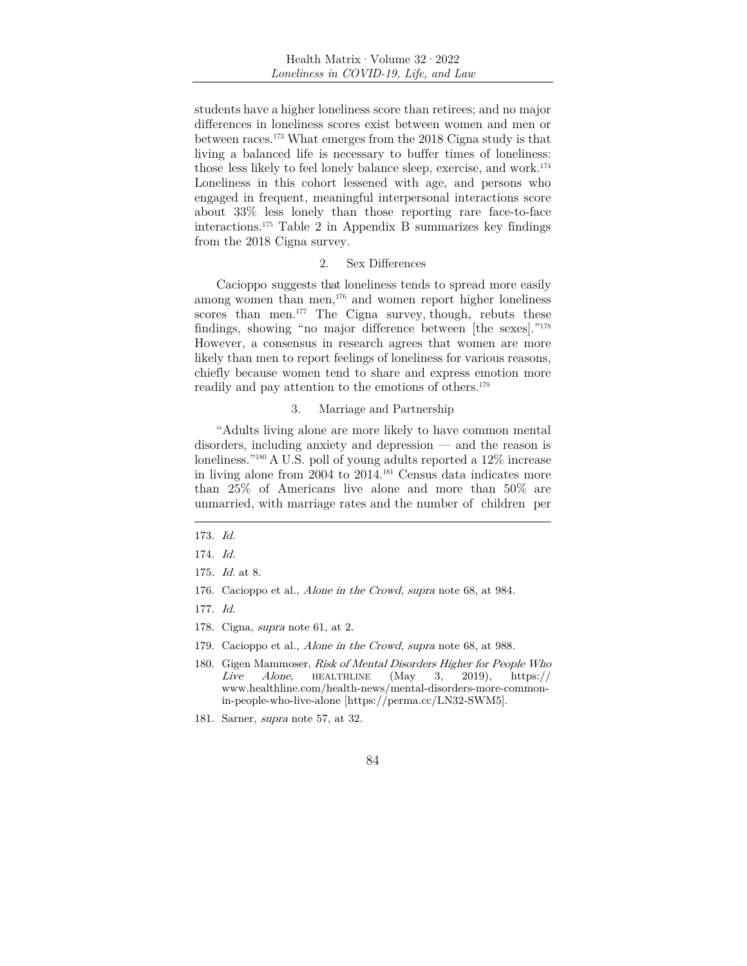students have a higher loneliness score than retirees; and no major differences in loneliness scores exist between women and men or between races.173 What emerges from the 2018 Cigna study is that living a balanced life is necessary to buffer times of loneliness: those less likely to feel lonely balance sleep, exercise, and work.174 Loneliness in this cohort lessened with age, and persons who engaged in frequent, meaningful interpersonal interactions score about 33% less lonely than those reporting rare face-to-face interactions.175 Table 2 in Appendix B summarizes key findings from the 2018 Cigna survey.

#### 2. Sex Differences

Cacioppo suggests that loneliness tends to spread more easily among women than men, $176$  and women report higher loneliness scores than men. $177$  The Cigna survey, though, rebuts these findings, showing "no major difference between [the sexes]."178 However, a consensus in research agrees that women are more likely than men to report feelings of loneliness for various reasons, chiefly because women tend to share and express emotion more readily and pay attention to the emotions of others.<sup>179</sup>

#### 3. Marriage and Partnership

"Adults living alone are more likely to have common mental disorders, including anxiety and depression — and the reason is loneliness."180 A U.S. poll of young adults reported a 12% increase in living alone from 2004 to 2014.181 Census data indicates more than 25% of Americans live alone and more than 50% are unmarried, with marriage rates and the number of children per

- 176. Cacioppo et al., Alone in the Crowd, supra note 68, at 984.
- 177. Id.
- 178. Cigna, supra note 61, at 2.
- 179. Cacioppo et al., Alone in the Crowd, supra note 68, at 988.
- 180. Gigen Mammoser, *Risk of Mental Disorders Higher for People Who*<br>*Live Alone*, HEALTHLINE (May 3, 2019), https:// Live Alone, HEALTHLINE  $(May \t 3, 2019)$ , https:// www.healthline.com/health-news/mental-disorders-more-commonin-people-who-live-alone [https://perma.cc/LN32-SWM5].
- 181. Sarner, supra note 57, at 32.

<sup>173</sup>. Id.

<sup>174</sup>. Id.

<sup>175</sup>. Id. at 8.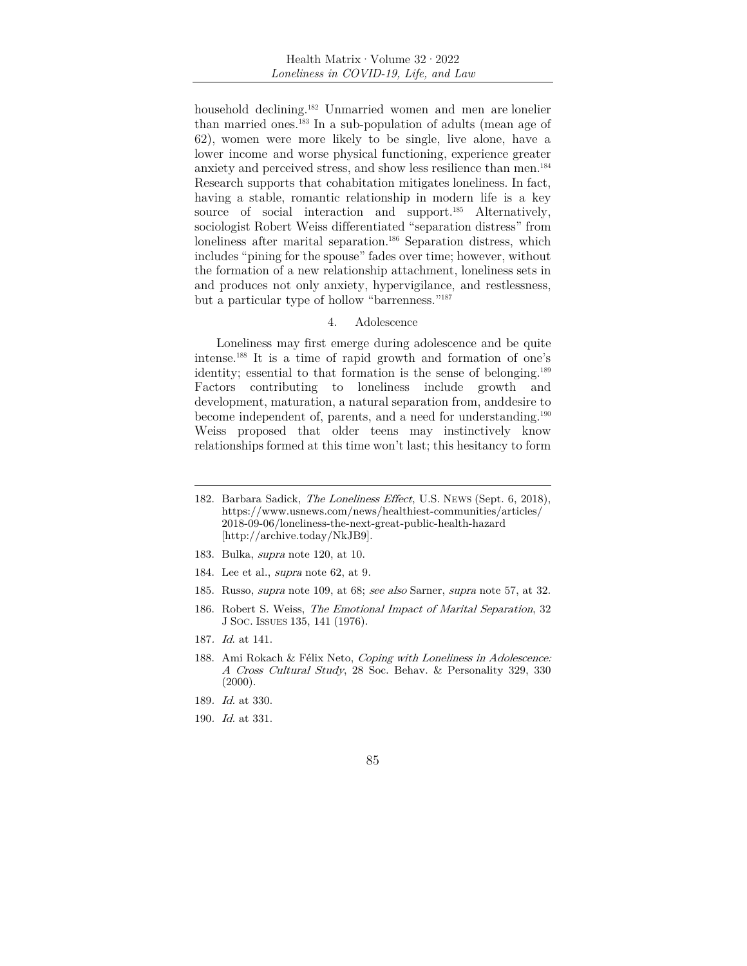household declining.182 Unmarried women and men are lonelier than married ones.183 In a sub-population of adults (mean age of 62), women were more likely to be single, live alone, have a lower income and worse physical functioning, experience greater anxiety and perceived stress, and show less resilience than men.184 Research supports that cohabitation mitigates loneliness. In fact, having a stable, romantic relationship in modern life is a key source of social interaction and support.<sup>185</sup> Alternatively, sociologist Robert Weiss differentiated "separation distress" from loneliness after marital separation.<sup>186</sup> Separation distress, which includes "pining for the spouse" fades over time; however, without the formation of a new relationship attachment, loneliness sets in and produces not only anxiety, hypervigilance, and restlessness, but a particular type of hollow "barrenness."187

#### 4. Adolescence

Loneliness may first emerge during adolescence and be quite intense.188 It is a time of rapid growth and formation of one's identity; essential to that formation is the sense of belonging.189 Factors contributing to loneliness include growth and development, maturation, a natural separation from, and desire to become independent of, parents, and a need for understanding.<sup>190</sup> Weiss proposed that older teens may instinctively know relationships formed at this time won't last; this hesitancy to form

- 183. Bulka, supra note 120, at 10.
- 184. Lee et al., supra note 62, at 9.
- 185. Russo, supra note 109, at 68; see also Sarner, supra note 57, at 32.
- 186. Robert S. Weiss, The Emotional Impact of Marital Separation, 32 J SOC. ISSUES 135, 141 (1976).
- 187. Id. at 141.
- 188. Ami Rokach & Félix Neto, Coping with Loneliness in Adolescence: A Cross Cultural Study, 28 Soc. Behav. & Personality 329, 330  $(2000).$
- 189. Id. at 330.
- 190. Id. at 331.
- 85

<sup>182.</sup> Barbara Sadick, The Loneliness Effect, U.S. NEWS (Sept. 6, 2018), https://www.usnews.com/news/healthiest-communities/articles/ 2018-09-06/loneliness-the-next-great-public-health-hazard [http://archive.today/NkJB9].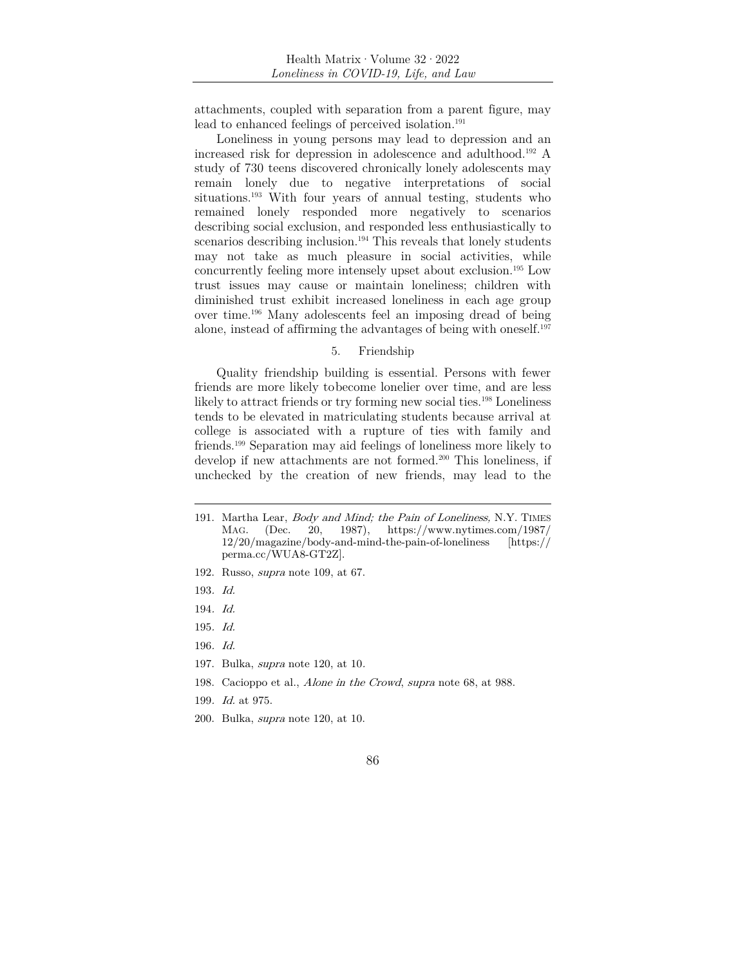attachments, coupled with separation from a parent figure, may lead to enhanced feelings of perceived isolation.<sup>191</sup>

Loneliness in young persons may lead to depression and an increased risk for depression in adolescence and adulthood.192 A study of 730 teens discovered chronically lonely adolescents may remain lonely due to negative interpretations of social situations.<sup>193</sup> With four years of annual testing, students who remained lonely responded more negatively to scenarios describing social exclusion, and responded less enthusiastically to scenarios describing inclusion.<sup>194</sup> This reveals that lonely students may not take as much pleasure in social activities, while concurrently feeling more intensely upset about exclusion.195 Low trust issues may cause or maintain loneliness; children with diminished trust exhibit increased loneliness in each age group over time.196 Many adolescents feel an imposing dread of being alone, instead of affirming the advantages of being with oneself.197

#### 5. Friendship

Quality friendship building is essential. Persons with fewer friends are more likely to become lonelier over time, and are less likely to attract friends or try forming new social ties.<sup>198</sup> Loneliness tends to be elevated in matriculating students because arrival at college is associated with a rupture of ties with family and friends.199 Separation may aid feelings of loneliness more likely to develop if new attachments are not formed.<sup>200</sup> This loneliness, if unchecked by the creation of new friends, may lead to the

- 192. Russo, supra note 109, at 67.
- 193. Id.
- 194. Id.
- 195. Id.
- 196. Id.
- 197. Bulka, supra note 120, at 10.
- 198. Cacioppo et al., Alone in the Crowd, supra note 68, at 988.
- 199. Id. at 975.
- 200. Bulka, supra note 120, at 10.

<sup>191.</sup> Martha Lear, Body and Mind; the Pain of Loneliness, N.Y. TIMES MAG. (Dec. 20, 1987), https://www.nytimes.com/1987/ 12/20/magazine/body-and-mind-the-pain-of-loneliness [https:// perma.cc/WUA8-GT2Z].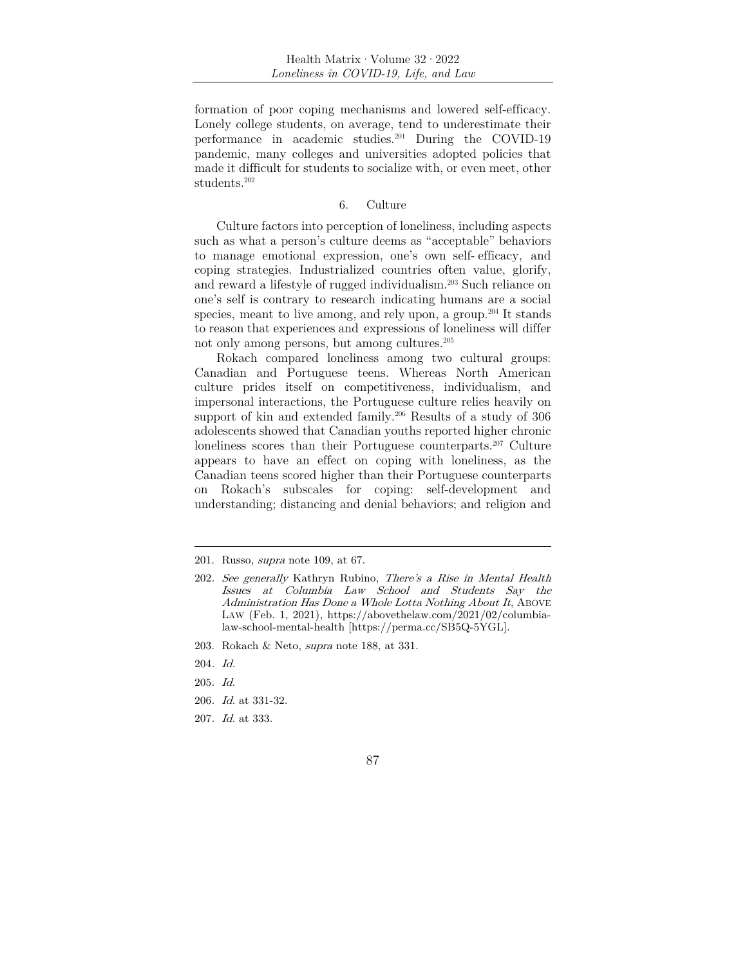formation of poor coping mechanisms and lowered self-efficacy. Lonely college students, on average, tend to underestimate their performance in academic studies.201 During the COVID-19 pandemic, many colleges and universities adopted policies that made it difficult for students to socialize with, or even meet, other students.<sup>202</sup>

#### 6. Culture

Culture factors into perception of loneliness, including aspects such as what a person's culture deems as "acceptable" behaviors to manage emotional expression, one's own self- efficacy, and coping strategies. Industrialized countries often value, glorify, and reward a lifestyle of rugged individualism.203 Such reliance on one's self is contrary to research indicating humans are a social species, meant to live among, and rely upon, a group.<sup>204</sup> It stands to reason that experiences and expressions of loneliness will differ not only among persons, but among cultures.205

Rokach compared loneliness among two cultural groups: Canadian and Portuguese teens. Whereas North American culture prides itself on competitiveness, individualism, and impersonal interactions, the Portuguese culture relies heavily on support of kin and extended family.<sup>206</sup> Results of a study of 306 adolescents showed that Canadian youths reported higher chronic loneliness scores than their Portuguese counterparts.<sup>207</sup> Culture appears to have an effect on coping with loneliness, as the Canadian teens scored higher than their Portuguese counterparts on Rokach's subscales for coping: self-development and understanding; distancing and denial behaviors; and religion and

203. Rokach & Neto, supra note 188, at 331.

- 205. Id.
- 206. Id. at 331-32.
- 207. Id. at 333.

<sup>201.</sup> Russo, supra note 109, at 67.

<sup>202</sup>. See generally Kathryn Rubino, There's a Rise in Mental Health Issues at Columbia Law School and Students Say the Administration Has Done a Whole Lotta Nothing About It, ABOVE LAW (Feb. 1, 2021), https://abovethelaw.com/2021/02/columbialaw-school-mental-health [https://perma.cc/SB5Q-5YGL].

<sup>204</sup>. Id.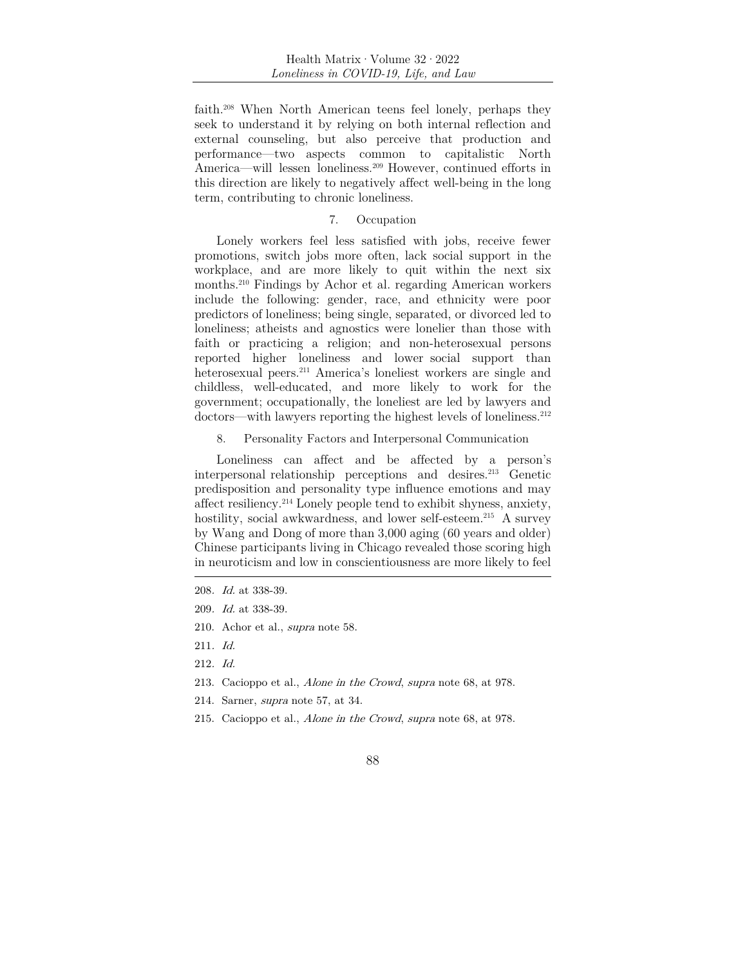faith.208 When North American teens feel lonely, perhaps they seek to understand it by relying on both internal reflection and external counseling, but also perceive that production and performance—two aspects common to capitalistic North America—will lessen loneliness.209 However, continued efforts in this direction are likely to negatively affect well-being in the long term, contributing to chronic loneliness.

#### 7. Occupation

Lonely workers feel less satisfied with jobs, receive fewer promotions, switch jobs more often, lack social support in the workplace, and are more likely to quit within the next six months.210 Findings by Achor et al. regarding American workers include the following: gender, race, and ethnicity were poor predictors of loneliness; being single, separated, or divorced led to loneliness; atheists and agnostics were lonelier than those with faith or practicing a religion; and non-heterosexual persons reported higher loneliness and lower social support than heterosexual peers.<sup>211</sup> America's loneliest workers are single and childless, well-educated, and more likely to work for the government; occupationally, the loneliest are led by lawyers and doctors—with lawyers reporting the highest levels of loneliness.<sup>212</sup>

8. Personality Factors and Interpersonal Communication

Loneliness can affect and be affected by a person's interpersonal relationship perceptions and desires.213 Genetic predisposition and personality type influence emotions and may affect resiliency.214 Lonely people tend to exhibit shyness, anxiety, hostility, social awkwardness, and lower self-esteem.<sup>215</sup> A survey by Wang and Dong of more than 3,000 aging (60 years and older) Chinese participants living in Chicago revealed those scoring high in neuroticism and low in conscientiousness are more likely to feel

- 210. Achor et al., supra note 58.
- 211. Id.
- 212. Id.
- 213. Cacioppo et al., Alone in the Crowd, supra note 68, at 978.
- 214. Sarner, supra note 57, at 34.
- 215. Cacioppo et al., Alone in the Crowd, supra note 68, at 978.

<sup>208</sup>. Id. at 338-39.

<sup>209</sup>. Id. at 338-39.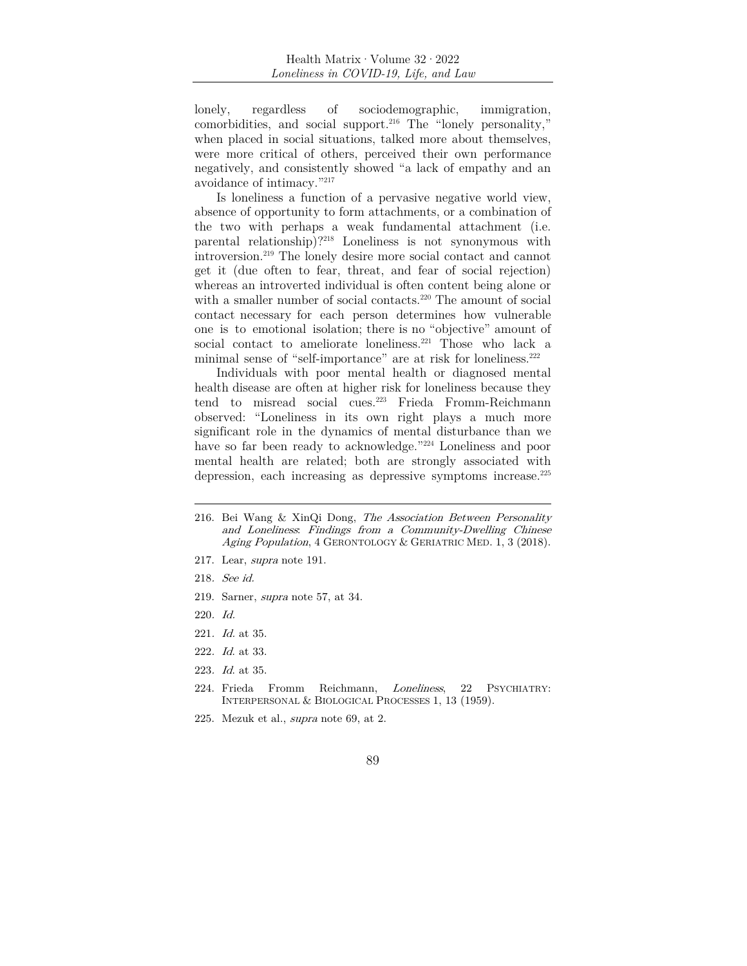lonely, regardless of sociodemographic, immigration, comorbidities, and social support.216 The "lonely personality," when placed in social situations, talked more about themselves, were more critical of others, perceived their own performance negatively, and consistently showed "a lack of empathy and an avoidance of intimacy."217

Is loneliness a function of a pervasive negative world view, absence of opportunity to form attachments, or a combination of the two with perhaps a weak fundamental attachment (i.e. parental relationship)?218 Loneliness is not synonymous with introversion.219 The lonely desire more social contact and cannot get it (due often to fear, threat, and fear of social rejection) whereas an introverted individual is often content being alone or with a smaller number of social contacts.<sup>220</sup> The amount of social contact necessary for each person determines how vulnerable one is to emotional isolation; there is no "objective" amount of social contact to ameliorate loneliness.<sup>221</sup> Those who lack a minimal sense of "self-importance" are at risk for loneliness.222

Individuals with poor mental health or diagnosed mental health disease are often at higher risk for loneliness because they tend to misread social cues.223 Frieda Fromm-Reichmann observed: "Loneliness in its own right plays a much more significant role in the dynamics of mental disturbance than we have so far been ready to acknowledge."<sup>224</sup> Loneliness and poor mental health are related; both are strongly associated with depression, each increasing as depressive symptoms increase.225

- 217. Lear, supra note 191.
- 218. See id.
- 219. Sarner, supra note 57, at 34.
- 220. Id.
- 221. Id. at 35.
- 222. Id. at 33.
- 223. Id. at 35.
- 224. Frieda Fromm Reichmann, Loneliness, 22 PSYCHIATRY: INTERPERSONAL & BIOLOGICAL PROCESSES 1, 13 (1959).
- 225. Mezuk et al., supra note 69, at 2.

<sup>216.</sup> Bei Wang & XinQi Dong, The Association Between Personality and Loneliness: Findings from a Community-Dwelling Chinese Aging Population, 4 GERONTOLOGY & GERIATRIC MED. 1, 3 (2018).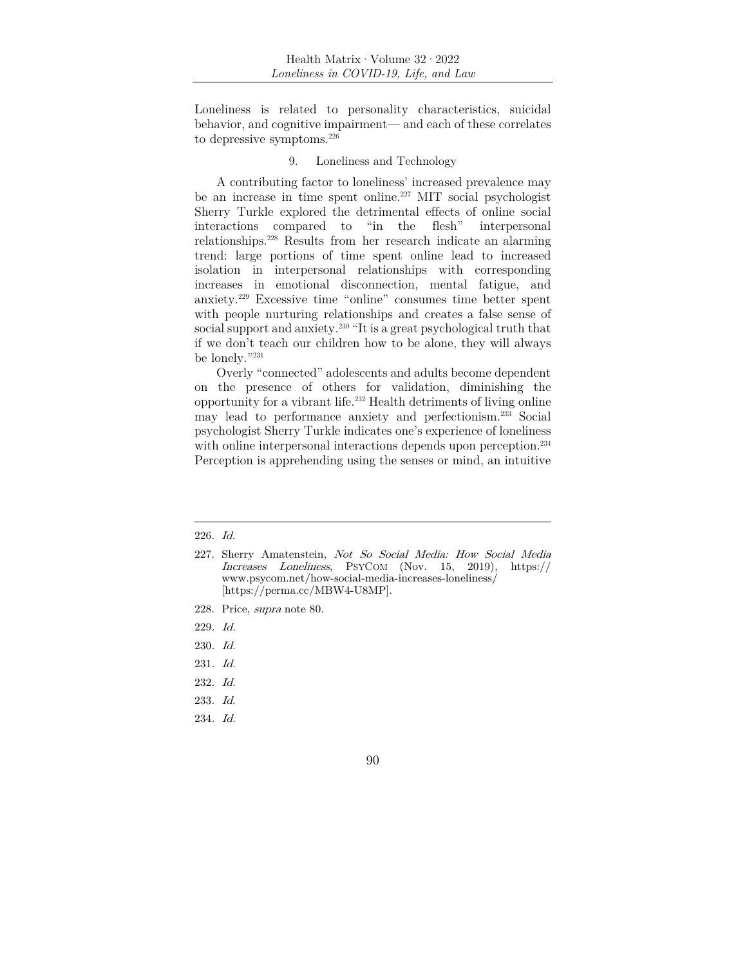Loneliness is related to personality characteristics, suicidal behavior, and cognitive impairment— and each of these correlates to depressive symptoms.226

# 9. Loneliness and Technology

A contributing factor to loneliness' increased prevalence may be an increase in time spent online.<sup>227</sup> MIT social psychologist Sherry Turkle explored the detrimental effects of online social interactions compared to "in the flesh" interpersonal relationships.228 Results from her research indicate an alarming trend: large portions of time spent online lead to increased isolation in interpersonal relationships with corresponding increases in emotional disconnection, mental fatigue, and anxiety.229 Excessive time "online" consumes time better spent with people nurturing relationships and creates a false sense of social support and anxiety.<sup>230</sup> "It is a great psychological truth that if we don't teach our children how to be alone, they will always be lonely."231

Overly "connected" adolescents and adults become dependent on the presence of others for validation, diminishing the opportunity for a vibrant life.232 Health detriments of living online may lead to performance anxiety and perfectionism.233 Social psychologist Sherry Turkle indicates one's experience of loneliness with online interpersonal interactions depends upon perception.<sup>234</sup> Perception is apprehending using the senses or mind, an intuitive

229. Id.

234. Id.

<sup>226</sup>. Id.

<sup>227.</sup> Sherry Amatenstein, Not So Social Media: How Social Media Increases Loneliness, PSYCOM (Nov. 15, 2019), https:// www.psycom.net/how-social-media-increases-loneliness/ [https://perma.cc/MBW4-U8MP].

<sup>228.</sup> Price, supra note 80.

<sup>230</sup>. Id.

<sup>231</sup>. Id.

<sup>232</sup>. Id.

<sup>233</sup>. Id.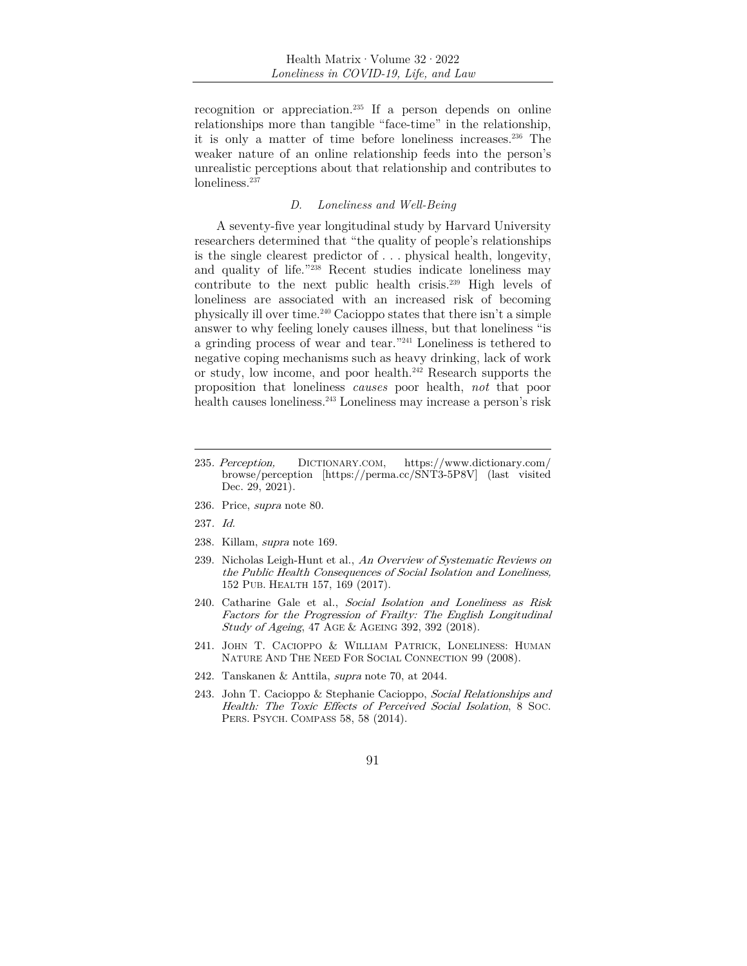recognition or appreciation.235 If a person depends on online relationships more than tangible "face-time" in the relationship, it is only a matter of time before loneliness increases.236 The weaker nature of an online relationship feeds into the person's unrealistic perceptions about that relationship and contributes to loneliness.<sup>237</sup>

### *D. Loneliness and Well-Being*

A seventy-five year longitudinal study by Harvard University researchers determined that "the quality of people's relationships is the single clearest predictor of . . . physical health, longevity, and quality of life."<sup>238</sup> Recent studies indicate loneliness may contribute to the next public health crisis.239 High levels of loneliness are associated with an increased risk of becoming physically ill over time.240 Cacioppo states that there isn't a simple answer to why feeling lonely causes illness, but that loneliness "is a grinding process of wear and tear."241 Loneliness is tethered to negative coping mechanisms such as heavy drinking, lack of work or study, low income, and poor health.242 Research supports the proposition that loneliness *causes* poor health, *not* that poor health causes loneliness.243 Loneliness may increase a person's risk

- 236. Price, supra note 80.
- 237. Id.
- 238. Killam, supra note 169.
- 239. Nicholas Leigh-Hunt et al., An Overview of Systematic Reviews on the Public Health Consequences of Social Isolation and Loneliness, 152 PUB. HEALTH 157, 169 (2017).
- 240. Catharine Gale et al., Social Isolation and Loneliness as Risk Factors for the Progression of Frailty: The English Longitudinal Study of Ageing, 47 AGE & AGEING 392, 392 (2018).
- 241. JOHN T. CACIOPPO & WILLIAM PATRICK, LONELINESS: HUMAN NATURE AND THE NEED FOR SOCIAL CONNECTION 99 (2008).
- 242. Tanskanen & Anttila, supra note 70, at 2044.
- 243. John T. Cacioppo & Stephanie Cacioppo, Social Relationships and Health: The Toxic Effects of Perceived Social Isolation, 8 Soc. PERS. PSYCH. COMPASS 58, 58 (2014).

<sup>235</sup>. Perception, DICTIONARY.COM, https://www.dictionary.com/ browse/perception [https://perma.cc/SNT3-5P8V] (last visited Dec. 29, 2021).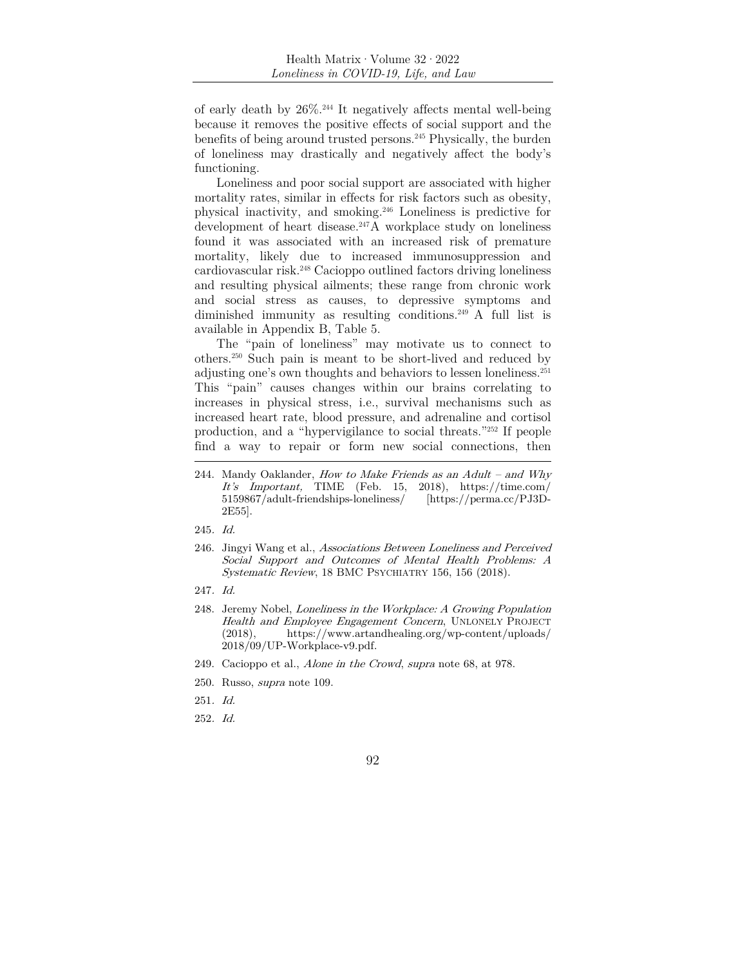of early death by 26%.244 It negatively affects mental well-being because it removes the positive effects of social support and the benefits of being around trusted persons.245 Physically, the burden of loneliness may drastically and negatively affect the body's functioning.

Loneliness and poor social support are associated with higher mortality rates, similar in effects for risk factors such as obesity, physical inactivity, and smoking.246 Loneliness is predictive for development of heart disease.<sup>247</sup>A workplace study on loneliness found it was associated with an increased risk of premature mortality, likely due to increased immunosuppression and cardiovascular risk.248 Cacioppo outlined factors driving loneliness and resulting physical ailments; these range from chronic work and social stress as causes, to depressive symptoms and diminished immunity as resulting conditions.249 A full list is available in Appendix B, Table 5.

The "pain of loneliness" may motivate us to connect to others.250 Such pain is meant to be short-lived and reduced by adjusting one's own thoughts and behaviors to lessen loneliness.251 This "pain" causes changes within our brains correlating to increases in physical stress, i.e., survival mechanisms such as increased heart rate, blood pressure, and adrenaline and cortisol production, and a "hypervigilance to social threats."252 If people find a way to repair or form new social connections, then

- 247. Id.
- 248. Jeremy Nobel, Loneliness in the Workplace: A Growing Population Health and Employee Engagement Concern, UNLONELY PROJECT (2018), https://www.artandhealing.org/wp-content/uploads/ 2018/09/UP-Workplace-v9.pdf.
- 249. Cacioppo et al., Alone in the Crowd, supra note 68, at 978.
- 250. Russo, supra note 109.
- 251. Id.
- 252. Id.

<sup>244.</sup> Mandy Oaklander, How to Make Friends as an  $Adult - and Why$ It's Important, TIME (Feb. 15, 2018), https://time.com/ 5159867/adult-friendships-loneliness/ [https://perma.cc/PJ3D-2E55].

<sup>245</sup>. Id.

<sup>246.</sup> Jingyi Wang et al., Associations Between Loneliness and Perceived Social Support and Outcomes of Mental Health Problems: A Systematic Review, 18 BMC PSYCHIATRY 156, 156 (2018).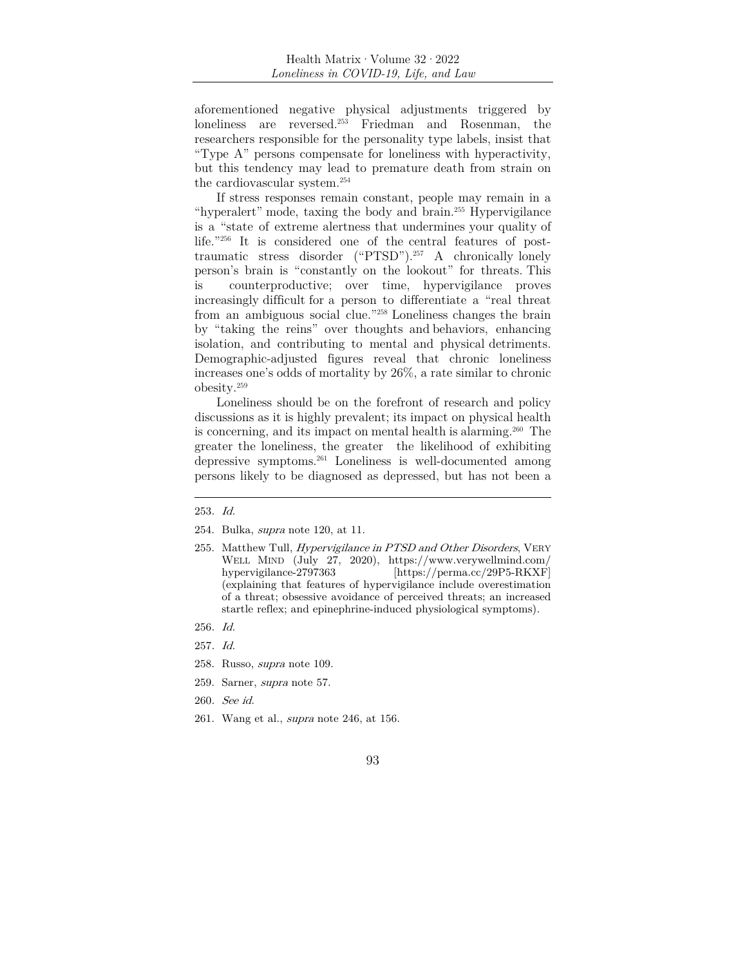aforementioned negative physical adjustments triggered by loneliness are reversed.253 Friedman and Rosenman, the researchers responsible for the personality type labels, insist that "Type A" persons compensate for loneliness with hyperactivity, but this tendency may lead to premature death from strain on the cardiovascular system.254

If stress responses remain constant, people may remain in a "hyperalert" mode, taxing the body and brain.255 Hypervigilance is a "state of extreme alertness that undermines your quality of life."256 It is considered one of the central features of posttraumatic stress disorder ("PTSD").257 A chronically lonely person's brain is "constantly on the lookout" for threats. This is counterproductive; over time, hypervigilance proves increasingly difficult for a person to differentiate a "real threat from an ambiguous social clue."258 Loneliness changes the brain by "taking the reins" over thoughts and behaviors, enhancing isolation, and contributing to mental and physical detriments. Demographic-adjusted figures reveal that chronic loneliness increases one's odds of mortality by 26%, a rate similar to chronic obesity.259

Loneliness should be on the forefront of research and policy discussions as it is highly prevalent; its impact on physical health is concerning, and its impact on mental health is alarming.260 The greater the loneliness, the greater the likelihood of exhibiting depressive symptoms.261 Loneliness is well-documented among persons likely to be diagnosed as depressed, but has not been a

- 256. Id.
- 257. Id.
- 258. Russo, supra note 109.
- 259. Sarner, supra note 57.
- 260. See id.
- 261. Wang et al., supra note 246, at 156.
	- 93

<sup>253</sup>. Id.

<sup>254.</sup> Bulka, supra note 120, at 11.

<sup>255.</sup> Matthew Tull, *Hypervigilance in PTSD and Other Disorders*, VERY WELL MIND (July 27, 2020), https://www.verywellmind.com/ hypervigilance-2797363 [https://perma.cc/29P5-RKXF] (explaining that features of hypervigilance include overestimation of a threat; obsessive avoidance of perceived threats; an increased startle reflex; and epinephrine-induced physiological symptoms).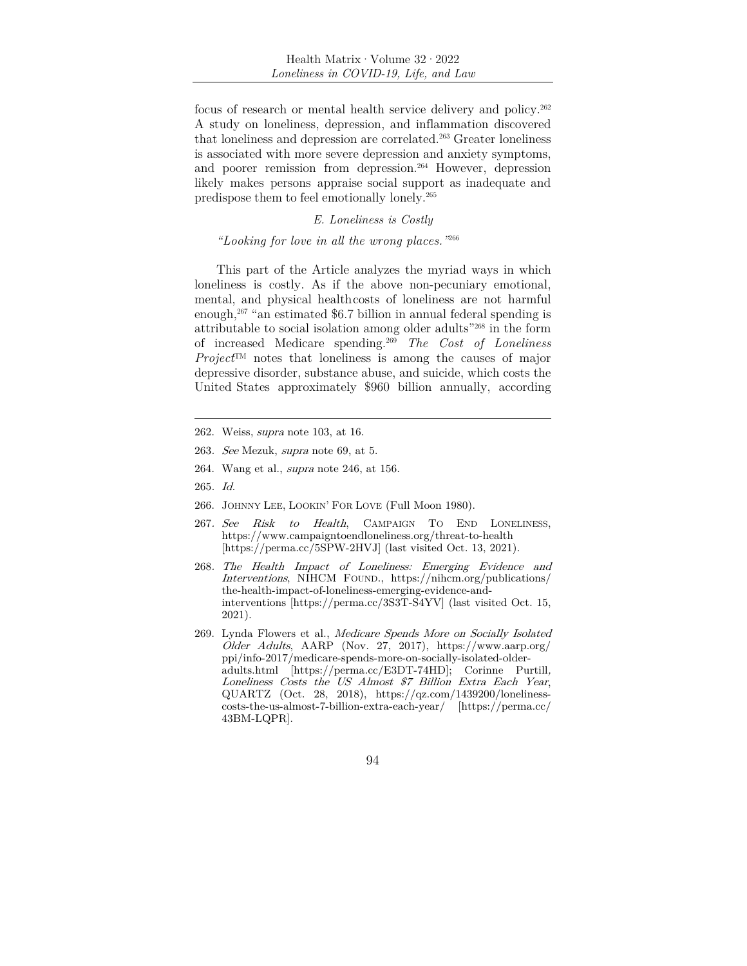focus of research or mental health service delivery and policy.262 A study on loneliness, depression, and inflammation discovered that loneliness and depression are correlated.263 Greater loneliness is associated with more severe depression and anxiety symptoms, and poorer remission from depression.264 However, depression likely makes persons appraise social support as inadequate and predispose them to feel emotionally lonely.265

### *E. Loneliness is Costly*

# *"Looking for love in all the wrong places."*<sup>266</sup>

This part of the Article analyzes the myriad ways in which loneliness is costly. As if the above non-pecuniary emotional, mental, and physical health costs of loneliness are not harmful enough, $267$  "an estimated \$6.7 billion in annual federal spending is attributable to social isolation among older adults"268 in the form of increased Medicare spending.269 *The Cost of Loneliness Project*™ notes that loneliness is among the causes of major depressive disorder, substance abuse, and suicide, which costs the United States approximately \$960 billion annually, according

- 263. See Mezuk, supra note 69, at 5.
- 264. Wang et al., supra note 246, at 156.
- 265. Id.
- 266. JOHNNY LEE, LOOKIN' FOR LOVE (Full Moon 1980).
- 267. See Risk to Health, CAMPAIGN TO END LONELINESS, https://www.campaigntoendloneliness.org/threat-to-health [https://perma.cc/5SPW-2HVJ] (last visited Oct. 13, 2021).
- 268. The Health Impact of Loneliness: Emerging Evidence and Interventions, NIHCM FOUND., https://nihcm.org/publications/ the-health-impact-of-loneliness-emerging-evidence-andinterventions [https://perma.cc/3S3T-S4YV] (last visited Oct. 15, 2021).
- 269. Lynda Flowers et al., Medicare Spends More on Socially Isolated Older Adults, AARP (Nov. 27, 2017), https://www.aarp.org/ ppi/info-2017/medicare-spends-more-on-socially-isolated-olderadults.html [https://perma.cc/E3DT-74HD]; Corinne Purtill, Loneliness Costs the US Almost \$7 Billion Extra Each Year, QUARTZ (Oct. 28, 2018), https://qz.com/1439200/lonelinesscosts-the-us-almost-7-billion-extra-each-year/ [https://perma.cc/ 43BM-LQPR].

<sup>262.</sup> Weiss, supra note 103, at 16.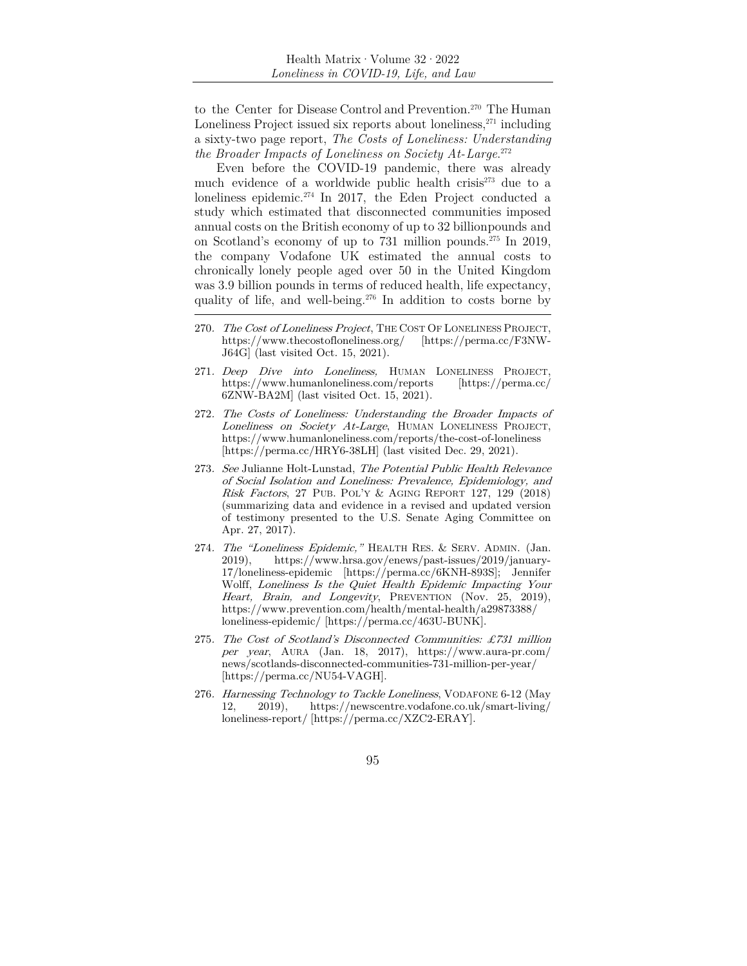to the Center for Disease Control and Prevention.<sup>270</sup> The Human Loneliness Project issued six reports about loneliness,  $271$  including a sixty-two page report, *The Costs of Loneliness: Understanding the Broader Impacts of Loneliness on Society At- Large*. 272

Even before the COVID-19 pandemic, there was already much evidence of a worldwide public health crisis<sup>273</sup> due to a loneliness epidemic.274 In 2017, the Eden Project conducted a study which estimated that disconnected communities imposed annual costs on the British economy of up to 32 billion pounds and on Scotland's economy of up to 731 million pounds.275 In 2019, the company Vodafone UK estimated the annual costs to chronically lonely people aged over 50 in the United Kingdom was 3.9 billion pounds in terms of reduced health, life expectancy, quality of life, and well-being.276 In addition to costs borne by

- 271. Deep Dive into Loneliness, HUMAN LONELINESS PROJECT, https://www.humanloneliness.com/reports [https://perma.cc/ 6ZNW-BA2M] (last visited Oct. 15, 2021).
- 272. The Costs of Loneliness: Understanding the Broader Impacts of Loneliness on Society At-Large, HUMAN LONELINESS PROJECT, https://www.humanloneliness.com/reports/the-cost-of-loneliness [https://perma.cc/HRY6-38LH] (last visited Dec. 29, 2021).
- 273. See Julianne Holt-Lunstad, The Potential Public Health Relevance of Social Isolation and Loneliness: Prevalence, Epidemiology, and Risk Factors, 27 PUB. POL'Y & AGING REPORT 127, 129 (2018) (summarizing data and evidence in a revised and updated version of testimony presented to the U.S. Senate Aging Committee on Apr. 27, 2017).
- 274. The "Loneliness Epidemic," HEALTH RES. & SERV. ADMIN. (Jan. 2019), https://www.hrsa.gov/enews/past-issues/2019/january-17/loneliness-epidemic [https://perma.cc/6KNH-893S]; Jennifer Wolff, Loneliness Is the Quiet Health Epidemic Impacting Your Heart, Brain, and Longevity, PREVENTION (Nov. 25, 2019), https://www.prevention.com/health/mental-health/a29873388/ loneliness-epidemic/ [https://perma.cc/463U-BUNK].
- 275. The Cost of Scotland's Disconnected Communities: £731 million per year, AURA (Jan. 18, 2017), https://www.aura-pr.com/ news/scotlands-disconnected-communities-731-million-per-year/ [https://perma.cc/NU54-VAGH].
- 276. Harnessing Technology to Tackle Loneliness, VODAFONE 6-12 (May 12, 2019), https://newscentre.vodafone.co.uk/smart-living/ loneliness-report/ [https://perma.cc/XZC2-ERAY].

95

<sup>270.</sup> The Cost of Loneliness Project, THE COST OF LONELINESS PROJECT, https://www.thecostofloneliness.org/ [https://perma.cc/F3NW-J64G] (last visited Oct. 15, 2021).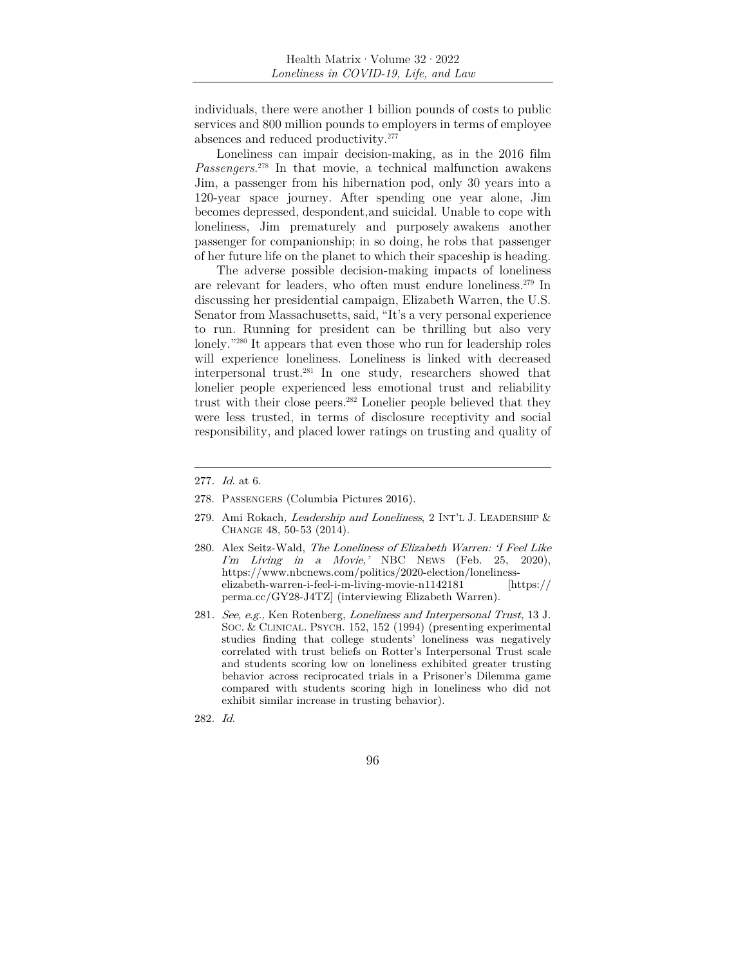individuals, there were another 1 billion pounds of costs to public services and 800 million pounds to employers in terms of employee absences and reduced productivity.277

Loneliness can impair decision-making, as in the 2016 film *Passengers*. 278 In that movie, a technical malfunction awakens Jim, a passenger from his hibernation pod, only 30 years into a 120-year space journey. After spending one year alone, Jim becomes depressed, despondent, and suicidal. Unable to cope with loneliness, Jim prematurely and purposely awakens another passenger for companionship; in so doing, he robs that passenger of her future life on the planet to which their spaceship is heading.

The adverse possible decision-making impacts of loneliness are relevant for leaders, who often must endure loneliness.279 In discussing her presidential campaign, Elizabeth Warren, the U.S. Senator from Massachusetts, said, "It's a very personal experience to run. Running for president can be thrilling but also very lonely."280 It appears that even those who run for leadership roles will experience loneliness. Loneliness is linked with decreased interpersonal trust.281 In one study, researchers showed that lonelier people experienced less emotional trust and reliability trust with their close peers.<sup>282</sup> Lonelier people believed that they were less trusted, in terms of disclosure receptivity and social responsibility, and placed lower ratings on trusting and quality of

- 278. PASSENGERS (Columbia Pictures 2016).
- 279. Ami Rokach, Leadership and Loneliness, 2 INT'L J. LEADERSHIP & CHANGE 48, 50-53 (2014).
- 280. Alex Seitz-Wald, The Loneliness of Elizabeth Warren: 'I Feel Like  $\lim$  Living in a Movie, NBC NEWS (Feb. 25, 2020), https://www.nbcnews.com/politics/2020-election/lonelinesselizabeth-warren-i-feel-i-m-living-movie-n1142181 [https:// perma.cc/GY28-J4TZ] (interviewing Elizabeth Warren).
- 281. See, e.g., Ken Rotenberg, Loneliness and Interpersonal Trust, 13 J. SOC. & CLINICAL. PSYCH. 152, 152 (1994) (presenting experimental studies finding that college students' loneliness was negatively correlated with trust beliefs on Rotter's Interpersonal Trust scale and students scoring low on loneliness exhibited greater trusting behavior across reciprocated trials in a Prisoner's Dilemma game compared with students scoring high in loneliness who did not exhibit similar increase in trusting behavior).
- 282. Id.

<sup>277</sup>. Id. at 6.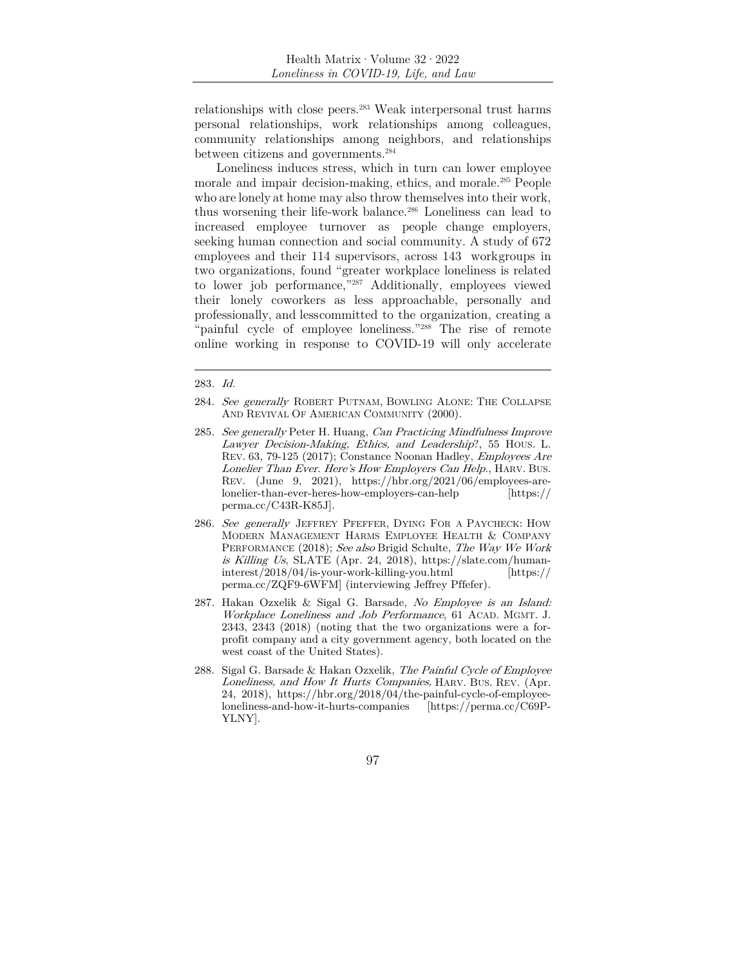relationships with close peers.283 Weak interpersonal trust harms personal relationships, work relationships among colleagues, community relationships among neighbors, and relationships between citizens and governments.<sup>284</sup>

Loneliness induces stress, which in turn can lower employee morale and impair decision-making, ethics, and morale.285 People who are lonely at home may also throw themselves into their work, thus worsening their life-work balance.286 Loneliness can lead to increased employee turnover as people change employers, seeking human connection and social community. A study of 672 employees and their 114 supervisors, across 143 workgroups in two organizations, found "greater workplace loneliness is related to lower job performance,"287 Additionally, employees viewed their lonely coworkers as less approachable, personally and professionally, and less committed to the organization, creating a "painful cycle of employee loneliness."<sup>288</sup> The rise of remote online working in response to COVID-19 will only accelerate

<sup>283</sup>. Id.

<sup>284.</sup> See generally ROBERT PUTNAM, BOWLING ALONE: THE COLLAPSE AND REVIVAL OF AMERICAN COMMUNITY (2000).

<sup>285.</sup> See generally Peter H. Huang, Can Practicing Mindfulness Improve Lawyer Decision-Making, Ethics, and Leadership?, 55 HOUS. L. REV. 63, 79-125 (2017); Constance Noonan Hadley, Employees Are Lonelier Than Ever. Here's How Employers Can Help., HARV. BUS. REV. (June 9, 2021), https://hbr.org/2021/06/employees-arelonelier-than-ever-heres-how-employers-can-help [https:// perma.cc/C43R-K85J].

<sup>286.</sup> See generally JEFFREY PFEFFER, DYING FOR A PAYCHECK: HOW MODERN MANAGEMENT HARMS EMPLOYEE HEALTH & COMPANY PERFORMANCE (2018); See also Brigid Schulte, The Way We Work is Killing Us, SLATE (Apr. 24, 2018), https://slate.com/humaninterest/2018/04/is-your-work-killing-you.html [https:// perma.cc/ZQF9-6WFM] (interviewing Jeffrey Pffefer).

<sup>287.</sup> Hakan Ozxelik & Sigal G. Barsade, No Employee is an Island: Workplace Loneliness and Job Performance, 61 ACAD. MGMT. J. 2343, 2343 (2018) (noting that the two organizations were a forprofit company and a city government agency, both located on the west coast of the United States).

<sup>288.</sup> Sigal G. Barsade & Hakan Ozxelik, The Painful Cycle of Employee Loneliness, and How It Hurts Companies, HARV. BUS. REV. (Apr. 24, 2018), https://hbr.org/2018/04/the-painful-cycle-of-employeeloneliness-and-how-it-hurts-companies [https://perma.cc/C69P-YLNY].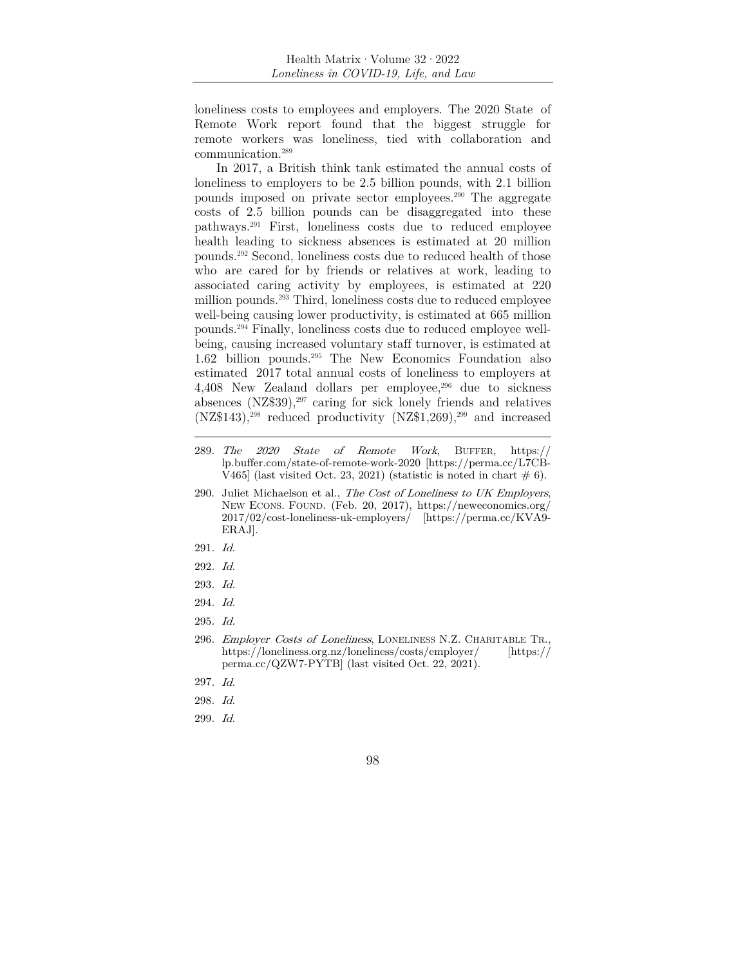loneliness costs to employees and employers. The 2020 State of Remote Work report found that the biggest struggle for remote workers was loneliness, tied with collaboration and communication.289

In 2017, a British think tank estimated the annual costs of loneliness to employers to be 2.5 billion pounds, with 2.1 billion pounds imposed on private sector employees.290 The aggregate costs of 2.5 billion pounds can be disaggregated into these pathways.291 First, loneliness costs due to reduced employee health leading to sickness absences is estimated at 20 million pounds.292 Second, loneliness costs due to reduced health of those who are cared for by friends or relatives at work, leading to associated caring activity by employees, is estimated at 220 million pounds.<sup>293</sup> Third, loneliness costs due to reduced employee well-being causing lower productivity, is estimated at 665 million pounds.294 Finally, loneliness costs due to reduced employee wellbeing, causing increased voluntary staff turnover, is estimated at 1.62 billion pounds.295 The New Economics Foundation also estimated 2017 total annual costs of loneliness to employers at 4,408 New Zealand dollars per employee,296 due to sickness absences  $(NZ$39)$ ,<sup>297</sup> caring for sick lonely friends and relatives  $(NZ$143)$ ,<sup>298</sup> reduced productivity  $(NZ$1,269)$ ,<sup>299</sup> and increased

- 290. Juliet Michaelson et al., The Cost of Loneliness to UK Employers, NEW ECONS. FOUND. (Feb. 20, 2017), https://neweconomics.org/ 2017/02/cost-loneliness-uk-employers/ [https://perma.cc/KVA9- ERAJ].
- 291. Id.
- 292. Id.
- 293. Id.
- 294. Id.
- 295. Id.
- 296. Employer Costs of Loneliness, LONELINESS N.Z. CHARITABLE TR., https://loneliness.org.nz/loneliness/costs/employer/ [https:// perma.cc/QZW7-PYTB] (last visited Oct. 22, 2021).
- 297. Id.
- 298. Id.
- 299. Id.

<sup>289</sup>. The 2020 State of Remote Work, BUFFER, https:// lp.buffer.com/state-of-remote-work-2020 [https://perma.cc/L7CB-V465] (last visited Oct. 23, 2021) (statistic is noted in chart  $\# 6$ ).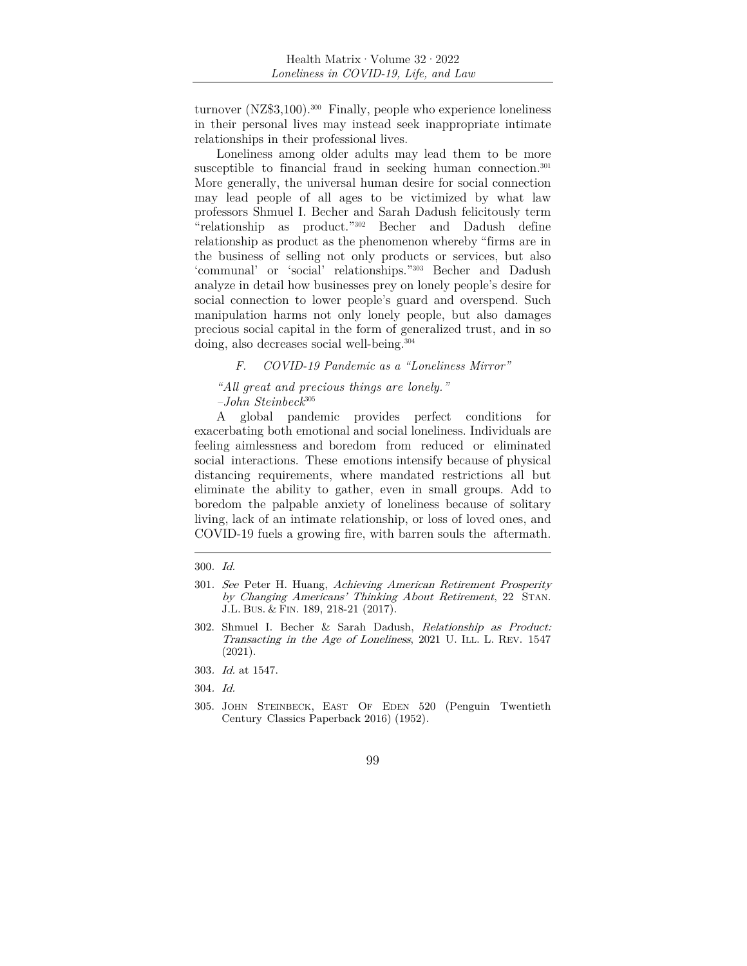turnover (NZ\$3,100).300 Finally, people who experience loneliness in their personal lives may instead seek inappropriate intimate relationships in their professional lives.

Loneliness among older adults may lead them to be more susceptible to financial fraud in seeking human connection.<sup>301</sup> More generally, the universal human desire for social connection may lead people of all ages to be victimized by what law professors Shmuel I. Becher and Sarah Dadush felicitously term "relationship as product."302 Becher and Dadush define relationship as product as the phenomenon whereby "firms are in the business of selling not only products or services, but also 'communal' or 'social' relationships."303 Becher and Dadush analyze in detail how businesses prey on lonely people's desire for social connection to lower people's guard and overspend. Such manipulation harms not only lonely people, but also damages precious social capital in the form of generalized trust, and in so doing, also decreases social well-being.<sup>304</sup>

# *F. COVID-19 Pandemic as a "Loneliness Mirror"*

 *"All great and precious things are lonely."* 

 *–John Steinbeck*<sup>305</sup>

A global pandemic provides perfect conditions for exacerbating both emotional and social loneliness. Individuals are feeling aimlessness and boredom from reduced or eliminated social interactions. These emotions intensify because of physical distancing requirements, where mandated restrictions all but eliminate the ability to gather, even in small groups. Add to boredom the palpable anxiety of loneliness because of solitary living, lack of an intimate relationship, or loss of loved ones, and COVID-19 fuels a growing fire, with barren souls the aftermath.

- 304. Id.
- 305. JOHN STEINBECK, EAST OF EDEN 520 (Penguin Twentieth Century Classics Paperback 2016) (1952).

<sup>300</sup>. Id.

<sup>301</sup>. See Peter H. Huang, Achieving American Retirement Prosperity by Changing Americans' Thinking About Retirement, 22 STAN. J.L. BUS. & FIN. 189, 218-21 (2017).

<sup>302.</sup> Shmuel I. Becher & Sarah Dadush, Relationship as Product: Transacting in the Age of Loneliness, 2021 U. ILL. L. REV. 1547 (2021).

<sup>303</sup>. Id. at 1547.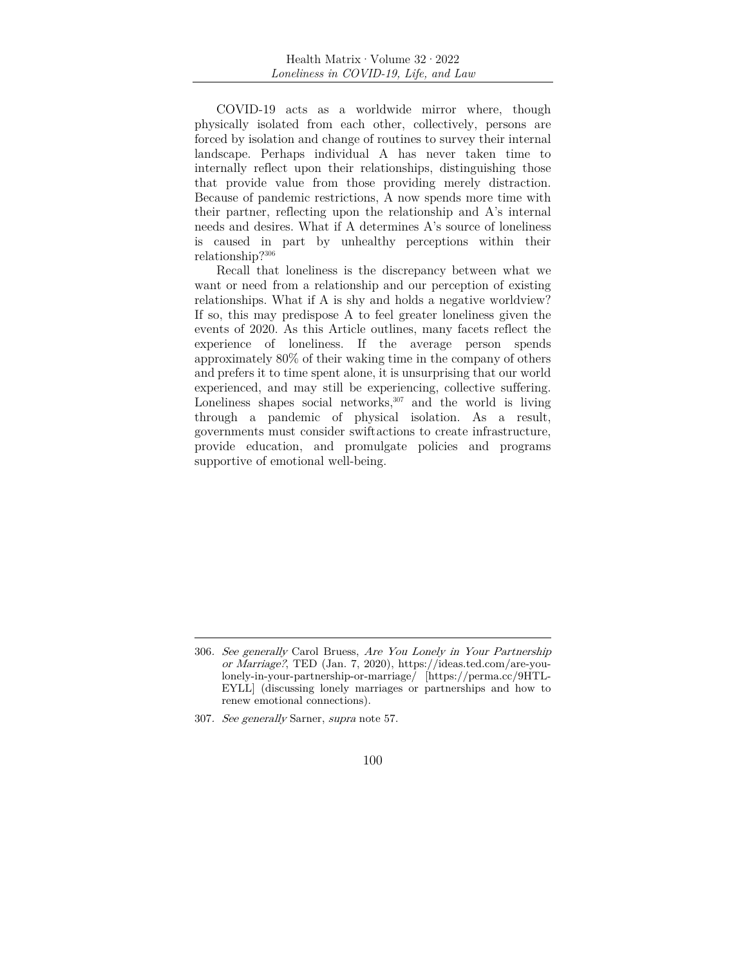COVID-19 acts as a worldwide mirror where, though physically isolated from each other, collectively, persons are forced by isolation and change of routines to survey their internal landscape. Perhaps individual A has never taken time to internally reflect upon their relationships, distinguishing those that provide value from those providing merely distraction. Because of pandemic restrictions, A now spends more time with their partner, reflecting upon the relationship and A's internal needs and desires. What if A determines A's source of loneliness is caused in part by unhealthy perceptions within their relationship?306

Recall that loneliness is the discrepancy between what we want or need from a relationship and our perception of existing relationships. What if A is shy and holds a negative worldview? If so, this may predispose A to feel greater loneliness given the events of 2020. As this Article outlines, many facets reflect the experience of loneliness. If the average person spends approximately 80% of their waking time in the company of others and prefers it to time spent alone, it is unsurprising that our world experienced, and may still be experiencing, collective suffering. Loneliness shapes social networks,  $307$  and the world is living through a pandemic of physical isolation. As a result, governments must consider swift actions to create infrastructure, provide education, and promulgate policies and programs supportive of emotional well-being.

<sup>306</sup>. See generally Carol Bruess, Are You Lonely in Your Partnership or Marriage?, TED (Jan. 7, 2020), https://ideas.ted.com/are-youlonely-in-your-partnership-or-marriage/ [https://perma.cc/9HTL-EYLL] (discussing lonely marriages or partnerships and how to renew emotional connections).

<sup>307</sup>. See generally Sarner, supra note 57.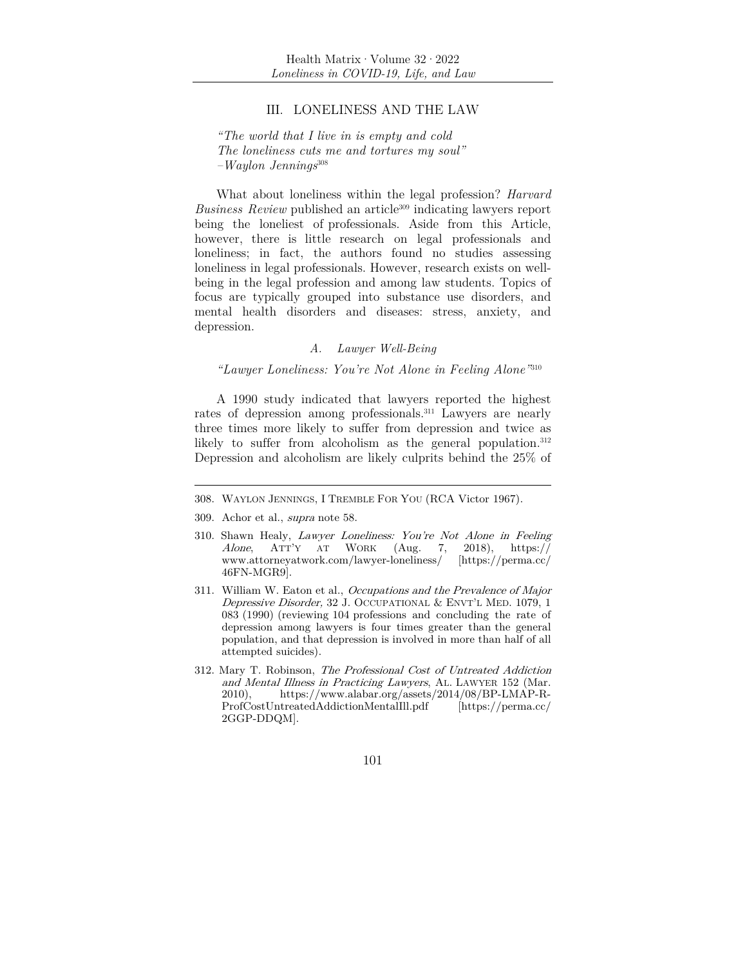# III. LONELINESS AND THE LAW

*"The world that I live in is empty and cold The loneliness cuts me and tortures my soul" –Waylon Jennings*<sup>308</sup>

What about loneliness within the legal profession? *Harvard Business Review* published an article<sup>309</sup> indicating lawyers report being the loneliest of professionals. Aside from this Article, however, there is little research on legal professionals and loneliness; in fact, the authors found no studies assessing loneliness in legal professionals. However, research exists on wellbeing in the legal profession and among law students. Topics of focus are typically grouped into substance use disorders, and mental health disorders and diseases: stress, anxiety, and depression.

# *A. Lawyer Well-Being*

*"Lawyer Loneliness: You're Not Alone in Feeling Alone"*<sup>310</sup>

A 1990 study indicated that lawyers reported the highest rates of depression among professionals.311 Lawyers are nearly three times more likely to suffer from depression and twice as likely to suffer from alcoholism as the general population.<sup>312</sup> Depression and alcoholism are likely culprits behind the 25% of

- 309. Achor et al., supra note 58.
- 310. Shawn Healy, Lawyer Loneliness: You're Not Alone in Feeling Alone, ATT'Y AT WORK (Aug. 7, 2018), https:// www.attorneyatwork.com/lawyer-loneliness/ [https://perma.cc/ 46FN-MGR9].
- 311. William W. Eaton et al., Occupations and the Prevalence of Major Depressive Disorder, 32 J. OCCUPATIONAL & ENVT'L MED. 1079, 1 083 (1990) (reviewing 104 professions and concluding the rate of depression among lawyers is four times greater than the general population, and that depression is involved in more than half of all attempted suicides).
- 312. Mary T. Robinson, The Professional Cost of Untreated Addiction and Mental Illness in Practicing Lawyers, AL. LAWYER 152 (Mar. 2010), https://www.alabar.org/assets/2014/08/BP-LMAP-R-ProfCostUntreatedAddictionMentalIll.pdf [https://perma.cc/ 2GGP-DDQM].

<sup>308.</sup> WAYLON JENNINGS, I TREMBLE FOR YOU (RCA Victor 1967).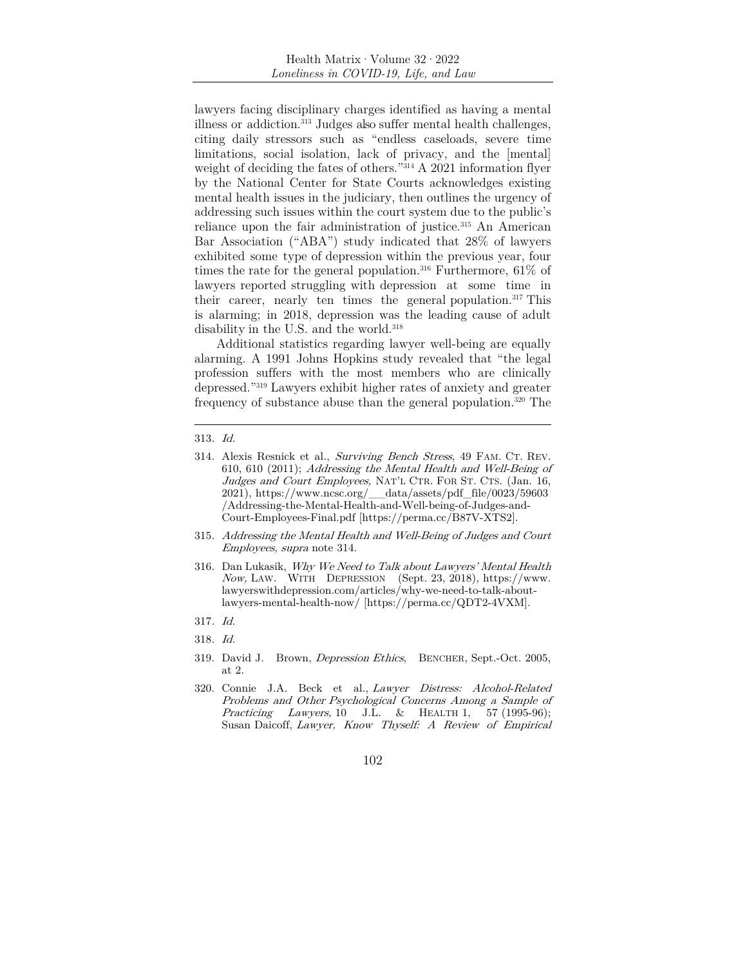lawyers facing disciplinary charges identified as having a mental illness or addiction.313 Judges also suffer mental health challenges, citing daily stressors such as "endless caseloads, severe time limitations, social isolation, lack of privacy, and the [mental] weight of deciding the fates of others."314 A 2021 information flyer by the National Center for State Courts acknowledges existing mental health issues in the judiciary, then outlines the urgency of addressing such issues within the court system due to the public's reliance upon the fair administration of justice.<sup>315</sup> An American Bar Association ("ABA") study indicated that 28% of lawyers exhibited some type of depression within the previous year, four times the rate for the general population.<sup>316</sup> Furthermore,  $61\%$  of lawyers reported struggling with depression at some time in their career, nearly ten times the general population.<sup>317</sup> This is alarming; in 2018, depression was the leading cause of adult disability in the U.S. and the world.<sup>318</sup>

Additional statistics regarding lawyer well-being are equally alarming. A 1991 Johns Hopkins study revealed that "the legal profession suffers with the most members who are clinically depressed."319 Lawyers exhibit higher rates of anxiety and greater frequency of substance abuse than the general population.320 The

- 315. Addressing the Mental Health and Well-Being of Judges and Court Employees, supra note 314.
- 316. Dan Lukasik, Why We Need to Talk about Lawyers' Mental Health Now, LAW. WITH DEPRESSION (Sept. 23, 2018), https://www. lawyerswithdepression.com/articles/why-we-need-to-talk-aboutlawyers-mental-health-now/ [https://perma.cc/QDT2-4VXM].
- 317. Id.
- 318. Id.
- 319. David J. Brown, Depression Ethics, BENCHER, Sept.-Oct. 2005, at 2.
- 320. Connie J.A. Beck et al., Lawyer Distress: Alcohol-Related Problems and Other Psychological Concerns Among a Sample of Practicing Lawyers, 10 J.L. & HEALTH 1, 57 (1995-96); Susan Daicoff, Lawyer, Know Thyself: A Review of Empirical

<sup>313</sup>. Id.

<sup>314.</sup> Alexis Resnick et al., Surviving Bench Stress, 49 FAM. CT. REV. 610, 610 (2011); Addressing the Mental Health and Well-Being of Judges and Court Employees, NAT'L CTR. FOR ST. CTS. (Jan. 16, 2021), https://www.ncsc.org/\_\_data/assets/pdf\_file/0023/59603 /Addressing-the-Mental-Health-and-Well-being-of-Judges-and-Court-Employees-Final.pdf [https://perma.cc/B87V-XTS2].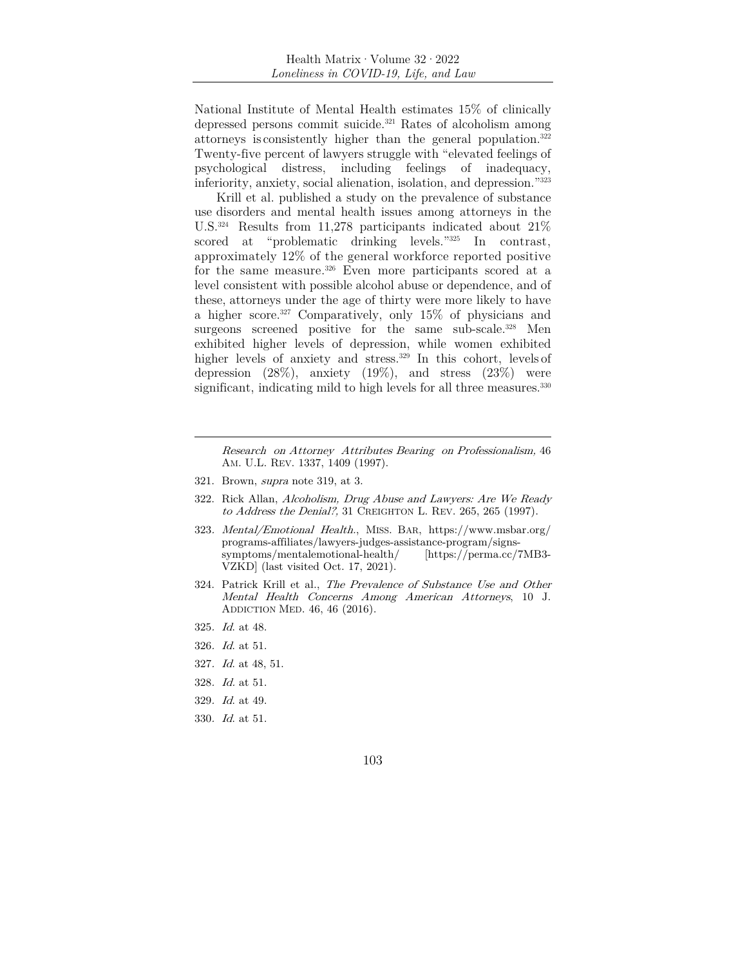National Institute of Mental Health estimates 15% of clinically depressed persons commit suicide.<sup>321</sup> Rates of alcoholism among attorneys is consistently higher than the general population.322 Twenty-five percent of lawyers struggle with "elevated feelings of psychological distress, including feelings of inadequacy, inferiority, anxiety, social alienation, isolation, and depression."323

Krill et al. published a study on the prevalence of substance use disorders and mental health issues among attorneys in the U.S.324 Results from 11,278 participants indicated about 21% scored at "problematic drinking levels."325 In contrast, approximately 12% of the general workforce reported positive for the same measure.<sup>326</sup> Even more participants scored at a level consistent with possible alcohol abuse or dependence, and of these, attorneys under the age of thirty were more likely to have a higher score.327 Comparatively, only 15% of physicians and surgeons screened positive for the same sub-scale.<sup>328</sup> Men exhibited higher levels of depression, while women exhibited higher levels of anxiety and stress.<sup>329</sup> In this cohort, levels of depression  $(28\%)$ , anxiety  $(19\%)$ , and stress  $(23\%)$  were significant, indicating mild to high levels for all three measures.<sup>330</sup>

Research on Attorney Attributes Bearing on Professionalism, 46 AM. U.L. REV. 1337, 1409 (1997).

- 321. Brown, supra note 319, at 3.
- 322. Rick Allan, Alcoholism, Drug Abuse and Lawyers: Are We Ready to Address the Denial?, 31 CREIGHTON L. REV. 265, 265 (1997).
- 323. Mental/Emotional Health., MISS. BAR, https://www.msbar.org/ programs-affiliates/lawyers-judges-assistance-program/signssymptoms/mentalemotional-health/ [https://perma.cc/7MB3- VZKD] (last visited Oct. 17, 2021).
- 324. Patrick Krill et al., The Prevalence of Substance Use and Other Mental Health Concerns Among American Attorneys, 10 J. ADDICTION MED. 46, 46 (2016).
- 325. Id. at 48.
- 326. Id. at 51.
- 327. Id. at 48, 51.
- 328. Id. at 51.
- 329. Id. at 49.
- 330. Id. at 51.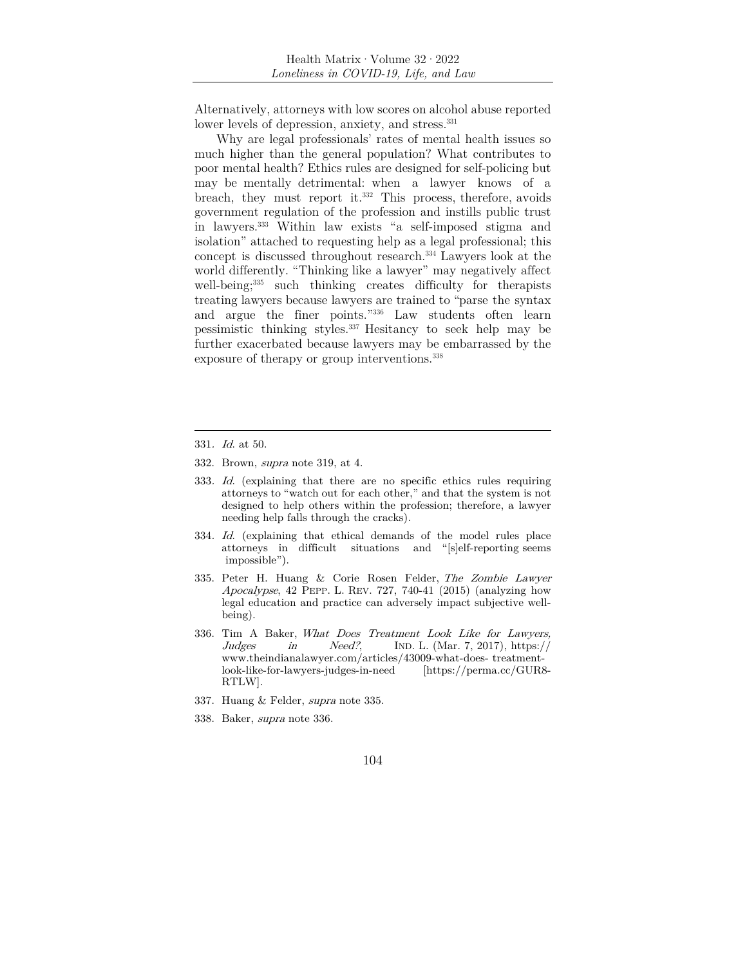Alternatively, attorneys with low scores on alcohol abuse reported lower levels of depression, anxiety, and stress.<sup>331</sup>

Why are legal professionals' rates of mental health issues so much higher than the general population? What contributes to poor mental health? Ethics rules are designed for self-policing but may be mentally detrimental: when a lawyer knows of a breach, they must report it.332 This process, therefore, avoids government regulation of the profession and instills public trust in lawyers.333 Within law exists "a self-imposed stigma and isolation" attached to requesting help as a legal professional; this concept is discussed throughout research.334 Lawyers look at the world differently. "Thinking like a lawyer" may negatively affect well-being;<sup>335</sup> such thinking creates difficulty for therapists treating lawyers because lawyers are trained to "parse the syntax and argue the finer points."336 Law students often learn pessimistic thinking styles.337 Hesitancy to seek help may be further exacerbated because lawyers may be embarrassed by the exposure of therapy or group interventions.<sup>338</sup>

- 332. Brown, supra note 319, at 4.
- 333. Id. (explaining that there are no specific ethics rules requiring attorneys to "watch out for each other," and that the system is not designed to help others within the profession; therefore, a lawyer needing help falls through the cracks).
- 334. Id. (explaining that ethical demands of the model rules place attorneys in difficult situations and "[s]elf-reporting seems impossible").
- 335. Peter H. Huang & Corie Rosen Felder, The Zombie Lawyer Apocalypse, 42 PEPP. L. REV. 727, 740-41 (2015) (analyzing how legal education and practice can adversely impact subjective wellbeing).
- 336. Tim A Baker, What Does Treatment Look Like for Lawyers, Judges in Need?, IND. L. (Mar. 7, 2017), https:// www.theindianalawyer.com/articles/43009-what-does- treatmentlook-like-for-lawyers-judges-in-need [https://perma.cc/GUR8- RTLW].
- 337. Huang & Felder, supra note 335.
- 338. Baker, supra note 336.

<sup>331</sup>. Id. at 50.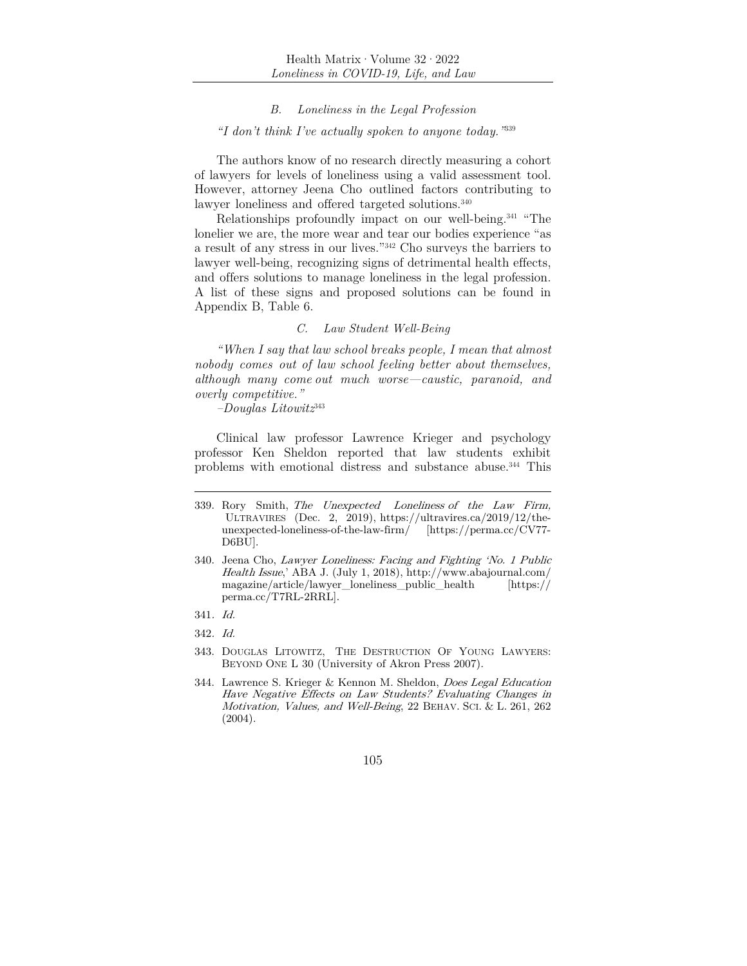### *B. Loneliness in the Legal Profession*

#### *"I don't think I've actually spoken to anyone today."*<sup>339</sup>

The authors know of no research directly measuring a cohort of lawyers for levels of loneliness using a valid assessment tool. However, attorney Jeena Cho outlined factors contributing to lawyer loneliness and offered targeted solutions.<sup>340</sup>

Relationships profoundly impact on our well-being.341 "The lonelier we are, the more wear and tear our bodies experience "as a result of any stress in our lives."342 Cho surveys the barriers to lawyer well-being, recognizing signs of detrimental health effects, and offers solutions to manage loneliness in the legal profession. A list of these signs and proposed solutions can be found in Appendix B, Table 6.

# *C. Law Student Well-Being*

*"When I say that law school breaks people, I mean that almost nobody comes out of law school feeling better about themselves, although many come out much worse—caustic, paranoid, and overly competitive."* 

*–Douglas Litowitz*<sup>343</sup>

Clinical law professor Lawrence Krieger and psychology professor Ken Sheldon reported that law students exhibit problems with emotional distress and substance abuse.344 This

- 343. DOUGLAS LITOWITZ, THE DESTRUCTION OF YOUNG LAWYERS: BEYOND ONE L 30 (University of Akron Press 2007).
- 344. Lawrence S. Krieger & Kennon M. Sheldon, Does Legal Education Have Negative Effects on Law Students? Evaluating Changes in Motivation, Values, and Well-Being, 22 BEHAV. SCI. & L. 261, 262 (2004).

<sup>339.</sup> Rory Smith, The Unexpected Loneliness of the Law Firm, ULTRAVIRES (Dec. 2, 2019), https://ultravires.ca/2019/12/theunexpected-loneliness-of-the-law-firm/ [https://perma.cc/CV77- D6BU].

<sup>340.</sup> Jeena Cho, Lawyer Loneliness: Facing and Fighting 'No. 1 Public Health Issue,' ABA J. (July 1, 2018), http://www.abajournal.com/ magazine/article/lawyer\_loneliness\_public\_health [https:// perma.cc/T7RL-2RRL].

<sup>341</sup>. Id.

<sup>342</sup>. Id.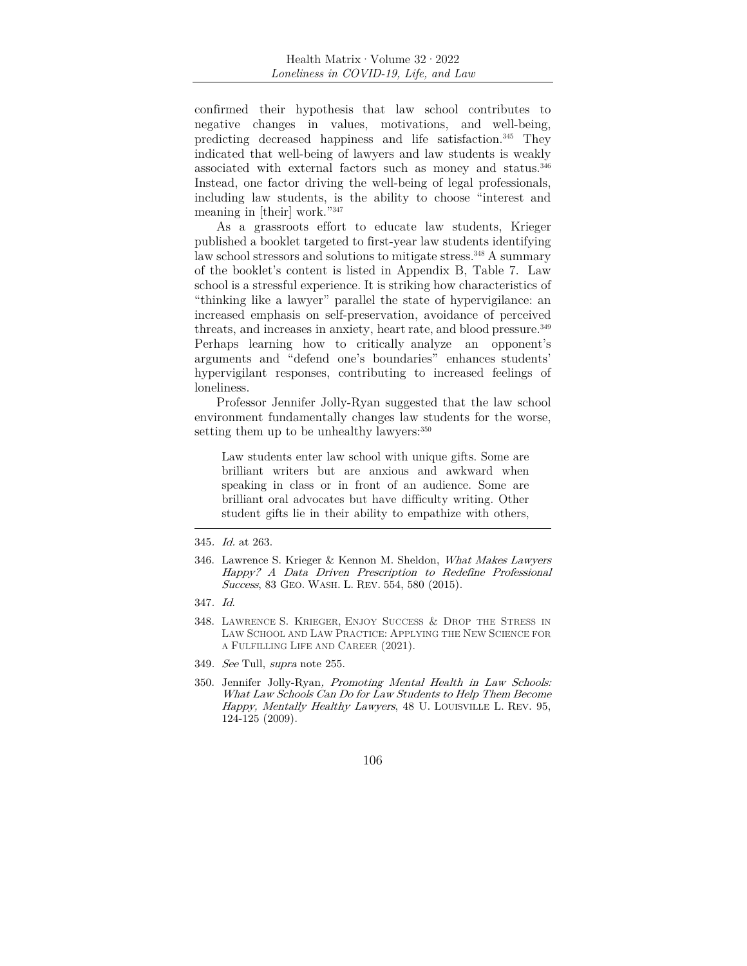confirmed their hypothesis that law school contributes to negative changes in values, motivations, and well-being, predicting decreased happiness and life satisfaction.345 They indicated that well-being of lawyers and law students is weakly associated with external factors such as money and status.<sup>346</sup> Instead, one factor driving the well-being of legal professionals, including law students, is the ability to choose "interest and meaning in [their] work."347

As a grassroots effort to educate law students, Krieger published a booklet targeted to first-year law students identifying law school stressors and solutions to mitigate stress.<sup>348</sup> A summary of the booklet's content is listed in Appendix B, Table 7. Law school is a stressful experience. It is striking how characteristics of "thinking like a lawyer" parallel the state of hypervigilance: an increased emphasis on self-preservation, avoidance of perceived threats, and increases in anxiety, heart rate, and blood pressure.<sup>349</sup> Perhaps learning how to critically analyze an opponent's arguments and "defend one's boundaries" enhances students' hypervigilant responses, contributing to increased feelings of loneliness.

Professor Jennifer Jolly-Ryan suggested that the law school environment fundamentally changes law students for the worse, setting them up to be unhealthy lawyers: $350$ 

Law students enter law school with unique gifts. Some are brilliant writers but are anxious and awkward when speaking in class or in front of an audience. Some are brilliant oral advocates but have difficulty writing. Other student gifts lie in their ability to empathize with others,

- 349. See Tull, supra note 255.
- 350. Jennifer Jolly-Ryan, Promoting Mental Health in Law Schools: What Law Schools Can Do for Law Students to Help Them Become Happy, Mentally Healthy Lawyers, 48 U. LOUISVILLE L. REV. 95, 124-125 (2009).

<sup>345</sup>. Id. at 263.

<sup>346.</sup> Lawrence S. Krieger & Kennon M. Sheldon, What Makes Lawyers Happy? A Data Driven Prescription to Redefine Professional Success, 83 GEO. WASH. L. REV. 554, 580 (2015).

<sup>347</sup>. Id.

<sup>348.</sup> LAWRENCE S. KRIEGER, ENJOY SUCCESS & DROP THE STRESS IN LAW SCHOOL AND LAW PRACTICE: APPLYING THE NEW SCIENCE FOR A FULFILLING LIFE AND CAREER (2021).

<sup>106</sup>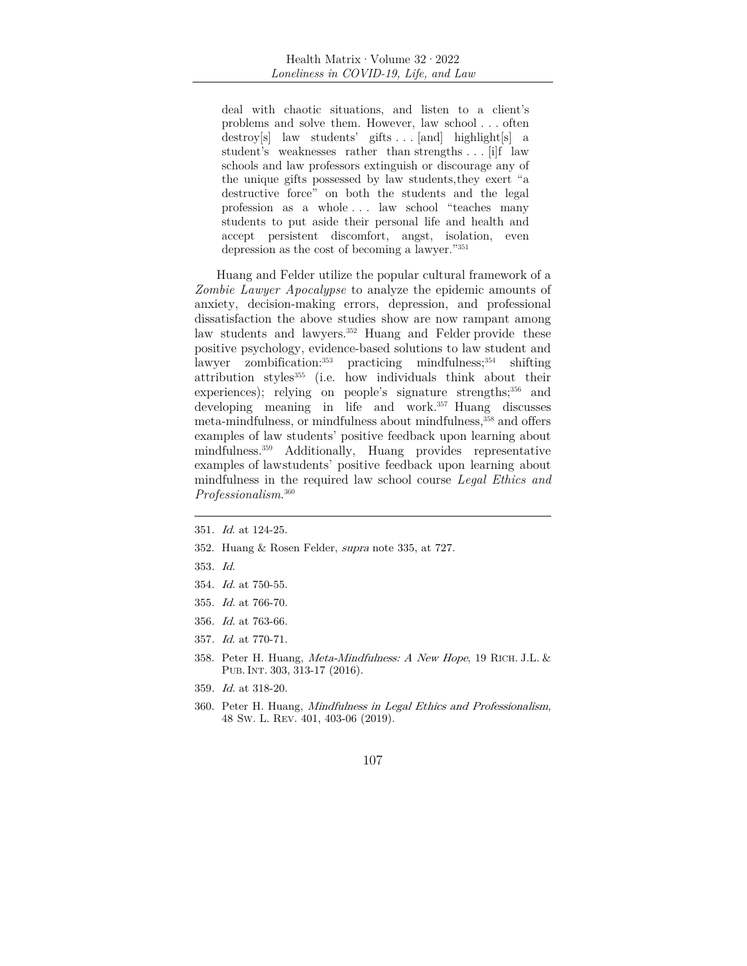deal with chaotic situations, and listen to a client's problems and solve them. However, law school . . . often destroy[s] law students' gifts . . . [and] highlight[s] a student's weaknesses rather than strengths . . . [i]f law schools and law professors extinguish or discourage any of the unique gifts possessed by law students, they exert "a destructive force" on both the students and the legal profession as a whole . . . law school "teaches many students to put aside their personal life and health and accept persistent discomfort, angst, isolation, even depression as the cost of becoming a lawyer."351

Huang and Felder utilize the popular cultural framework of a *Zombie Lawyer Apocalypse* to analyze the epidemic amounts of anxiety, decision-making errors, depression, and professional dissatisfaction the above studies show are now rampant among law students and lawyers.<sup>352</sup> Huang and Felder provide these positive psychology, evidence-based solutions to law student and<br>lawyer zombification:<sup>353</sup> practicing mindfulness;<sup>354</sup> shifting practicing mindfulness; $354$  shifting attribution styles355 (i.e. how individuals think about their experiences); relying on people's signature strengths;<sup>356</sup> and developing meaning in life and work.<sup>357</sup> Huang discusses meta-mindfulness, or mindfulness about mindfulness,<sup>358</sup> and offers examples of law students' positive feedback upon learning about mindfulness.359 Additionally, Huang provides representative examples of law students' positive feedback upon learning about mindfulness in the required law school course *Legal Ethics and Professionalism*. 360

- 352. Huang & Rosen Felder, supra note 335, at 727.
- 353. Id.
- 354. Id. at 750-55.
- 355. Id. at 766-70.
- 356. Id. at 763-66.
- 357. Id. at 770-71.
- 358. Peter H. Huang, Meta-Mindfulness: A New Hope, 19 RICH. J.L. & PUB.INT. 303, 313-17 (2016).
- 359. Id. at 318-20.
- 360. Peter H. Huang, Mindfulness in Legal Ethics and Professionalism, 48 SW. L. REV. 401, 403-06 (2019).

<sup>351</sup>. Id. at 124-25.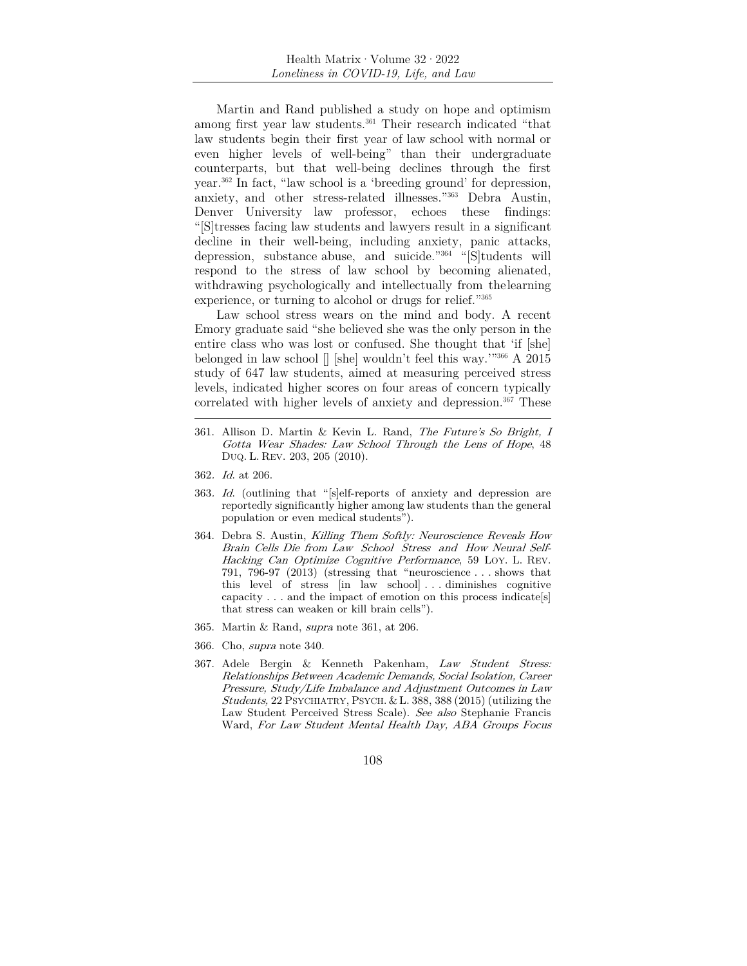Martin and Rand published a study on hope and optimism among first year law students.361 Their research indicated "that law students begin their first year of law school with normal or even higher levels of well-being" than their undergraduate counterparts, but that well-being declines through the first year.362 In fact, "law school is a 'breeding ground' for depression, anxiety, and other stress-related illnesses."363 Debra Austin, Denver University law professor, echoes these findings: "[S]tresses facing law students and lawyers result in a significant decline in their well-being, including anxiety, panic attacks, depression, substance abuse, and suicide."364 "[S]tudents will respond to the stress of law school by becoming alienated, withdrawing psychologically and intellectually from the learning experience, or turning to alcohol or drugs for relief."365

Law school stress wears on the mind and body. A recent Emory graduate said "she believed she was the only person in the entire class who was lost or confused. She thought that 'if [she] belonged in law school [] [she] wouldn't feel this way.'"366 A 2015 study of 647 law students, aimed at measuring perceived stress levels, indicated higher scores on four areas of concern typically correlated with higher levels of anxiety and depression.<sup>367</sup> These

- 361. Allison D. Martin & Kevin L. Rand, The Future's So Bright, I Gotta Wear Shades: Law School Through the Lens of Hope, 48 DUQ. L. REV. 203, 205 (2010).
- 362. Id. at 206.
- 363. Id. (outlining that "[s]elf-reports of anxiety and depression are reportedly significantly higher among law students than the general population or even medical students").
- 364. Debra S. Austin, Killing Them Softly: Neuroscience Reveals How Brain Cells Die from Law School Stress and How Neural Self-Hacking Can Optimize Cognitive Performance, 59 LOY. L. REV. 791, 796-97 (2013) (stressing that "neuroscience . . . shows that this level of stress [in law school] . . . diminishes cognitive capacity . . . and the impact of emotion on this process indicatels that stress can weaken or kill brain cells").
- 365. Martin & Rand, supra note 361, at 206.
- 366. Cho, supra note 340.
- 367. Adele Bergin & Kenneth Pakenham, Law Student Stress: Relationships Between Academic Demands, Social Isolation, Career Pressure, Study/Life Imbalance and Adjustment Outcomes in Law Students, 22 PSYCHIATRY, PSYCH. & L. 388, 388 (2015) (utilizing the Law Student Perceived Stress Scale). See also Stephanie Francis Ward, For Law Student Mental Health Day, ABA Groups Focus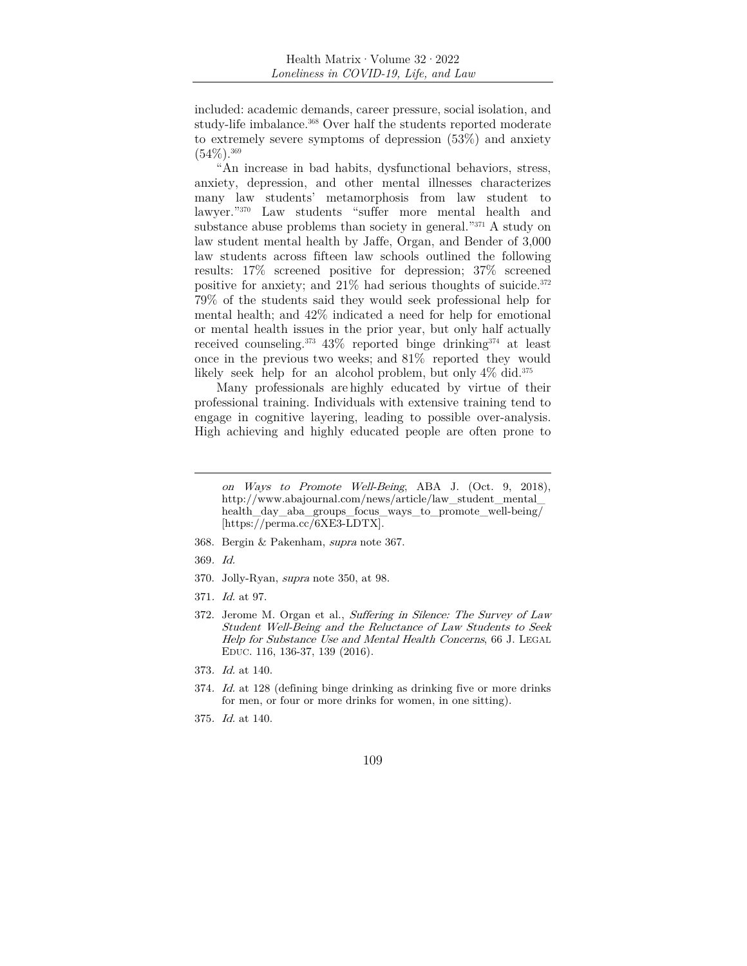included: academic demands, career pressure, social isolation, and study-life imbalance.<sup>368</sup> Over half the students reported moderate to extremely severe symptoms of depression (53%) and anxiety  $(54\%)$ . 369

"An increase in bad habits, dysfunctional behaviors, stress, anxiety, depression, and other mental illnesses characterizes many law students' metamorphosis from law student to lawyer."370 Law students "suffer more mental health and substance abuse problems than society in general."371 A study on law student mental health by Jaffe, Organ, and Bender of 3,000 law students across fifteen law schools outlined the following results: 17% screened positive for depression; 37% screened positive for anxiety; and  $21\%$  had serious thoughts of suicide.<sup>372</sup> 79% of the students said they would seek professional help for mental health; and 42% indicated a need for help for emotional or mental health issues in the prior year, but only half actually received counseling.373 43% reported binge drinking374 at least once in the previous two weeks; and 81% reported they would likely seek help for an alcohol problem, but only  $4\%$  did.<sup>375</sup>

Many professionals are highly educated by virtue of their professional training. Individuals with extensive training tend to engage in cognitive layering, leading to possible over-analysis. High achieving and highly educated people are often prone to

- 368. Bergin & Pakenham, supra note 367.
- 369. Id.
- 370. Jolly-Ryan, supra note 350, at 98.
- 371. Id. at 97.
- 372. Jerome M. Organ et al., Suffering in Silence: The Survey of Law Student Well-Being and the Reluctance of Law Students to Seek Help for Substance Use and Mental Health Concerns, 66 J. LEGAL EDUC. 116, 136-37, 139 (2016).
- 373. Id. at 140.
- 374. Id. at 128 (defining binge drinking as drinking five or more drinks for men, or four or more drinks for women, in one sitting).
- 375. Id. at 140.

on Ways to Promote Well-Being, ABA J. (Oct. 9, 2018), http://www.abajournal.com/news/article/law\_student\_mental\_ health day aba groups focus ways to promote well-being/ [https://perma.cc/6XE3-LDTX].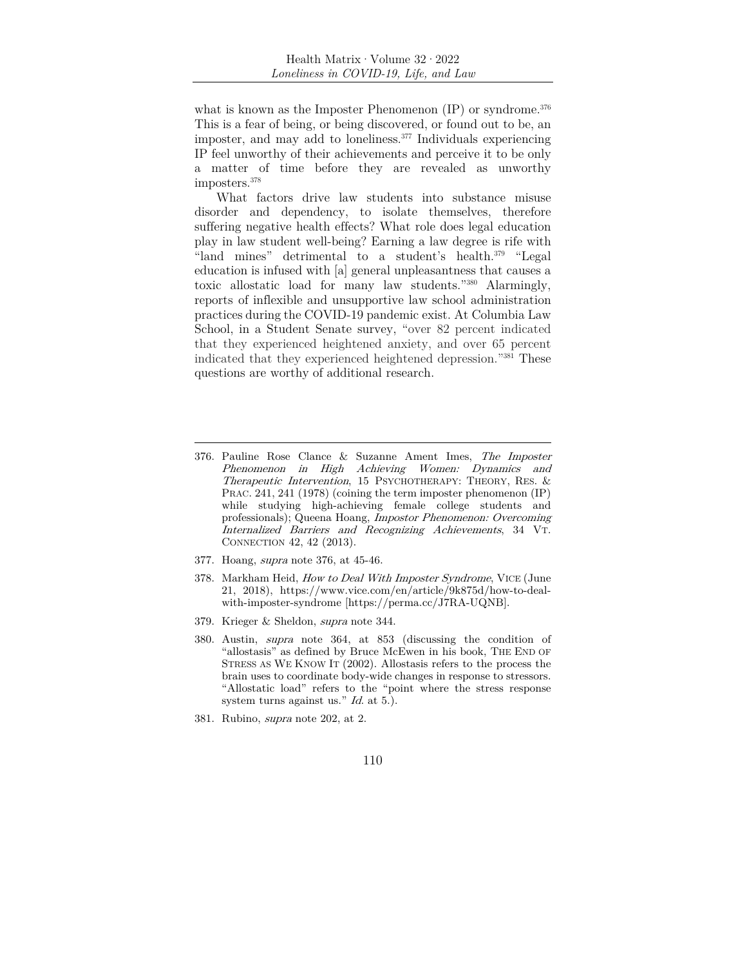what is known as the Imposter Phenomenon  $(IP)$  or syndrome.<sup>376</sup> This is a fear of being, or being discovered, or found out to be, an imposter, and may add to loneliness.377 Individuals experiencing IP feel unworthy of their achievements and perceive it to be only a matter of time before they are revealed as unworthy imposters.378

What factors drive law students into substance misuse disorder and dependency, to isolate themselves, therefore suffering negative health effects? What role does legal education play in law student well-being? Earning a law degree is rife with "land mines" detrimental to a student's health.379 "Legal education is infused with [a] general unpleasantness that causes a toxic allostatic load for many law students."380 Alarmingly, reports of inflexible and unsupportive law school administration practices during the COVID-19 pandemic exist. At Columbia Law School, in a Student Senate survey, "over 82 percent indicated that they experienced heightened anxiety, and over 65 percent indicated that they experienced heightened depression."381 These questions are worthy of additional research.

- 377. Hoang, supra note 376, at 45-46.
- 378. Markham Heid, How to Deal With Imposter Syndrome, VICE (June 21, 2018), https://www.vice.com/en/article/9k875d/how-to-dealwith-imposter-syndrome [https://perma.cc/J7RA-UQNB].
- 379. Krieger & Sheldon, supra note 344.
- 380. Austin, supra note 364, at 853 (discussing the condition of "allostasis" as defined by Bruce McEwen in his book, THE END OF STRESS AS WE KNOW IT (2002). Allostasis refers to the process the brain uses to coordinate body-wide changes in response to stressors. "Allostatic load" refers to the "point where the stress response system turns against us." *Id.* at 5.).
- 381. Rubino, supra note 202, at 2.

<sup>376.</sup> Pauline Rose Clance & Suzanne Ament Imes, The Imposter Phenomenon in High Achieving Women: Dynamics and Therapeutic Intervention, 15 PSYCHOTHERAPY: THEORY, RES. & PRAC. 241, 241 (1978) (coining the term imposter phenomenon (IP) while studying high-achieving female college students and professionals); Queena Hoang, Impostor Phenomenon: Overcoming Internalized Barriers and Recognizing Achievements, 34 VT. CONNECTION 42, 42 (2013).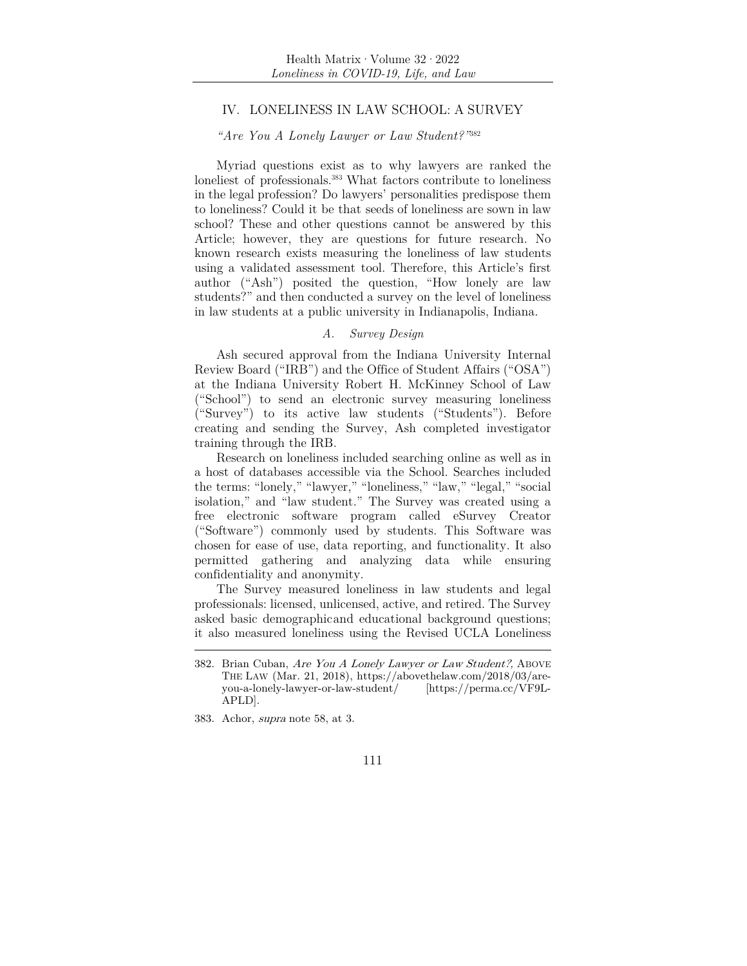# IV. LONELINESS IN LAW SCHOOL: A SURVEY

## *"Are You A Lonely Lawyer or Law Student?"*<sup>382</sup>

Myriad questions exist as to why lawyers are ranked the loneliest of professionals.<sup>383</sup> What factors contribute to loneliness in the legal profession? Do lawyers' personalities predispose them to loneliness? Could it be that seeds of loneliness are sown in law school? These and other questions cannot be answered by this Article; however, they are questions for future research. No known research exists measuring the loneliness of law students using a validated assessment tool. Therefore, this Article's first author ("Ash") posited the question, "How lonely are law students?" and then conducted a survey on the level of loneliness in law students at a public university in Indianapolis, Indiana.

# *A. Survey Design*

Ash secured approval from the Indiana University Internal Review Board ("IRB") and the Office of Student Affairs ("OSA") at the Indiana University Robert H. McKinney School of Law ("School") to send an electronic survey measuring loneliness ("Survey") to its active law students ("Students"). Before creating and sending the Survey, Ash completed investigator training through the IRB.

Research on loneliness included searching online as well as in a host of databases accessible via the School. Searches included the terms: "lonely," "lawyer," "loneliness," "law," "legal," "social isolation," and "law student." The Survey was created using a free electronic software program called eSurvey Creator ("Software") commonly used by students. This Software was chosen for ease of use, data reporting, and functionality. It also permitted gathering and analyzing data while ensuring confidentiality and anonymity.

The Survey measured loneliness in law students and legal professionals: licensed, unlicensed, active, and retired. The Survey asked basic demographic and educational background questions; it also measured loneliness using the Revised UCLA Loneliness

<sup>383.</sup> Achor, supra note 58, at 3.



<sup>382.</sup> Brian Cuban, Are You A Lonely Lawyer or Law Student?, ABOVE THE LAW (Mar. 21, 2018), https://abovethelaw.com/2018/03/areyou-a-lonely-lawyer-or-law-student/ [https://perma.cc/VF9L-APLD].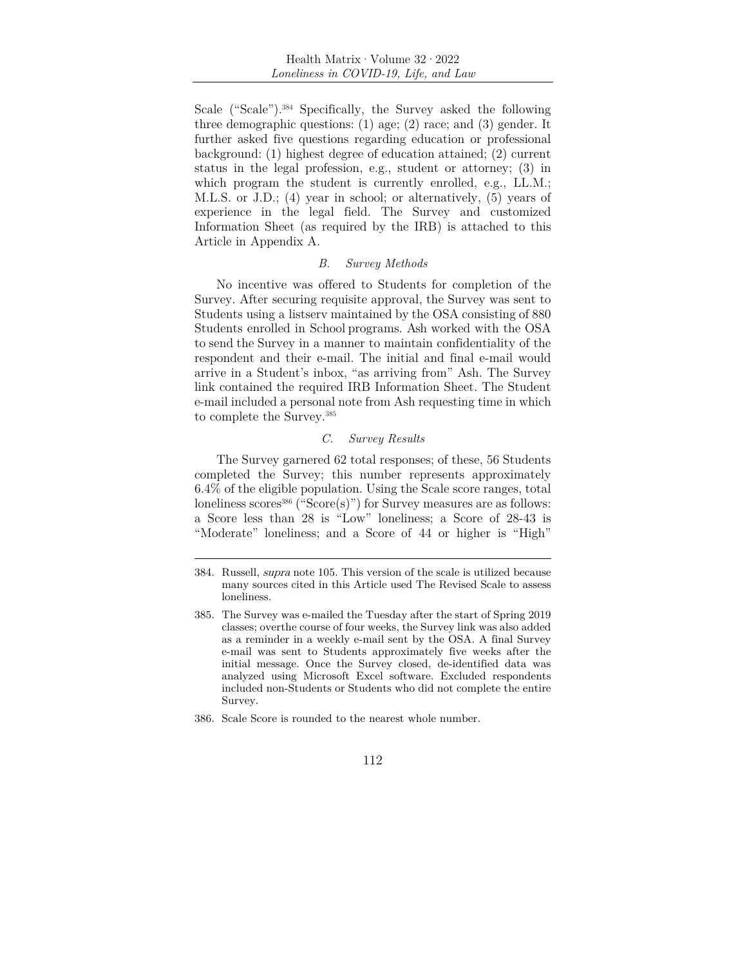Scale ("Scale").384 Specifically, the Survey asked the following three demographic questions: (1) age; (2) race; and (3) gender. It further asked five questions regarding education or professional background: (1) highest degree of education attained; (2) current status in the legal profession, e.g., student or attorney; (3) in which program the student is currently enrolled, e.g., LL.M.; M.L.S. or J.D.; (4) year in school; or alternatively, (5) years of experience in the legal field. The Survey and customized Information Sheet (as required by the IRB) is attached to this Article in Appendix A.

#### *B. Survey Methods*

No incentive was offered to Students for completion of the Survey. After securing requisite approval, the Survey was sent to Students using a listserv maintained by the OSA consisting of 880 Students enrolled in School programs. Ash worked with the OSA to send the Survey in a manner to maintain confidentiality of the respondent and their e-mail. The initial and final e-mail would arrive in a Student's inbox, "as arriving from" Ash. The Survey link contained the required IRB Information Sheet. The Student e-mail included a personal note from Ash requesting time in which to complete the Survey.385

# *C. Survey Results*

The Survey garnered 62 total responses; of these, 56 Students completed the Survey; this number represents approximately 6.4% of the eligible population. Using the Scale score ranges, total loneliness scores<sup>386</sup> ("Score $(s)$ ") for Survey measures are as follows: a Score less than 28 is "Low" loneliness; a Score of 28-43 is "Moderate" loneliness; and a Score of 44 or higher is "High"

<sup>384.</sup> Russell, supra note 105. This version of the scale is utilized because many sources cited in this Article used The Revised Scale to assess loneliness.

<sup>385.</sup> The Survey was e-mailed the Tuesday after the start of Spring 2019 classes; over the course of four weeks, the Survey link was also added as a reminder in a weekly e-mail sent by the OSA. A final Survey e-mail was sent to Students approximately five weeks after the initial message. Once the Survey closed, de-identified data was analyzed using Microsoft Excel software. Excluded respondents included non-Students or Students who did not complete the entire Survey.

<sup>386.</sup> Scale Score is rounded to the nearest whole number.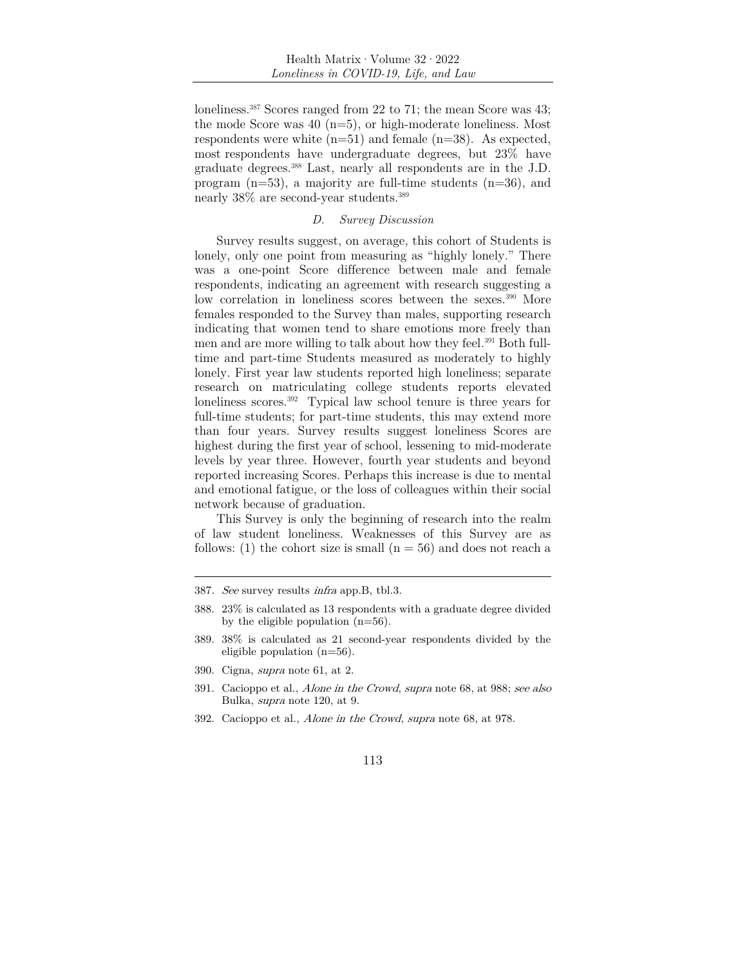loneliness.387 Scores ranged from 22 to 71; the mean Score was 43; the mode Score was  $40$  (n=5), or high-moderate loneliness. Most respondents were white  $(n=51)$  and female  $(n=38)$ . As expected, most respondents have undergraduate degrees, but 23% have graduate degrees.388 Last, nearly all respondents are in the J.D. program  $(n=53)$ , a majority are full-time students  $(n=36)$ , and nearly 38% are second-year students.389

#### *D. Survey Discussion*

Survey results suggest, on average, this cohort of Students is lonely, only one point from measuring as "highly lonely." There was a one-point Score difference between male and female respondents, indicating an agreement with research suggesting a low correlation in loneliness scores between the sexes.<sup>390</sup> More females responded to the Survey than males, supporting research indicating that women tend to share emotions more freely than men and are more willing to talk about how they feel.<sup>391</sup> Both fulltime and part-time Students measured as moderately to highly lonely. First year law students reported high loneliness; separate research on matriculating college students reports elevated loneliness scores.392 Typical law school tenure is three years for full-time students; for part-time students, this may extend more than four years. Survey results suggest loneliness Scores are highest during the first year of school, lessening to mid-moderate levels by year three. However, fourth year students and beyond reported increasing Scores. Perhaps this increase is due to mental and emotional fatigue, or the loss of colleagues within their social network because of graduation.

This Survey is only the beginning of research into the realm of law student loneliness. Weaknesses of this Survey are as follows: (1) the cohort size is small  $(n = 56)$  and does not reach a

390. Cigna, supra note 61, at 2.

<sup>387</sup>. See survey results infra app.B, tbl.3.

<sup>388. 23%</sup> is calculated as 13 respondents with a graduate degree divided by the eligible population  $(n=56)$ .

<sup>389. 38%</sup> is calculated as 21 second-year respondents divided by the eligible population (n=56).

<sup>391.</sup> Cacioppo et al., Alone in the Crowd, supra note 68, at 988; see also Bulka, supra note 120, at 9.

<sup>392.</sup> Cacioppo et al., Alone in the Crowd, supra note 68, at 978.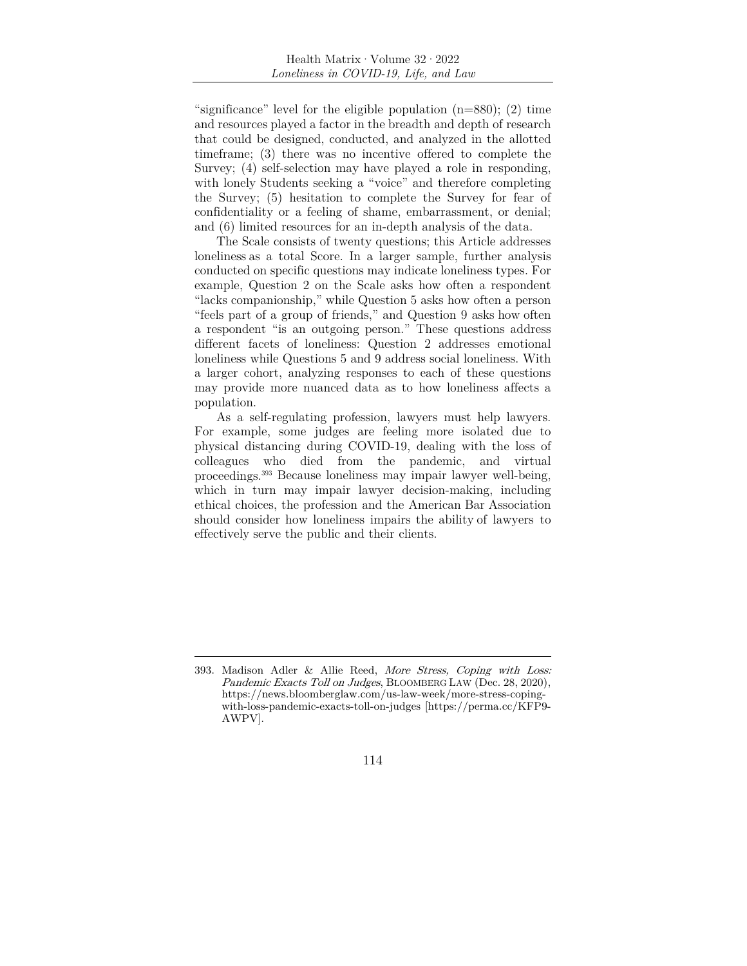"significance" level for the eligible population  $(n=880)$ ; (2) time and resources played a factor in the breadth and depth of research that could be designed, conducted, and analyzed in the allotted timeframe; (3) there was no incentive offered to complete the Survey; (4) self-selection may have played a role in responding, with lonely Students seeking a "voice" and therefore completing the Survey; (5) hesitation to complete the Survey for fear of confidentiality or a feeling of shame, embarrassment, or denial; and (6) limited resources for an in-depth analysis of the data.

The Scale consists of twenty questions; this Article addresses loneliness as a total Score. In a larger sample, further analysis conducted on specific questions may indicate loneliness types. For example, Question 2 on the Scale asks how often a respondent "lacks companionship," while Question 5 asks how often a person "feels part of a group of friends," and Question 9 asks how often a respondent "is an outgoing person." These questions address different facets of loneliness: Question 2 addresses emotional loneliness while Questions 5 and 9 address social loneliness. With a larger cohort, analyzing responses to each of these questions may provide more nuanced data as to how loneliness affects a population.

As a self-regulating profession, lawyers must help lawyers. For example, some judges are feeling more isolated due to physical distancing during COVID-19, dealing with the loss of colleagues who died from the pandemic, and virtual proceedings.393 Because loneliness may impair lawyer well-being, which in turn may impair lawyer decision-making, including ethical choices, the profession and the American Bar Association should consider how loneliness impairs the ability of lawyers to effectively serve the public and their clients.

<sup>393.</sup> Madison Adler & Allie Reed, More Stress, Coping with Loss: Pandemic Exacts Toll on Judges, BLOOMBERG LAW (Dec. 28, 2020), https://news.bloomberglaw.com/us-law-week/more-stress-copingwith-loss-pandemic-exacts-toll-on-judges [https://perma.cc/KFP9- AWPV].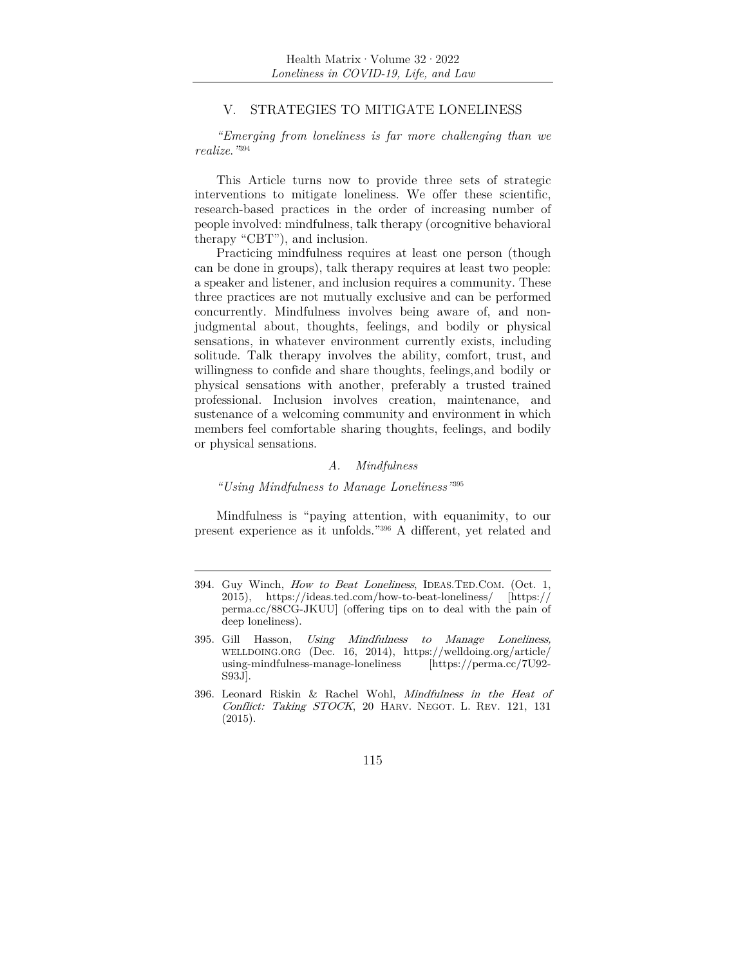# V. STRATEGIES TO MITIGATE LONELINESS

*"Emerging from loneliness is far more challenging than we realize*.*"*<sup>394</sup>

This Article turns now to provide three sets of strategic interventions to mitigate loneliness. We offer these scientific, research-based practices in the order of increasing number of people involved: mindfulness, talk therapy (or cognitive behavioral therapy "CBT"), and inclusion.

Practicing mindfulness requires at least one person (though can be done in groups), talk therapy requires at least two people: a speaker and listener, and inclusion requires a community. These three practices are not mutually exclusive and can be performed concurrently. Mindfulness involves being aware of, and nonjudgmental about, thoughts, feelings, and bodily or physical sensations, in whatever environment currently exists, including solitude. Talk therapy involves the ability, comfort, trust, and willingness to confide and share thoughts, feelings, and bodily or physical sensations with another, preferably a trusted trained professional. Inclusion involves creation, maintenance, and sustenance of a welcoming community and environment in which members feel comfortable sharing thoughts, feelings, and bodily or physical sensations.

#### *A. Mindfulness*

*"Using Mindfulness to Manage Loneliness"*<sup>395</sup>

Mindfulness is "paying attention, with equanimity, to our present experience as it unfolds."396 A different, yet related and

<sup>394.</sup> Guy Winch, How to Beat Loneliness, IDEAS.TED.COM. (Oct. 1, 2015), https://ideas.ted.com/how-to-beat-loneliness/ [https:// perma.cc/88CG-JKUU] (offering tips on to deal with the pain of deep loneliness).

<sup>395.</sup> Gill Hasson, Using Mindfulness to Manage Loneliness, WELLDOING.ORG (Dec. 16, 2014), https://welldoing.org/article/  $using\text{-mindfulness}$ -manage-loneliness S93J].

<sup>396.</sup> Leonard Riskin & Rachel Wohl, Mindfulness in the Heat of Conflict: Taking STOCK, 20 HARV. NEGOT. L. REV. 121, 131 (2015).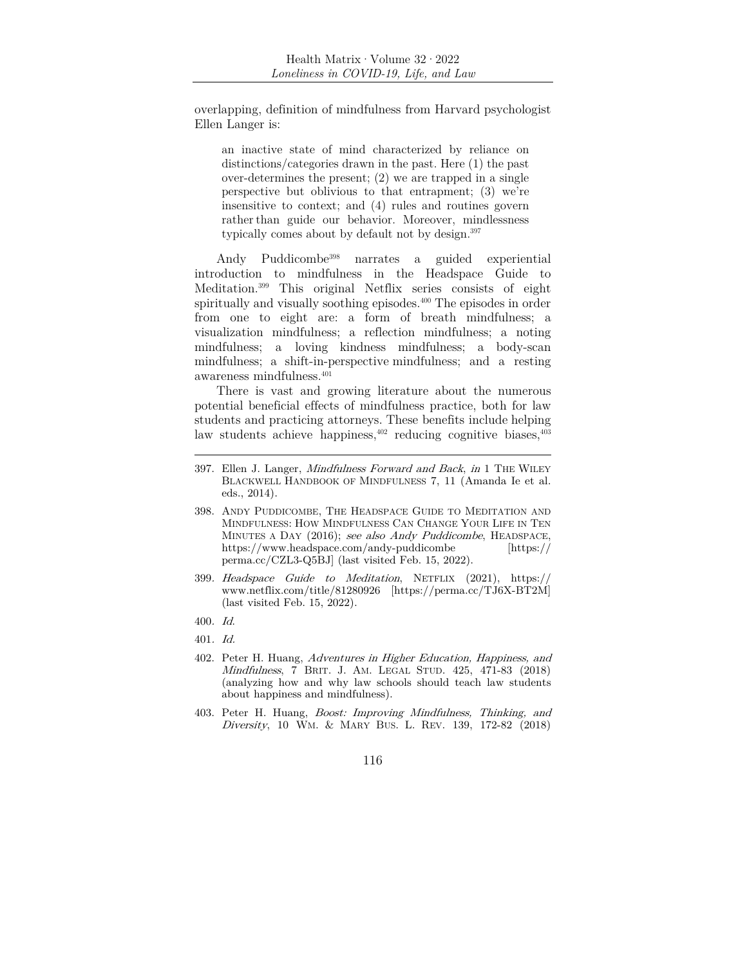overlapping, definition of mindfulness from Harvard psychologist Ellen Langer is:

an inactive state of mind characterized by reliance on distinctions/categories drawn in the past. Here (1) the past over-determines the present; (2) we are trapped in a single perspective but oblivious to that entrapment; (3) we're insensitive to context; and (4) rules and routines govern rather than guide our behavior. Moreover, mindlessness typically comes about by default not by design.397

Andy Puddicombe398 narrates a guided experiential introduction to mindfulness in the Headspace Guide to Meditation.399 This original Netflix series consists of eight spiritually and visually soothing episodes.<sup>400</sup> The episodes in order from one to eight are: a form of breath mindfulness; a visualization mindfulness; a reflection mindfulness; a noting mindfulness; a loving kindness mindfulness; a body-scan mindfulness; a shift-in-perspective mindfulness; and a resting awareness mindfulness.401

There is vast and growing literature about the numerous potential beneficial effects of mindfulness practice, both for law students and practicing attorneys. These benefits include helping law students achieve happiness, $402$  reducing cognitive biases,  $403$ 

399. Headspace Guide to Meditation, NETFLIX (2021), https:// www.netflix.com/title/81280926 [https://perma.cc/TJ6X-BT2M] (last visited Feb. 15, 2022).

<sup>397.</sup> Ellen J. Langer, *Mindfulness Forward and Back*, *in* 1 THE WILEY BLACKWELL HANDBOOK OF MINDFULNESS 7, 11 (Amanda Ie et al. eds., 2014).

<sup>398.</sup> ANDY PUDDICOMBE, THE HEADSPACE GUIDE TO MEDITATION AND MINDFULNESS: HOW MINDFULNESS CAN CHANGE YOUR LIFE IN TEN MINUTES A DAY (2016); see also Andy Puddicombe, HEADSPACE, https://www.headspace.com/andy-puddicombe [https:// perma.cc/CZL3-Q5BJ] (last visited Feb. 15, 2022).

<sup>400</sup>. Id.

<sup>401</sup>. Id.

<sup>402.</sup> Peter H. Huang, Adventures in Higher Education, Happiness, and Mindfulness, 7 BRIT. J. AM. LEGAL STUD. 425, 471-83 (2018) (analyzing how and why law schools should teach law students about happiness and mindfulness).

<sup>403.</sup> Peter H. Huang, Boost: Improving Mindfulness, Thinking, and Diversity, 10 WM. & MARY BUS. L. REV. 139, 172-82 (2018)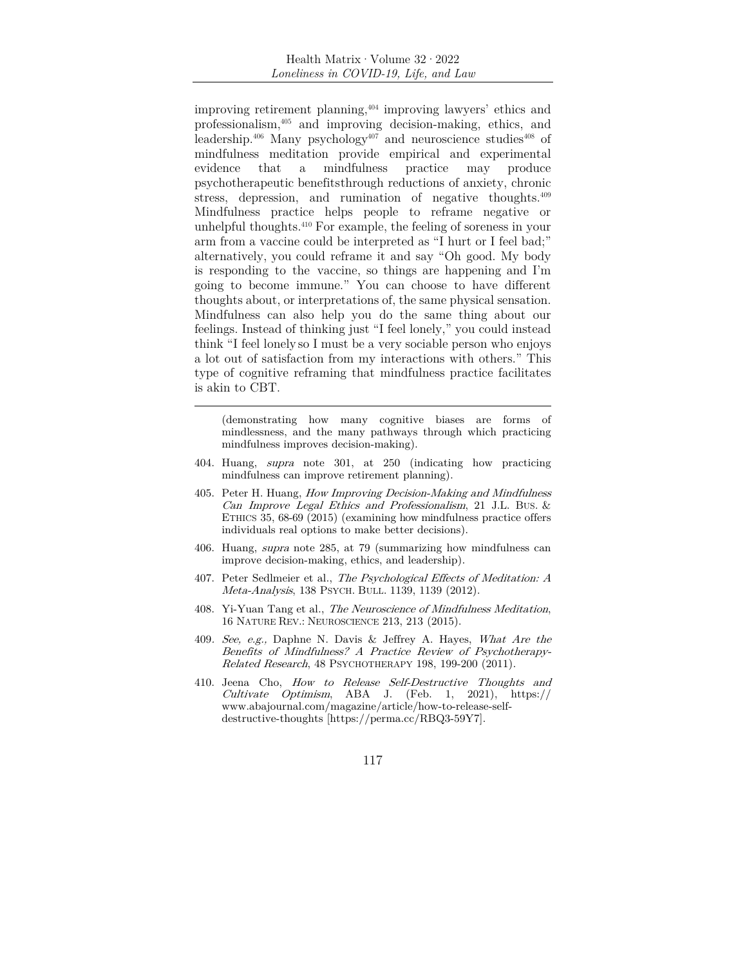improving retirement planning,404 improving lawyers' ethics and professionalism,405 and improving decision-making, ethics, and leadership.<sup>406</sup> Many psychology<sup>407</sup> and neuroscience studies<sup>408</sup> of mindfulness meditation provide empirical and experimental evidence that a mindfulness practice may produce psychotherapeutic benefits through reductions of anxiety, chronic stress, depression, and rumination of negative thoughts.<sup>409</sup> Mindfulness practice helps people to reframe negative or unhelpful thoughts.410 For example, the feeling of soreness in your arm from a vaccine could be interpreted as "I hurt or I feel bad;" alternatively, you could reframe it and say "Oh good. My body is responding to the vaccine, so things are happening and I'm going to become immune." You can choose to have different thoughts about, or interpretations of, the same physical sensation. Mindfulness can also help you do the same thing about our feelings. Instead of thinking just "I feel lonely," you could instead think "I feel lonely so I must be a very sociable person who enjoys a lot out of satisfaction from my interactions with others." This type of cognitive reframing that mindfulness practice facilitates is akin to CBT.

(demonstrating how many cognitive biases are forms of mindlessness, and the many pathways through which practicing mindfulness improves decision-making).

- 404. Huang, supra note 301, at 250 (indicating how practicing mindfulness can improve retirement planning).
- 405. Peter H. Huang, How Improving Decision-Making and Mindfulness Can Improve Legal Ethics and Professionalism, 21 J.L. BUS. & ETHICS 35, 68-69 (2015) (examining how mindfulness practice offers individuals real options to make better decisions).
- 406. Huang, supra note 285, at 79 (summarizing how mindfulness can improve decision-making, ethics, and leadership).
- 407. Peter Sedlmeier et al., The Psychological Effects of Meditation: A Meta-Analysis, 138 PSYCH. BULL. 1139, 1139 (2012).
- 408. Yi-Yuan Tang et al., The Neuroscience of Mindfulness Meditation, 16 NATURE REV.: NEUROSCIENCE 213, 213 (2015).
- 409. See, e.g., Daphne N. Davis & Jeffrey A. Hayes, What Are the Benefits of Mindfulness? A Practice Review of Psychotherapy-Related Research, 48 PSYCHOTHERAPY 198, 199-200 (2011).
- 410. Jeena Cho, How to Release Self-Destructive Thoughts and Cultivate Optimism, ABA J. (Feb. 1, 2021), https:// www.abajournal.com/magazine/article/how-to-release-selfdestructive-thoughts [https://perma.cc/RBQ3-59Y7].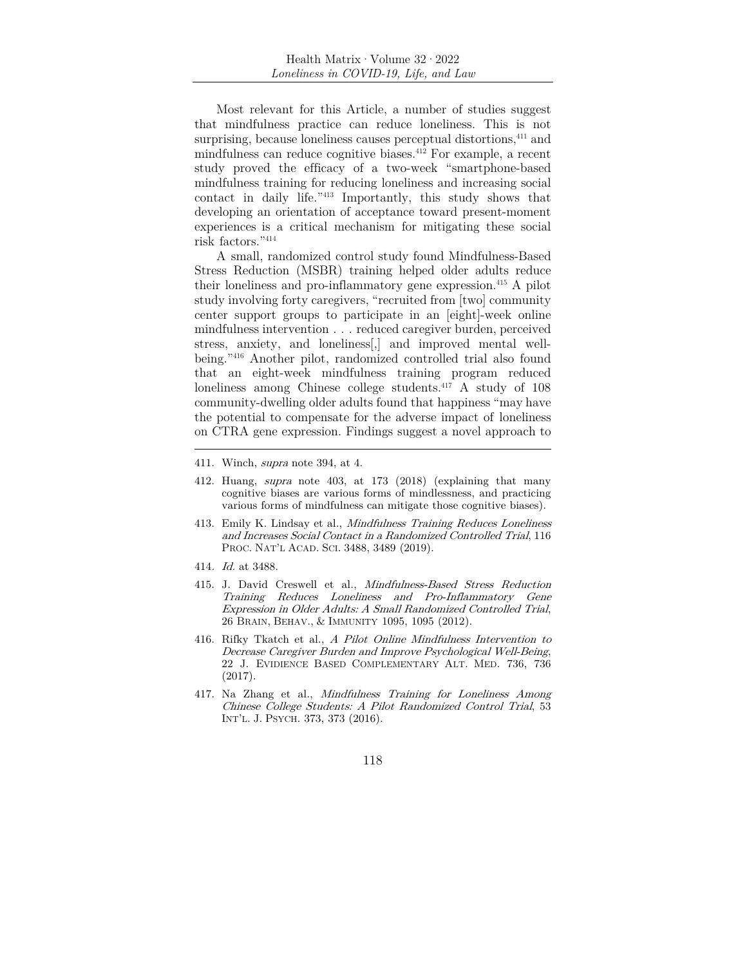Most relevant for this Article, a number of studies suggest that mindfulness practice can reduce loneliness. This is not surprising, because loneliness causes perceptual distortions,<sup>411</sup> and mindfulness can reduce cognitive biases.412 For example, a recent study proved the efficacy of a two-week "smartphone-based mindfulness training for reducing loneliness and increasing social contact in daily life."413 Importantly, this study shows that developing an orientation of acceptance toward present-moment experiences is a critical mechanism for mitigating these social risk factors."414

A small, randomized control study found Mindfulness-Based Stress Reduction (MSBR) training helped older adults reduce their loneliness and pro-inflammatory gene expression.415 A pilot study involving forty caregivers, "recruited from [two] community center support groups to participate in an [eight]-week online mindfulness intervention . . . reduced caregiver burden, perceived stress, anxiety, and loneliness[,] and improved mental wellbeing."416 Another pilot, randomized controlled trial also found that an eight-week mindfulness training program reduced loneliness among Chinese college students.417 A study of 108 community-dwelling older adults found that happiness "may have the potential to compensate for the adverse impact of loneliness on CTRA gene expression. Findings suggest a novel approach to

- 411. Winch, supra note 394, at 4.
- 412. Huang, supra note 403, at 173 (2018) (explaining that many cognitive biases are various forms of mindlessness, and practicing various forms of mindfulness can mitigate those cognitive biases).
- 413. Emily K. Lindsay et al., Mindfulness Training Reduces Loneliness and Increases Social Contact in a Randomized Controlled Trial, 116 PROC. NAT'L ACAD. SCI. 3488, 3489 (2019).
- 414. Id. at 3488.
- 415. J. David Creswell et al., Mindfulness-Based Stress Reduction Training Reduces Loneliness and Pro-Inflammatory Gene Expression in Older Adults: A Small Randomized Controlled Trial, 26 BRAIN, BEHAV., & IMMUNITY 1095, 1095 (2012).
- 416. Rifky Tkatch et al., A Pilot Online Mindfulness Intervention to Decrease Caregiver Burden and Improve Psychological Well-Being, 22 J. EVIDIENCE BASED COMPLEMENTARY ALT. MED. 736, 736 (2017).
- 417. Na Zhang et al., Mindfulness Training for Loneliness Among Chinese College Students: A Pilot Randomized Control Trial, 53 INT'L. J. PSYCH. 373, 373 (2016).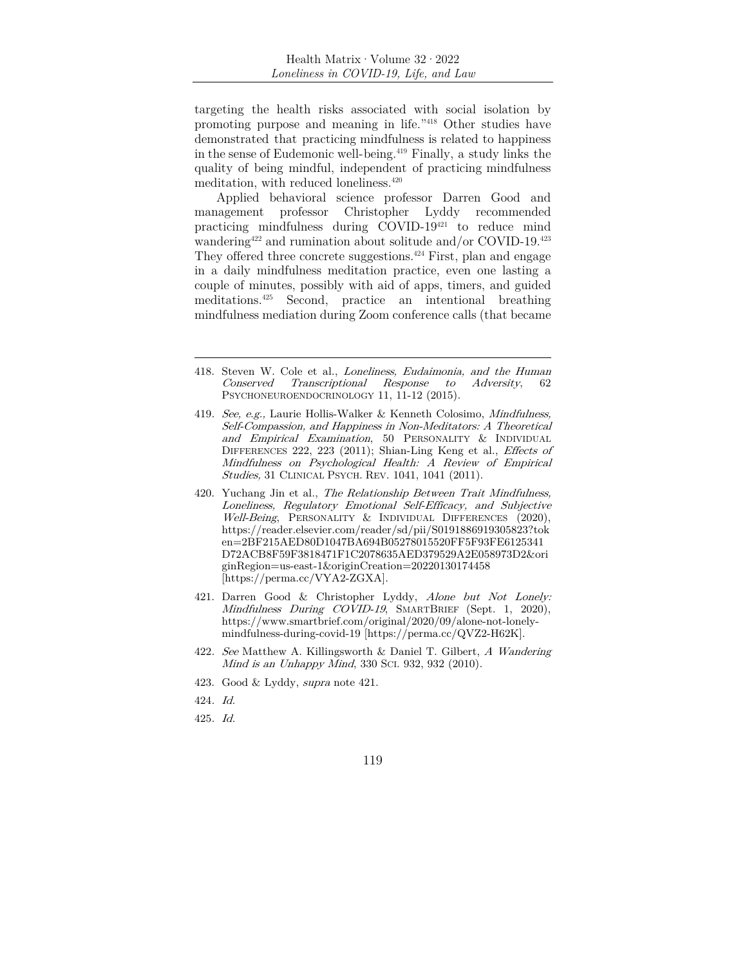targeting the health risks associated with social isolation by promoting purpose and meaning in life."418 Other studies have demonstrated that practicing mindfulness is related to happiness in the sense of Eudemonic well- being.419 Finally, a study links the quality of being mindful, independent of practicing mindfulness meditation, with reduced loneliness.420

Applied behavioral science professor Darren Good and management professor Christopher Lyddy recommended practicing mindfulness during COVID-19421 to reduce mind wandering<sup>422</sup> and rumination about solitude and/or COVID-19.<sup>423</sup> They offered three concrete suggestions.<sup> $424$ </sup> First, plan and engage in a daily mindfulness meditation practice, even one lasting a couple of minutes, possibly with aid of apps, timers, and guided meditations.425 Second, practice an intentional breathing mindfulness mediation during Zoom conference calls (that became

- 419. See, e.g., Laurie Hollis-Walker & Kenneth Colosimo, Mindfulness, Self-Compassion, and Happiness in Non-Meditators: A Theoretical and Empirical Examination, 50 PERSONALITY & INDIVIDUAL DIFFERENCES 222, 223 (2011); Shian-Ling Keng et al., *Effects of* Mindfulness on Psychological Health: A Review of Empirical Studies, 31 CLINICAL PSYCH. REV. 1041, 1041 (2011).
- 420. Yuchang Jin et al., The Relationship Between Trait Mindfulness, Loneliness, Regulatory Emotional Self-Efficacy, and Subjective Well-Being, PERSONALITY & INDIVIDUAL DIFFERENCES (2020), https://reader.elsevier.com/reader/sd/pii/S0191886919305823?tok en=2BF215AED80D1047BA694B05278015520FF5F93FE6125341 D72ACB8F59F3818471F1C2078635AED379529A2E058973D2&ori ginRegion=us-east-1&originCreation=20220130174458 [https://perma.cc/VYA2-ZGXA].
- 421. Darren Good & Christopher Lyddy, Alone but Not Lonely: Mindfulness During COVID-19, SMARTBRIEF (Sept. 1, 2020), https://www.smartbrief.com/original/2020/09/alone-not-lonelymindfulness-during-covid-19 [https://perma.cc/QVZ2-H62K].
- 422. See Matthew A. Killingsworth & Daniel T. Gilbert, A Wandering Mind is an Unhappy Mind, 330 SCI. 932, 932 (2010).
- 423. Good & Lyddy, supra note 421.
- 424. Id.
- 425. Id.

<sup>418.</sup> Steven W. Cole et al., Loneliness, Eudaimonia, and the Human Conserved Transcriptional Response to Adversity, 62 PSYCHONEUROENDOCRINOLOGY 11, 11-12 (2015).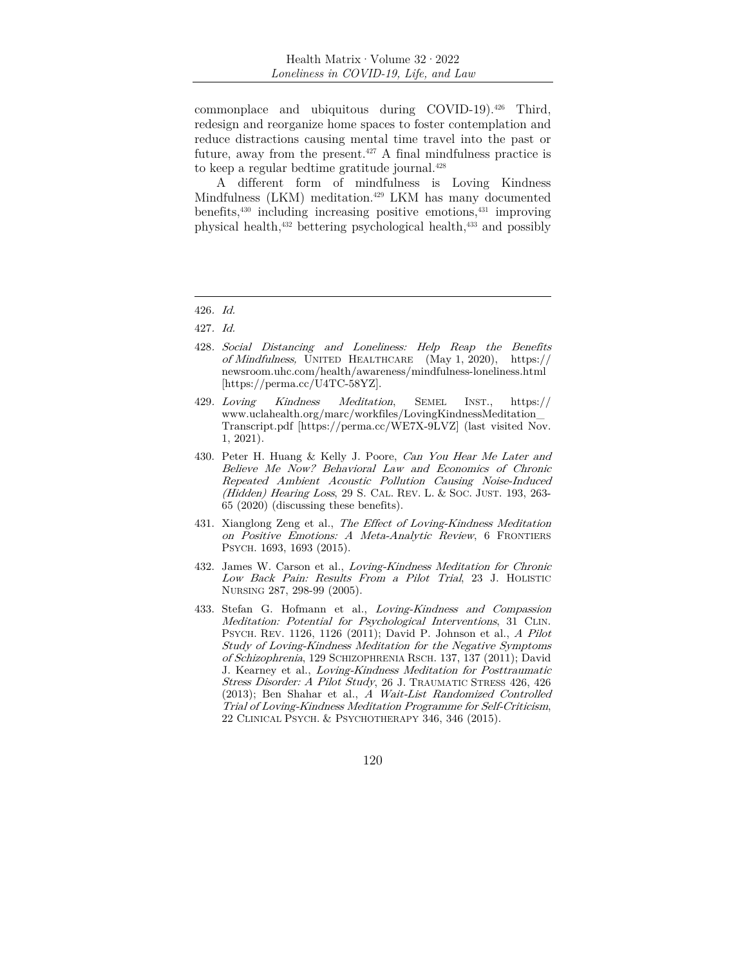commonplace and ubiquitous during COVID-19).426 Third, redesign and reorganize home spaces to foster contemplation and reduce distractions causing mental time travel into the past or future, away from the present.<sup> $427$ </sup> A final mindfulness practice is to keep a regular bedtime gratitude journal.428

A different form of mindfulness is Loving Kindness Mindfulness (LKM) meditation.<sup>429</sup> LKM has many documented benefits,430 including increasing positive emotions,431 improving physical health,432 bettering psychological health,433 and possibly

- 428. Social Distancing and Loneliness: Help Reap the Benefits of Mindfulness, UNITED HEALTHCARE (May 1, 2020), https:// newsroom.uhc.com/health/awareness/mindfulness-loneliness.html [https://perma.cc/U4TC-58YZ].
- 429. Loving Kindness Meditation, SEMEL INST., https:// www.uclahealth.org/marc/workfiles/LovingKindnessMeditation\_ Transcript.pdf [https://perma.cc/WE7X-9LVZ] (last visited Nov. 1, 2021).
- 430. Peter H. Huang & Kelly J. Poore, Can You Hear Me Later and Believe Me Now? Behavioral Law and Economics of Chronic Repeated Ambient Acoustic Pollution Causing Noise-Induced (Hidden) Hearing Loss, 29 S. CAL. REV. L. & Soc. JUST. 193, 263-65 (2020) (discussing these benefits).
- 431. Xianglong Zeng et al., The Effect of Loving-Kindness Meditation on Positive Emotions: A Meta-Analytic Review, 6 FRONTIERS PSYCH. 1693, 1693 (2015).
- 432. James W. Carson et al., Loving-Kindness Meditation for Chronic Low Back Pain: Results From a Pilot Trial, 23 J. HOLISTIC NURSING 287, 298-99 (2005).
- 433. Stefan G. Hofmann et al., Loving-Kindness and Compassion Meditation: Potential for Psychological Interventions, 31 CLIN. PSYCH. REV. 1126, 1126 (2011); David P. Johnson et al., A Pilot Study of Loving-Kindness Meditation for the Negative Symptoms of Schizophrenia, 129 SCHIZOPHRENIA RSCH. 137, 137 (2011); David J. Kearney et al., Loving‐Kindness Meditation for Posttraumatic Stress Disorder: A Pilot Study, 26 J. TRAUMATIC STRESS 426, 426 (2013); Ben Shahar et al., A Wait‐List Randomized Controlled Trial of Loving‐Kindness Meditation Programme for Self‐Criticism, 22 CLINICAL PSYCH. & PSYCHOTHERAPY 346, 346 (2015).

<sup>426</sup>. Id.

<sup>427</sup>. Id.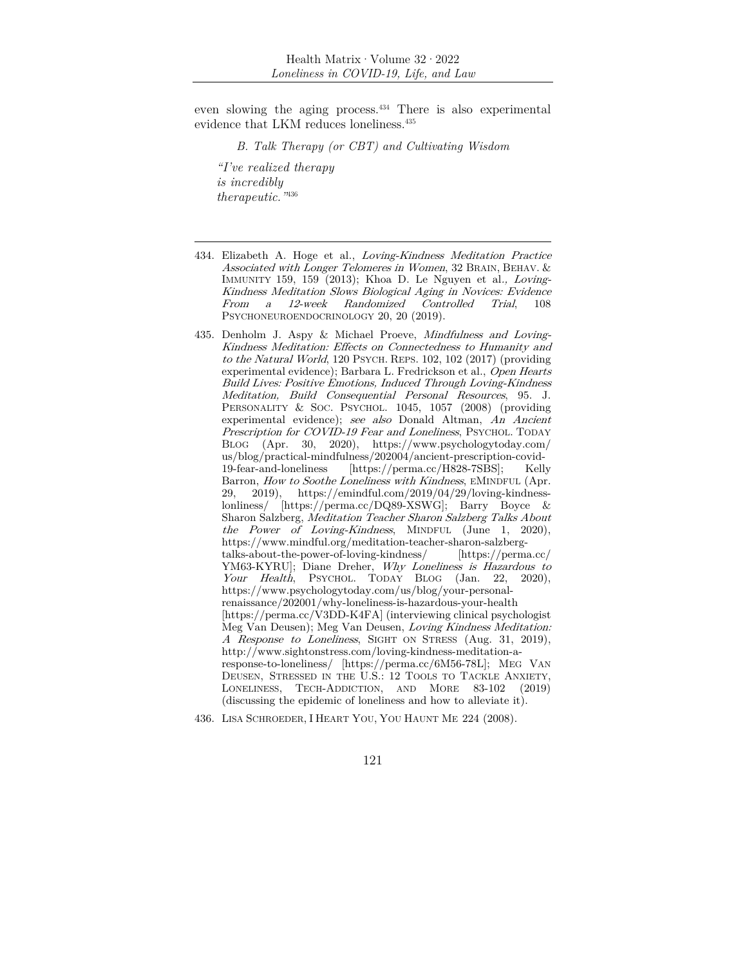even slowing the aging process.<sup>434</sup> There is also experimental evidence that LKM reduces loneliness.435

*B. Talk Therapy (or CBT) and Cultivating Wisdom* 

*"I've realized therapy is incredibly therapeutic."*<sup>436</sup>

- 434. Elizabeth A. Hoge et al., Loving-Kindness Meditation Practice Associated with Longer Telomeres in Women, 32 BRAIN, BEHAV. & IMMUNITY 159, 159 (2013); Khoa D. Le Nguyen et al., Loving-Kindness Meditation Slows Biological Aging in Novices: Evidence From a 12-week Randomized Controlled Trial, 108 PSYCHONEUROENDOCRINOLOGY 20, 20 (2019).
- 435. Denholm J. Aspy & Michael Proeve, Mindfulness and Loving-Kindness Meditation: Effects on Connectedness to Humanity and to the Natural World, 120 PSYCH. REPS. 102, 102 (2017) (providing experimental evidence); Barbara L. Fredrickson et al., Open Hearts Build Lives: Positive Emotions, Induced Through Loving-Kindness Meditation, Build Consequential Personal Resources, 95. J. PERSONALITY & SOC. PSYCHOL. 1045, 1057 (2008) (providing experimental evidence); see also Donald Altman, An Ancient Prescription for COVID-19 Fear and Loneliness, PSYCHOL. TODAY BLOG (Apr. 30, 2020), https://www.psychologytoday.com/ us/blog/practical-mindfulness/202004/ancient-prescription-covid-19-fear-and-loneliness [https://perma.cc/H828-7SBS]; Kelly Barron, How to Soothe Loneliness with Kindness, EMINDFUL (Apr. 29, 2019), https://emindful.com/2019/04/29/loving-kindnesslonliness/ [https://perma.cc/DQ89-XSWG]; Barry Boyce & Sharon Salzberg, Meditation Teacher Sharon Salzberg Talks About the Power of Loving-Kindness, MINDFUL (June 1, 2020), https://www.mindful.org/meditation-teacher-sharon-salzbergtalks-about-the-power-of-loving-kindness/ [https://perma.cc/ YM63-KYRU]; Diane Dreher, Why Loneliness is Hazardous to Your Health, PSYCHOL. TODAY BLOG (Jan. 22, 2020), https://www.psychologytoday.com/us/blog/your-personalrenaissance/202001/why-loneliness-is-hazardous-your-health [https://perma.cc/V3DD-K4FA] (interviewing clinical psychologist Meg Van Deusen); Meg Van Deusen, Loving Kindness Meditation: A Response to Loneliness, SIGHT ON STRESS (Aug. 31, 2019), http://www.sightonstress.com/loving-kindness-meditation-aresponse-to-loneliness/ [https://perma.cc/6M56-78L]; MEG VAN DEUSEN, STRESSED IN THE U.S.: 12 TOOLS TO TACKLE ANXIETY, LONELINESS, TECH-ADDICTION, AND MORE 83-102 (2019) (discussing the epidemic of loneliness and how to alleviate it).
- 436. LISA SCHROEDER, I HEART YOU, YOU HAUNT ME 224 (2008).
	- 121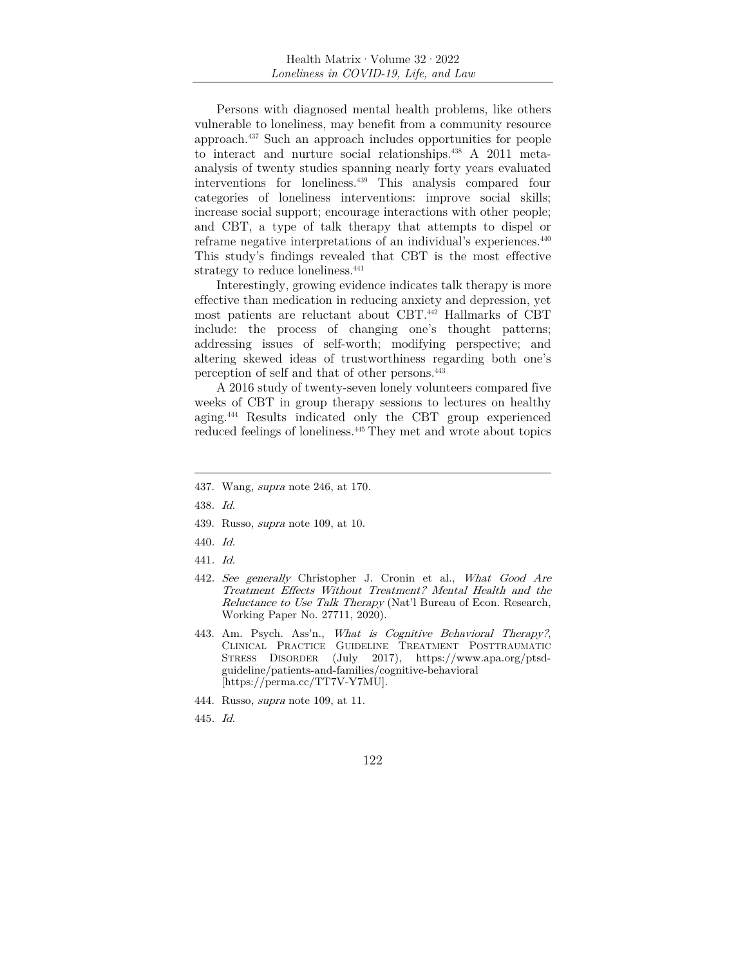Persons with diagnosed mental health problems, like others vulnerable to loneliness, may benefit from a community resource approach.437 Such an approach includes opportunities for people to interact and nurture social relationships.438 A 2011 metaanalysis of twenty studies spanning nearly forty years evaluated interventions for loneliness.439 This analysis compared four categories of loneliness interventions: improve social skills; increase social support; encourage interactions with other people; and CBT, a type of talk therapy that attempts to dispel or reframe negative interpretations of an individual's experiences.440 This study's findings revealed that CBT is the most effective strategy to reduce loneliness.<sup>441</sup>

Interestingly, growing evidence indicates talk therapy is more effective than medication in reducing anxiety and depression, yet most patients are reluctant about CBT.442 Hallmarks of CBT include: the process of changing one's thought patterns; addressing issues of self-worth; modifying perspective; and altering skewed ideas of trustworthiness regarding both one's perception of self and that of other persons.443

A 2016 study of twenty-seven lonely volunteers compared five weeks of CBT in group therapy sessions to lectures on healthy aging.444 Results indicated only the CBT group experienced reduced feelings of loneliness.445 They met and wrote about topics

- 439. Russo, supra note 109, at 10.
- 440. Id.
- 441. Id.
- 442. See generally Christopher J. Cronin et al., What Good Are Treatment Effects Without Treatment? Mental Health and the Reluctance to Use Talk Therapy (Nat'l Bureau of Econ. Research, Working Paper No. 27711, 2020).
- 443. Am. Psych. Ass'n., What is Cognitive Behavioral Therapy?, CLINICAL PRACTICE GUIDELINE TREATMENT POSTTRAUMATIC STRESS DISORDER (July 2017), https://www.apa.org/ptsdguideline/patients-and-families/cognitive-behavioral [https://perma.cc/TT7V-Y7MU].
- 444. Russo, supra note 109, at 11.
- 445. Id.

<sup>437.</sup> Wang, supra note 246, at 170.

<sup>438</sup>. Id.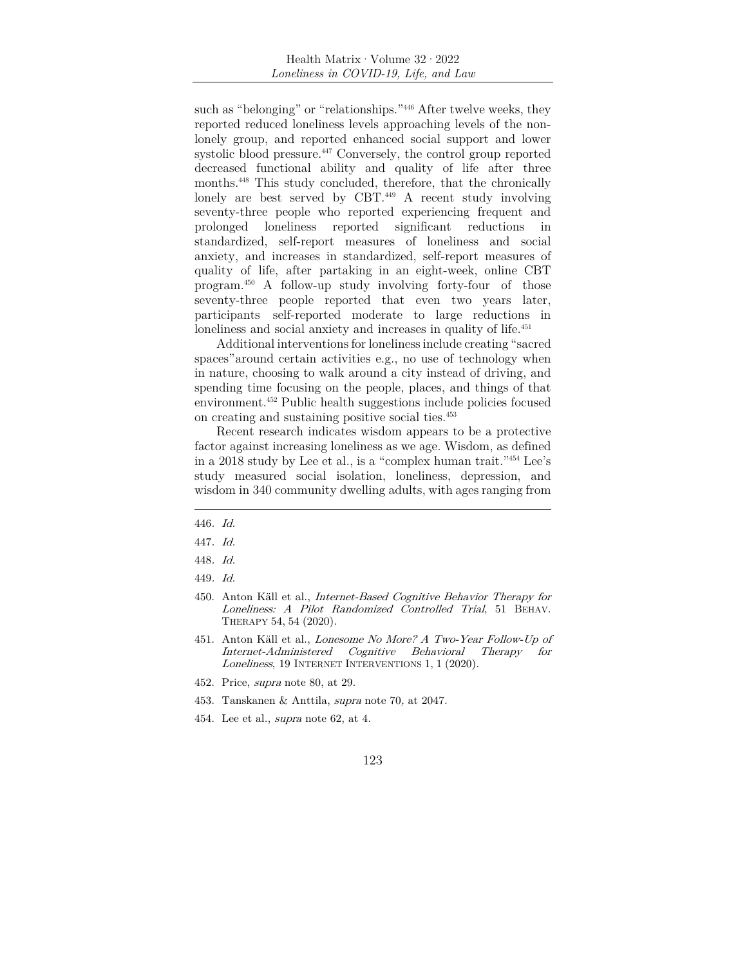such as "belonging" or "relationships."<sup>446</sup> After twelve weeks, they reported reduced loneliness levels approaching levels of the nonlonely group, and reported enhanced social support and lower systolic blood pressure.<sup>447</sup> Conversely, the control group reported decreased functional ability and quality of life after three months.448 This study concluded, therefore, that the chronically lonely are best served by CBT.<sup>449</sup> A recent study involving seventy-three people who reported experiencing frequent and prolonged loneliness reported significant reductions in standardized, self-report measures of loneliness and social anxiety, and increases in standardized, self-report measures of quality of life, after partaking in an eight-week, online CBT program.450 A follow-up study involving forty-four of those seventy-three people reported that even two years later, participants self-reported moderate to large reductions in loneliness and social anxiety and increases in quality of life.<sup>451</sup>

Additional interventions for loneliness include creating "sacred spaces" around certain activities e.g., no use of technology when in nature, choosing to walk around a city instead of driving, and spending time focusing on the people, places, and things of that environment.452 Public health suggestions include policies focused on creating and sustaining positive social ties.453

Recent research indicates wisdom appears to be a protective factor against increasing loneliness as we age. Wisdom, as defined in a 2018 study by Lee et al., is a "complex human trait."454 Lee's study measured social isolation, loneliness, depression, and wisdom in 340 community dwelling adults, with ages ranging from

<sup>446</sup>. Id.

<sup>447</sup>. Id.

<sup>448</sup>. Id.

<sup>449</sup>. Id.

<sup>450.</sup> Anton Käll et al., Internet-Based Cognitive Behavior Therapy for Loneliness: A Pilot Randomized Controlled Trial, 51 BEHAV. THERAPY 54, 54 (2020).

<sup>451.</sup> Anton Käll et al., Lonesome No More? A Two-Year Follow-Up of Internet-Administered Cognitive Behavioral Therapy for Loneliness, 19 INTERNET INTERVENTIONS 1, 1 (2020).

<sup>452.</sup> Price, supra note 80, at 29.

<sup>453.</sup> Tanskanen & Anttila, supra note 70, at 2047.

<sup>454.</sup> Lee et al., supra note 62, at 4.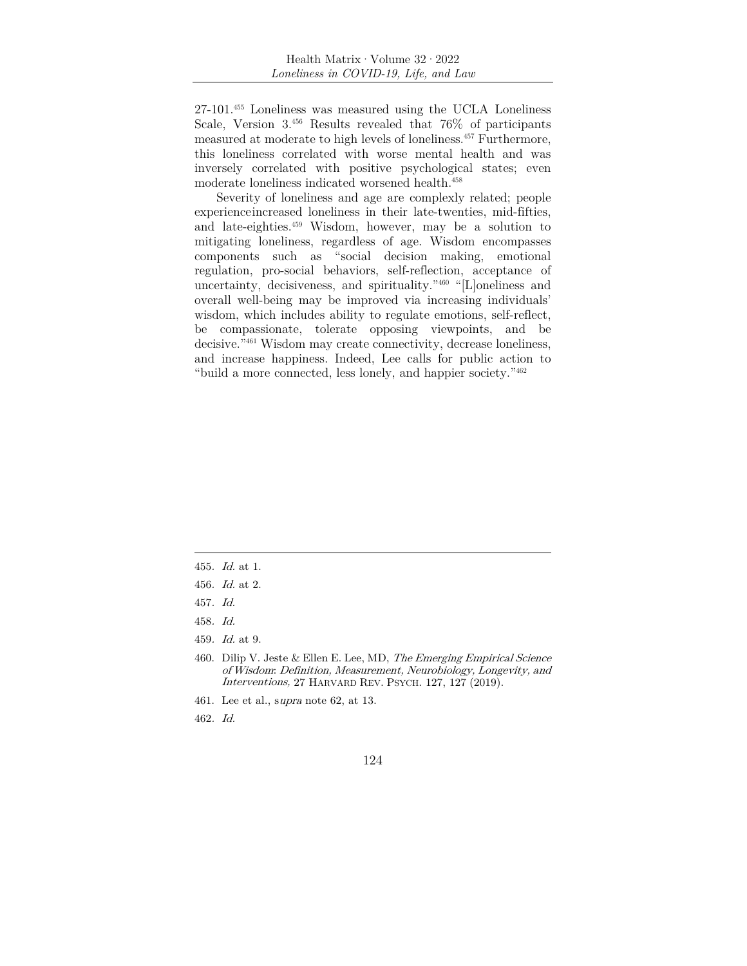27-101.455 Loneliness was measured using the UCLA Loneliness Scale, Version 3.456 Results revealed that 76% of participants measured at moderate to high levels of loneliness.457 Furthermore, this loneliness correlated with worse mental health and was inversely correlated with positive psychological states; even moderate loneliness indicated worsened health.458

Severity of loneliness and age are complexly related; people experience increased loneliness in their late-twenties, mid-fifties, and late-eighties.459 Wisdom, however, may be a solution to mitigating loneliness, regardless of age. Wisdom encompasses components such as "social decision making, emotional regulation, pro-social behaviors, self-reflection, acceptance of uncertainty, decisiveness, and spirituality."460 "[L]oneliness and overall well-being may be improved via increasing individuals' wisdom, which includes ability to regulate emotions, self-reflect, be compassionate, tolerate opposing viewpoints, and be decisive.<sup>"461</sup> Wisdom may create connectivity, decrease loneliness, and increase happiness. Indeed, Lee calls for public action to "build a more connected, less lonely, and happier society."462

- 457. Id.
- 458. Id.
- 459. Id. at 9.

- 461. Lee et al., supra note 62, at 13.
- 462. Id.

<sup>455</sup>. Id. at 1.

<sup>456</sup>. Id. at 2.

<sup>460.</sup> Dilip V. Jeste & Ellen E. Lee, MD, The Emerging Empirical Science of Wisdom: Definition, Measurement, Neurobiology, Longevity, and Interventions, 27 HARVARD REV. PSYCH. 127, 127 (2019).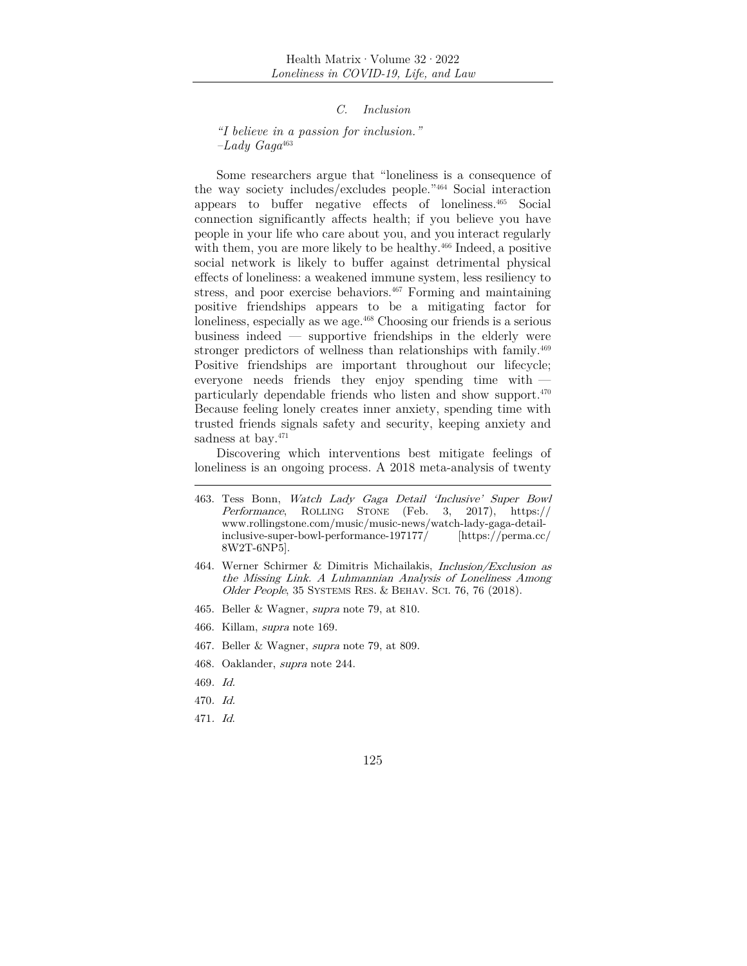*C. Inclusion* 

*"I believe in a passion for inclusion." –Lady Gaga*<sup>463</sup>

Some researchers argue that "loneliness is a consequence of the way society includes/excludes people."464 Social interaction appears to buffer negative effects of loneliness.465 Social connection significantly affects health; if you believe you have people in your life who care about you, and you interact regularly with them, you are more likely to be healthy.<sup>466</sup> Indeed, a positive social network is likely to buffer against detrimental physical effects of loneliness: a weakened immune system, less resiliency to stress, and poor exercise behaviors.<sup>467</sup> Forming and maintaining positive friendships appears to be a mitigating factor for loneliness, especially as we age.<sup>468</sup> Choosing our friends is a serious business indeed — supportive friendships in the elderly were stronger predictors of wellness than relationships with family.<sup>469</sup> Positive friendships are important throughout our lifecycle; everyone needs friends they enjoy spending time with particularly dependable friends who listen and show support.470 Because feeling lonely creates inner anxiety, spending time with trusted friends signals safety and security, keeping anxiety and sadness at bay.<sup>471</sup>

Discovering which interventions best mitigate feelings of loneliness is an ongoing process. A 2018 meta-analysis of twenty

- 465. Beller & Wagner, supra note 79, at 810.
- 466. Killam, supra note 169.
- 467. Beller & Wagner, supra note 79, at 809.
- 468. Oaklander, supra note 244.
- 469. Id.
- 470. Id.
- 471. Id.

<sup>463.</sup> Tess Bonn, Watch Lady Gaga Detail 'Inclusive' Super Bowl Performance, ROLLING STONE (Feb. 3, 2017), https:// www.rollingstone.com/music/music-news/watch-lady-gaga-detailinclusive-super-bowl-performance-197177/ [https://perma.cc/ 8W2T-6NP5].

<sup>464.</sup> Werner Schirmer & Dimitris Michailakis, Inclusion/Exclusion as the Missing Link. A Luhmannian Analysis of Loneliness Among Older People, 35 SYSTEMS RES. & BEHAV. SCI. 76, 76 (2018).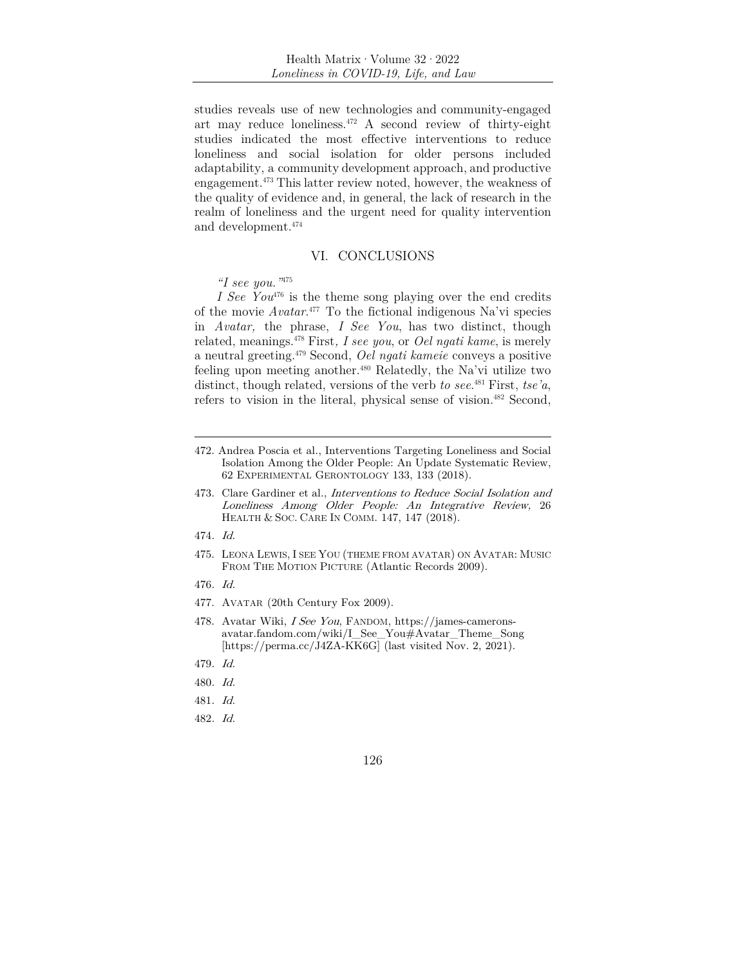studies reveals use of new technologies and community-engaged art may reduce loneliness. $472$  A second review of thirty-eight studies indicated the most effective interventions to reduce loneliness and social isolation for older persons included adaptability, a community development approach, and productive engagement.473 This latter review noted, however, the weakness of the quality of evidence and, in general, the lack of research in the realm of loneliness and the urgent need for quality intervention and development.474

### VI. CONCLUSIONS

### *"I see you."*<sup>475</sup>

*I See You*476 is the theme song playing over the end credits of the movie *Avatar*. 477 To the fictional indigenous Na'vi species in *Avatar,* the phrase, *I See You*, has two distinct, though related, meanings.478 First*, I see you*, or *Oel ngati kame*, is merely a neutral greeting.479 Second, *Oel ngati kameie* conveys a positive feeling upon meeting another.480 Relatedly, the Na'vi utilize two distinct, though related, versions of the verb *to see*. 481 First, *tse'a*, refers to vision in the literal, physical sense of vision.<sup>482</sup> Second,

- 473. Clare Gardiner et al., Interventions to Reduce Social Isolation and Loneliness Among Older People: An Integrative Review, 26 HEALTH & SOC. CARE IN COMM. 147, 147 (2018).
- 474. Id.
- 475. LEONA LEWIS, I SEE YOU (THEME FROM AVATAR) ON AVATAR: MUSIC FROM THE MOTION PICTURE (Atlantic Records 2009).
- 476. Id.
- 477. AVATAR (20th Century Fox 2009).
- 478. Avatar Wiki, I See You, FANDOM, https://james-cameronsavatar.fandom.com/wiki/I\_See\_You#Avatar\_Theme\_Song [https://perma.cc/J4ZA-KK6G] (last visited Nov. 2, 2021).
- 479. Id.
- 480. Id.
- 481. Id.
- 482. Id.

<sup>472.</sup> Andrea Poscia et al., Interventions Targeting Loneliness and Social Isolation Among the Older People: An Update Systematic Review, 62 EXPERIMENTAL GERONTOLOGY 133, 133 (2018).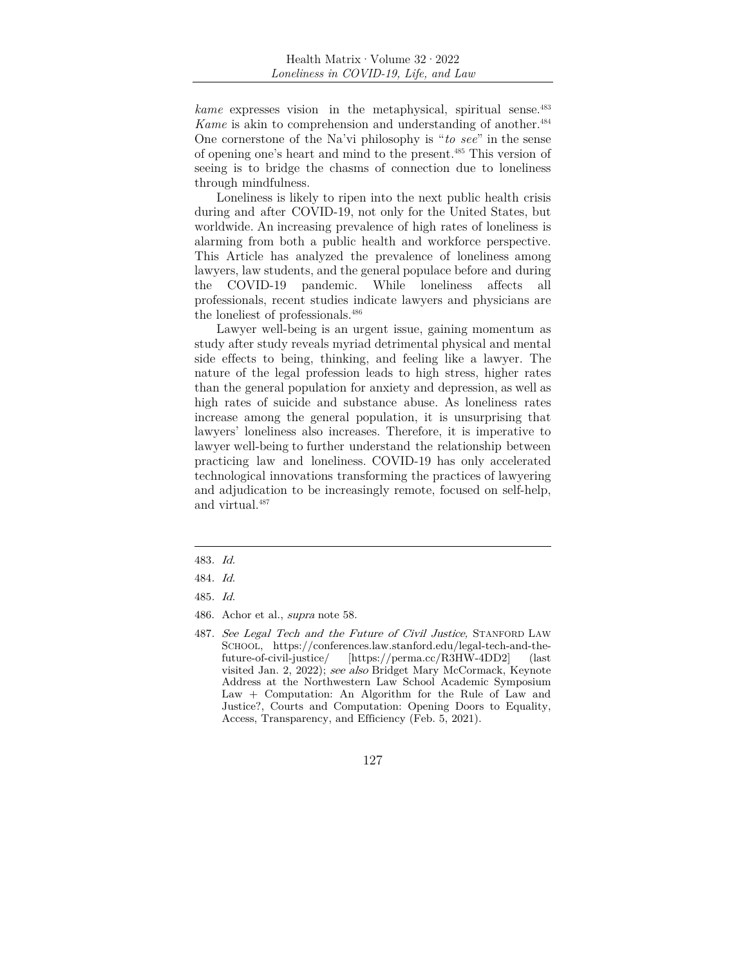*kame* expresses vision in the metaphysical, spiritual sense.<sup>483</sup> *Kame* is akin to comprehension and understanding of another.<sup>484</sup> One cornerstone of the Na'vi philosophy is "*to see*" in the sense of opening one's heart and mind to the present.485 This version of seeing is to bridge the chasms of connection due to loneliness through mindfulness.

Loneliness is likely to ripen into the next public health crisis during and after COVID-19, not only for the United States, but worldwide. An increasing prevalence of high rates of loneliness is alarming from both a public health and workforce perspective. This Article has analyzed the prevalence of loneliness among lawyers, law students, and the general populace before and during the COVID-19 pandemic. While loneliness affects all professionals, recent studies indicate lawyers and physicians are the loneliest of professionals.486

Lawyer well-being is an urgent issue, gaining momentum as study after study reveals myriad detrimental physical and mental side effects to being, thinking, and feeling like a lawyer. The nature of the legal profession leads to high stress, higher rates than the general population for anxiety and depression, as well as high rates of suicide and substance abuse. As loneliness rates increase among the general population, it is unsurprising that lawyers' loneliness also increases. Therefore, it is imperative to lawyer well-being to further understand the relationship between practicing law and loneliness. COVID-19 has only accelerated technological innovations transforming the practices of lawyering and adjudication to be increasingly remote, focused on self-help, and virtual.<sup>487</sup>

<sup>483</sup>. Id.

<sup>484</sup>. Id.

<sup>485</sup>. Id.

<sup>486.</sup> Achor et al., supra note 58.

<sup>487</sup>. See Legal Tech and the Future of Civil Justice, STANFORD LAW SCHOOL, https://conferences.law.stanford.edu/legal-tech-and-thefuture-of-civil-justice/ [https://perma.cc/R3HW-4DD2] (last visited Jan. 2, 2022); see also Bridget Mary McCormack, Keynote Address at the Northwestern Law School Academic Symposium Law + Computation: An Algorithm for the Rule of Law and Justice?, Courts and Computation: Opening Doors to Equality, Access, Transparency, and Efficiency (Feb. 5, 2021).

<sup>127</sup>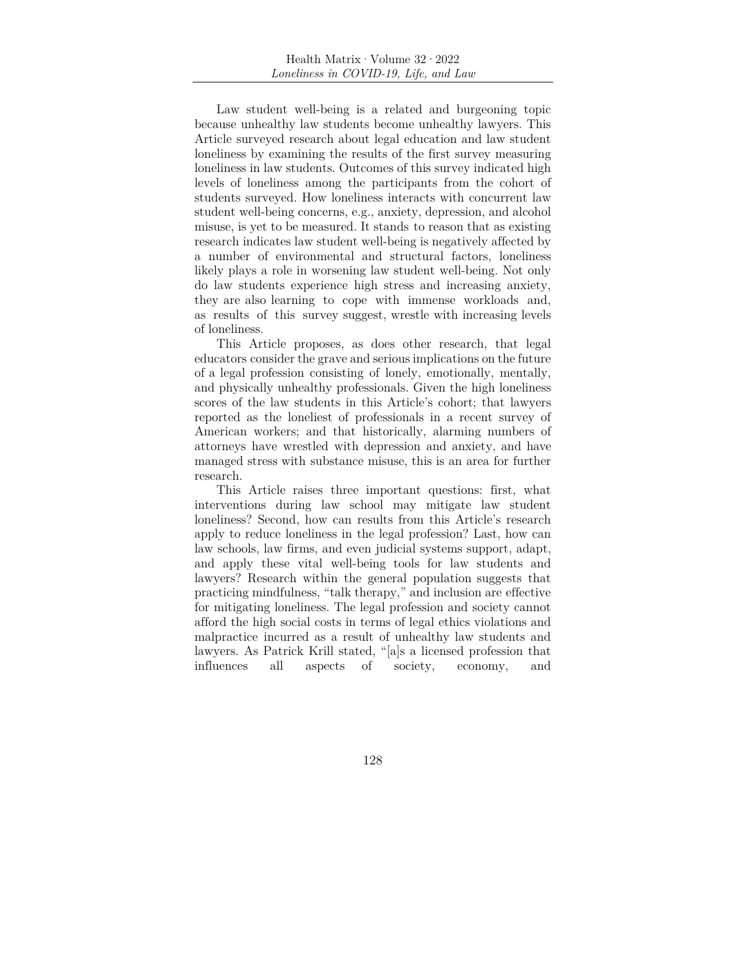Law student well-being is a related and burgeoning topic because unhealthy law students become unhealthy lawyers. This Article surveyed research about legal education and law student loneliness by examining the results of the first survey measuring loneliness in law students. Outcomes of this survey indicated high levels of loneliness among the participants from the cohort of students surveyed. How loneliness interacts with concurrent law student well-being concerns, e.g., anxiety, depression, and alcohol misuse, is yet to be measured. It stands to reason that as existing research indicates law student well-being is negatively affected by a number of environmental and structural factors, loneliness likely plays a role in worsening law student well-being. Not only do law students experience high stress and increasing anxiety, they are also learning to cope with immense workloads and, as results of this survey suggest, wrestle with increasing levels of loneliness.

This Article proposes, as does other research, that legal educators consider the grave and serious implications on the future of a legal profession consisting of lonely, emotionally, mentally, and physically unhealthy professionals. Given the high loneliness scores of the law students in this Article's cohort; that lawyers reported as the loneliest of professionals in a recent survey of American workers; and that historically, alarming numbers of attorneys have wrestled with depression and anxiety, and have managed stress with substance misuse, this is an area for further research.

This Article raises three important questions: first, what interventions during law school may mitigate law student loneliness? Second, how can results from this Article's research apply to reduce loneliness in the legal profession? Last, how can law schools, law firms, and even judicial systems support, adapt, and apply these vital well-being tools for law students and lawyers? Research within the general population suggests that practicing mindfulness, "talk therapy," and inclusion are effective for mitigating loneliness. The legal profession and society cannot afford the high social costs in terms of legal ethics violations and malpractice incurred as a result of unhealthy law students and lawyers. As Patrick Krill stated, "[a]s a licensed profession that influences all aspects of society, economy, and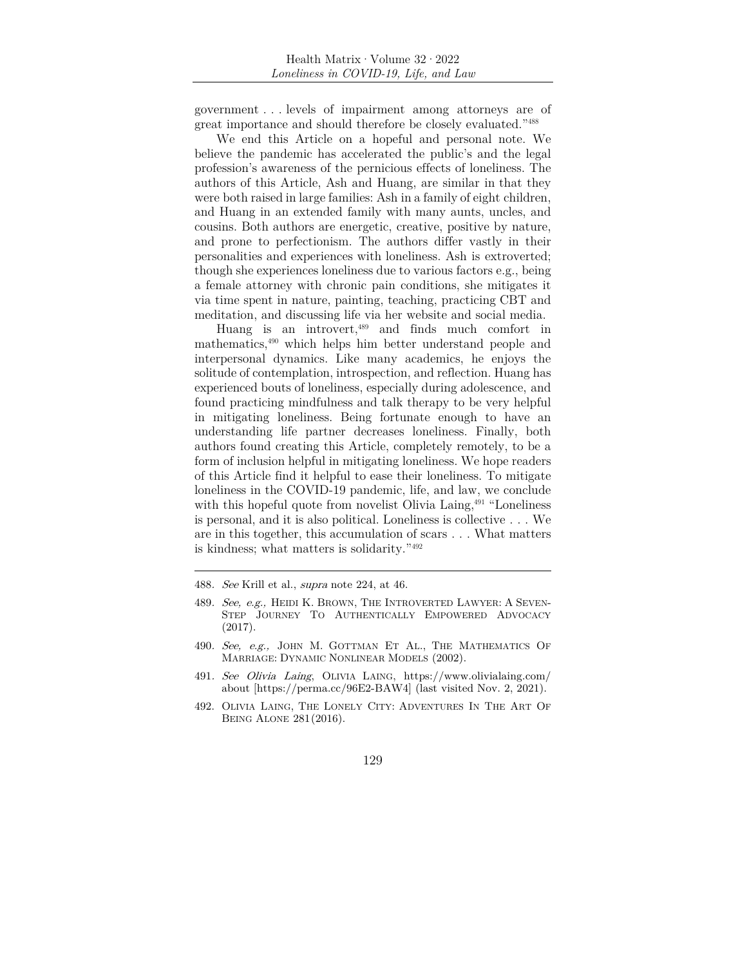government . . . levels of impairment among attorneys are of great importance and should therefore be closely evaluated."488

We end this Article on a hopeful and personal note. We believe the pandemic has accelerated the public's and the legal profession's awareness of the pernicious effects of loneliness. The authors of this Article, Ash and Huang, are similar in that they were both raised in large families: Ash in a family of eight children, and Huang in an extended family with many aunts, uncles, and cousins. Both authors are energetic, creative, positive by nature, and prone to perfectionism. The authors differ vastly in their personalities and experiences with loneliness. Ash is extroverted; though she experiences loneliness due to various factors e.g., being a female attorney with chronic pain conditions, she mitigates it via time spent in nature, painting, teaching, practicing CBT and meditation, and discussing life via her website and social media.

Huang is an introvert,<sup>489</sup> and finds much comfort in mathematics,490 which helps him better understand people and interpersonal dynamics. Like many academics, he enjoys the solitude of contemplation, introspection, and reflection. Huang has experienced bouts of loneliness, especially during adolescence, and found practicing mindfulness and talk therapy to be very helpful in mitigating loneliness. Being fortunate enough to have an understanding life partner decreases loneliness. Finally, both authors found creating this Article, completely remotely, to be a form of inclusion helpful in mitigating loneliness. We hope readers of this Article find it helpful to ease their loneliness. To mitigate loneliness in the COVID-19 pandemic, life, and law, we conclude with this hopeful quote from novelist Olivia Laing,<sup>491</sup> "Loneliness is personal, and it is also political. Loneliness is collective . . . We are in this together, this accumulation of scars . . . What matters is kindness; what matters is solidarity."492

<sup>488</sup>. See Krill et al., supra note 224, at 46.

<sup>489.</sup> See, e.g., HEIDI K. BROWN, THE INTROVERTED LAWYER: A SEVEN-STEP JOURNEY TO AUTHENTICALLY EMPOWERED ADVOCACY (2017).

<sup>490.</sup> See, e.g., JOHN M. GOTTMAN ET AL., THE MATHEMATICS OF MARRIAGE: DYNAMIC NONLINEAR MODELS (2002).

<sup>491</sup>. See Olivia Laing, OLIVIA LAING, https://www.olivialaing.com/ about [https://perma.cc/96E2-BAW4] (last visited Nov. 2, 2021).

<sup>492.</sup> OLIVIA LAING, THE LONELY CITY: ADVENTURES IN THE ART OF BEING ALONE 281 (2016).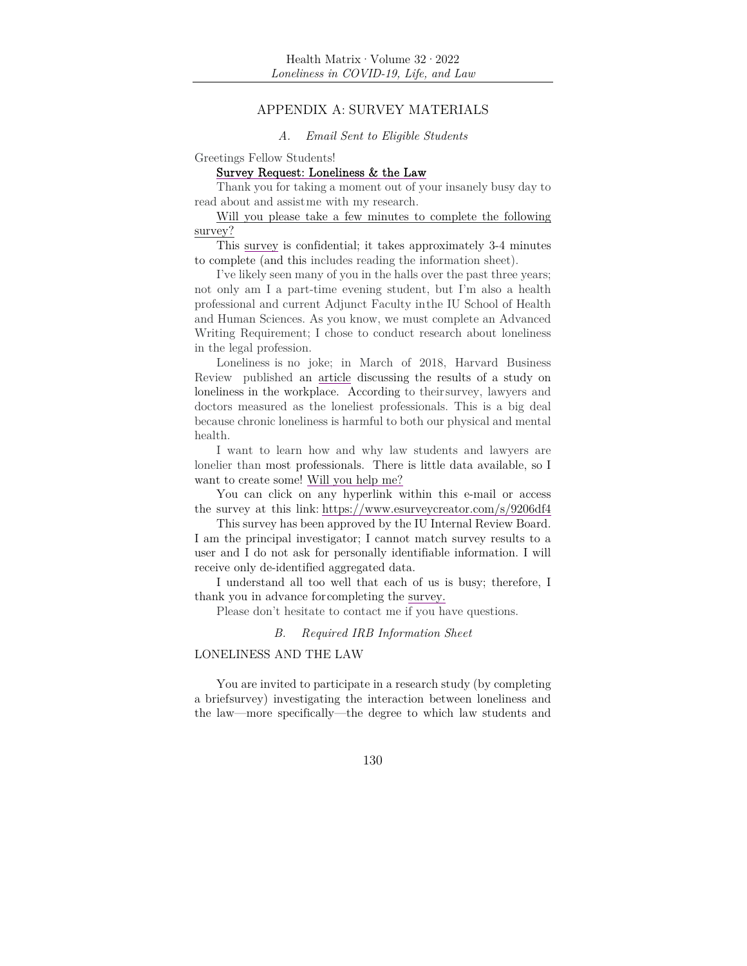### APPENDIX A: SURVEY MATERIALS

#### *A. Email Sent to Eligible Students*

Greetings Fellow Students!

### Survey Request: Loneliness & the Law

Thank you for taking a moment out of your insanely busy day to read about and assist me with my research.

Will you please take a few minutes to complete the following survey?

This survey is confidential; it takes approximately 3-4 minutes to complete (and this includes reading the information sheet).

I've likely seen many of you in the halls over the past three years; not only am I a part-time evening student, but I'm also a health professional and current Adjunct Faculty in the IU School of Health and Human Sciences. As you know, we must complete an Advanced Writing Requirement; I chose to conduct research about loneliness in the legal profession.

Loneliness is no joke; in March of 2018, Harvard Business Review published an article discussing the results of a study on loneliness in the workplace. According to their survey, lawyers and doctors measured as the loneliest professionals. This is a big deal because chronic loneliness is harmful to both our physical and mental health.

I want to learn how and why law students and lawyers are lonelier than most professionals. There is little data available, so I want to create some! Will you help me?

You can click on any hyperlink within this e-mail or access the survey at this link: https://www.esurveycreator.com/s/9206df4

This survey has been approved by the IU Internal Review Board. I am the principal investigator; I cannot match survey results to a user and I do not ask for personally identifiable information. I will receive only de-identified aggregated data.

I understand all too well that each of us is busy; therefore, I thank you in advance for completing the survey.

Please don't hesitate to contact me if you have questions.

#### *B. Required IRB Information Sheet*

#### LONELINESS AND THE LAW

You are invited to participate in a research study (by completing a brief survey) investigating the interaction between loneliness and the law—more specifically—the degree to which law students and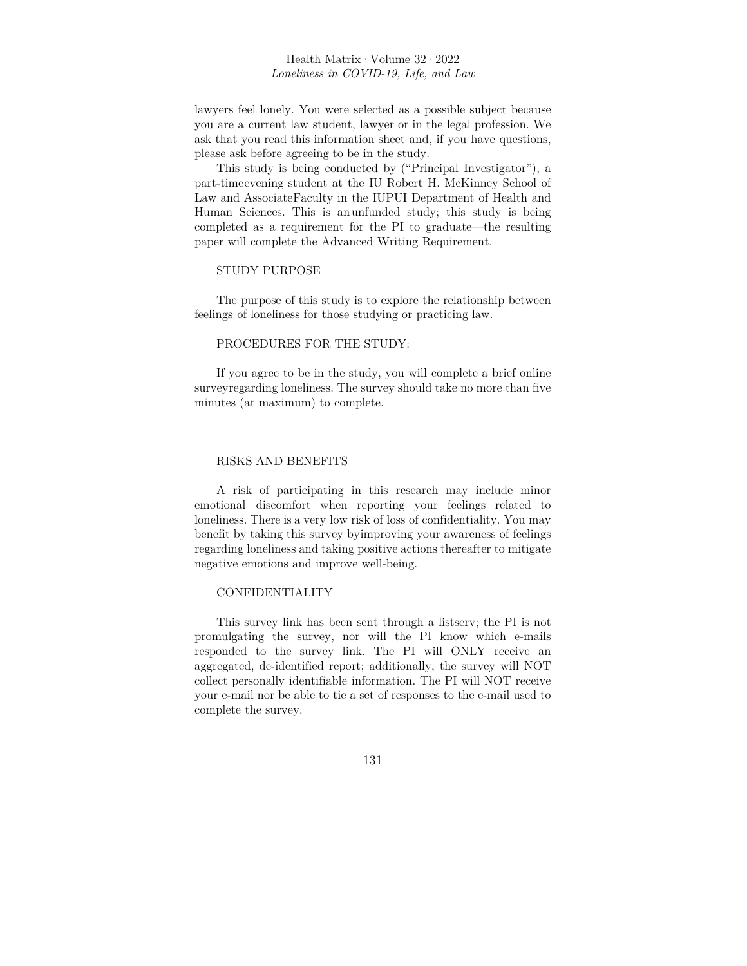lawyers feel lonely. You were selected as a possible subject because you are a current law student, lawyer or in the legal profession. We ask that you read this information sheet and, if you have questions, please ask before agreeing to be in the study.

This study is being conducted by ("Principal Investigator"), a part-time evening student at the IU Robert H. McKinney School of Law and Associate Faculty in the IUPUI Department of Health and Human Sciences. This is an unfunded study; this study is being completed as a requirement for the PI to graduate—the resulting paper will complete the Advanced Writing Requirement.

#### STUDY PURPOSE

The purpose of this study is to explore the relationship between feelings of loneliness for those studying or practicing law.

#### PROCEDURES FOR THE STUDY:

If you agree to be in the study, you will complete a brief online survey regarding loneliness. The survey should take no more than five minutes (at maximum) to complete.

### RISKS AND BENEFITS

A risk of participating in this research may include minor emotional discomfort when reporting your feelings related to loneliness. There is a very low risk of loss of confidentiality. You may benefit by taking this survey by improving your awareness of feelings regarding loneliness and taking positive actions thereafter to mitigate negative emotions and improve well-being.

#### CONFIDENTIALITY

This survey link has been sent through a listserv; the PI is not promulgating the survey, nor will the PI know which e-mails responded to the survey link. The PI will ONLY receive an aggregated, de-identified report; additionally, the survey will NOT collect personally identifiable information. The PI will NOT receive your e-mail nor be able to tie a set of responses to the e-mail used to complete the survey.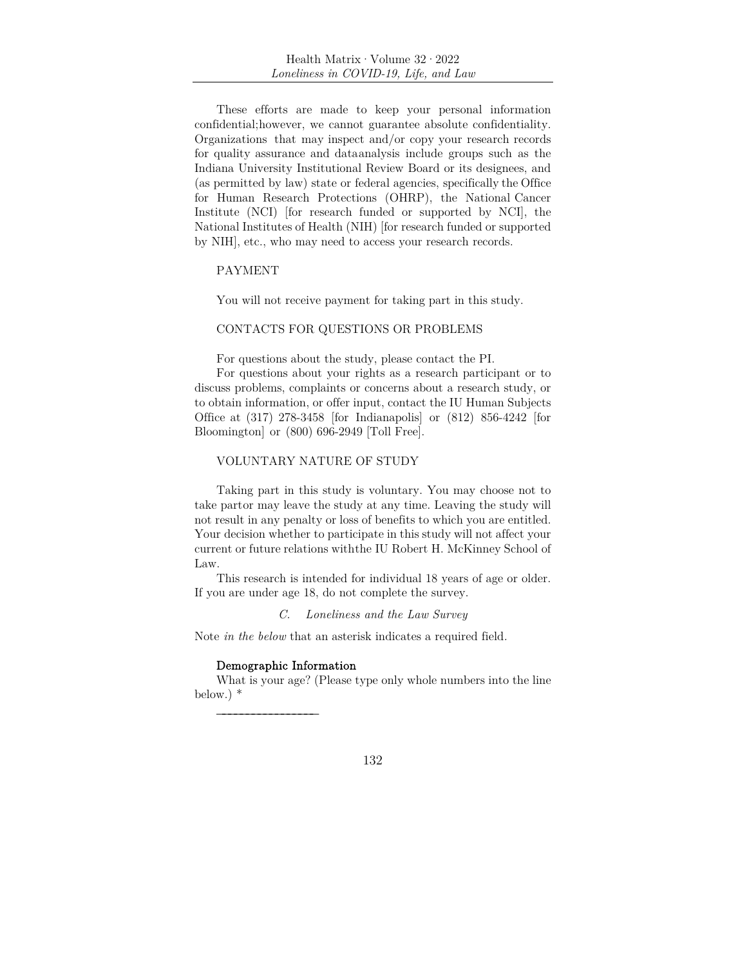These efforts are made to keep your personal information confidential; however, we cannot guarantee absolute confidentiality. Organizations that may inspect and/or copy your research records for quality assurance and data analysis include groups such as the Indiana University Institutional Review Board or its designees, and (as permitted by law) state or federal agencies, specifically the Office for Human Research Protections (OHRP), the National Cancer Institute (NCI) [for research funded or supported by NCI], the National Institutes of Health (NIH) [for research funded or supported by NIH], etc., who may need to access your research records.

#### PAYMENT

You will not receive payment for taking part in this study.

### CONTACTS FOR QUESTIONS OR PROBLEMS

For questions about the study, please contact the PI.

For questions about your rights as a research participant or to discuss problems, complaints or concerns about a research study, or to obtain information, or offer input, contact the IU Human Subjects Office at (317) 278-3458 [for Indianapolis] or (812) 856-4242 [for Bloomington] or (800) 696-2949 [Toll Free].

### VOLUNTARY NATURE OF STUDY

Taking part in this study is voluntary. You may choose not to take part or may leave the study at any time. Leaving the study will not result in any penalty or loss of benefits to which you are entitled. Your decision whether to participate in this study will not affect your current or future relations with the IU Robert H. McKinney School of Law.

This research is intended for individual 18 years of age or older. If you are under age 18, do not complete the survey.

### *C. Loneliness and the Law Survey*

Note *in the below* that an asterisk indicates a required field*.* 

#### Demographic Information

\_\_\_\_\_\_\_\_\_\_\_\_\_\_\_\_\_

What is your age? (Please type only whole numbers into the line below.) \*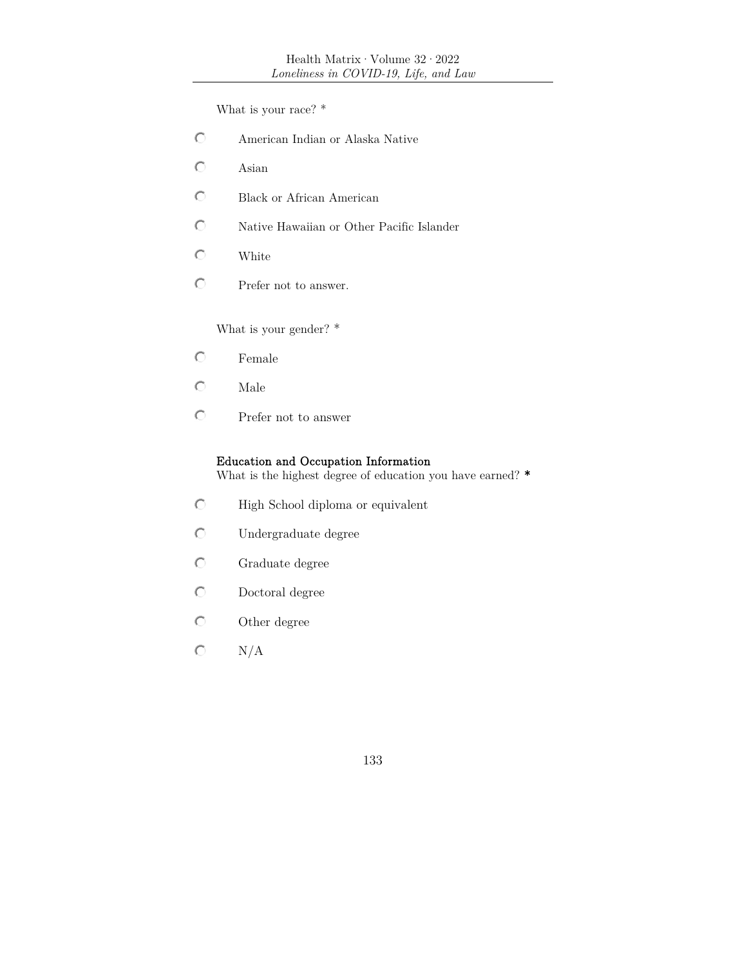What is your race? \*

- $\circ$ American Indian or Alaska Native
- $\circ$ Asian
- $\circ$ Black or African American
- $\circ$ Native Hawaiian or Other Pacific Islander
- $\circ$ White
- Prefer not to answer.

What is your gender? \*

- $\circlearrowright$ Female
- $\circlearrowright$ Male
- $\circ$ Prefer not to answer

# Education and Occupation Information

What is the highest degree of education you have earned? \*

- $\circ$ High School diploma or equivalent
- $\circ$ Undergraduate degree
- $\circ$ Graduate degree
- $\circ$ Doctoral degree
- $\circ$ Other degree
- $\mathbf C$ N/A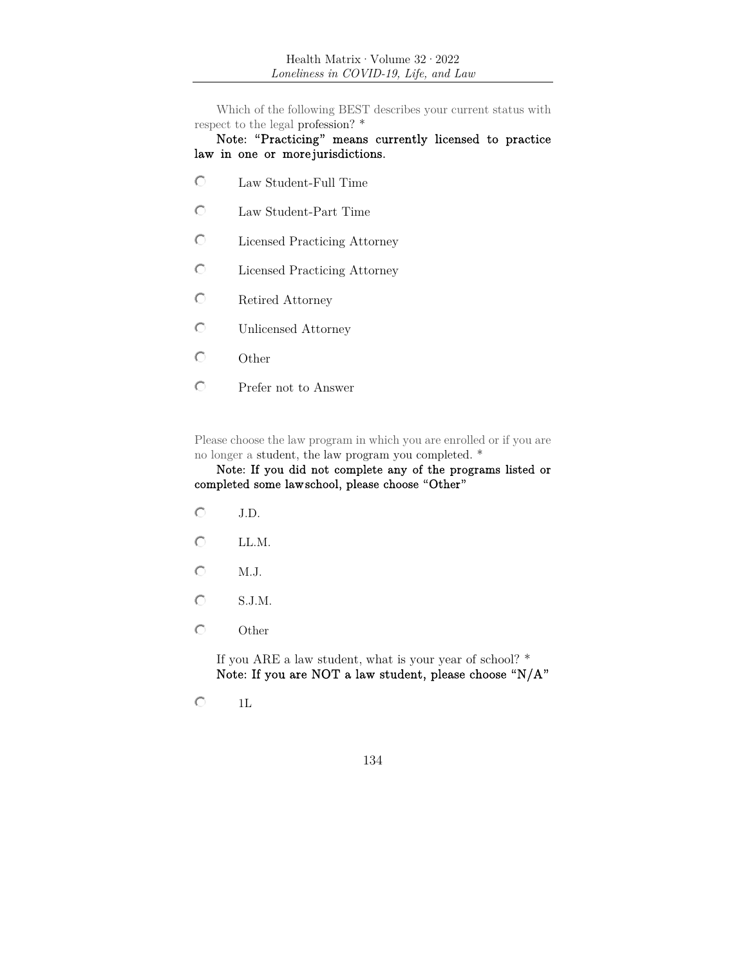Which of the following BEST describes your current status with respect to the legal profession? \*

### Note: "Practicing" means currently licensed to practice law in one or more jurisdictions.

- Law Student-Full Time
- $\circ$ Law Student-Part Time
- $\circ$ Licensed Practicing Attorney
- $\circ$ Licensed Practicing Attorney
- $\circ$ Retired Attorney
- $\circlearrowright$ Unlicensed Attorney
- $\circ$ **Other**
- $\circ$ Prefer not to Answer

Please choose the law program in which you are enrolled or if you are no longer a student, the law program you completed. \*

### Note: If you did not complete any of the programs listed or completed some law school, please choose "Other"

- $\circ$ J.D.
- $\circ$ LL.M.
- $\circ$ M.J.
- $\bigcirc$  S.J.M.
- $\circ$ Other

If you ARE a law student, what is your year of school? \* Note: If you are NOT a law student, please choose "N/A"

 $\circlearrowright$ 1L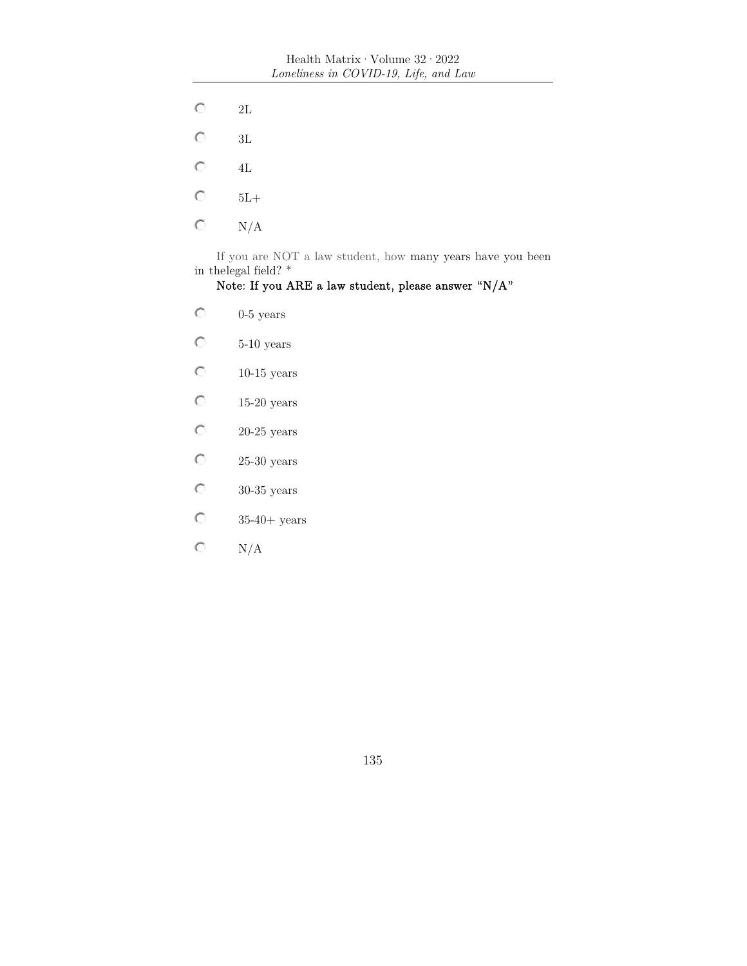- $\mathbf C$ 2L
- $\bigcirc$ 3L
- $\mathbf C$ 4L
- $\circ$ 5L+
- $\mathbf C$ N/A

If you are NOT a law student, how many years have you been in the<br>legal field? \*

# Note: If you ARE a law student, please answer "N/A"

- $\overline{\text{C}}$ 0-5 years
- $\mathbf C$ 5-10 years
- $\mathbf C$ 10-15 years
- $\mathbf C$ 15-20 years
- $\mathbf C$ 20-25 years
- $\mathbf C$ 25-30 years
- $\mathbf C$ 30-35 years
- $\mathbf C$ 35-40+ years
- $\mathbf C$ N/A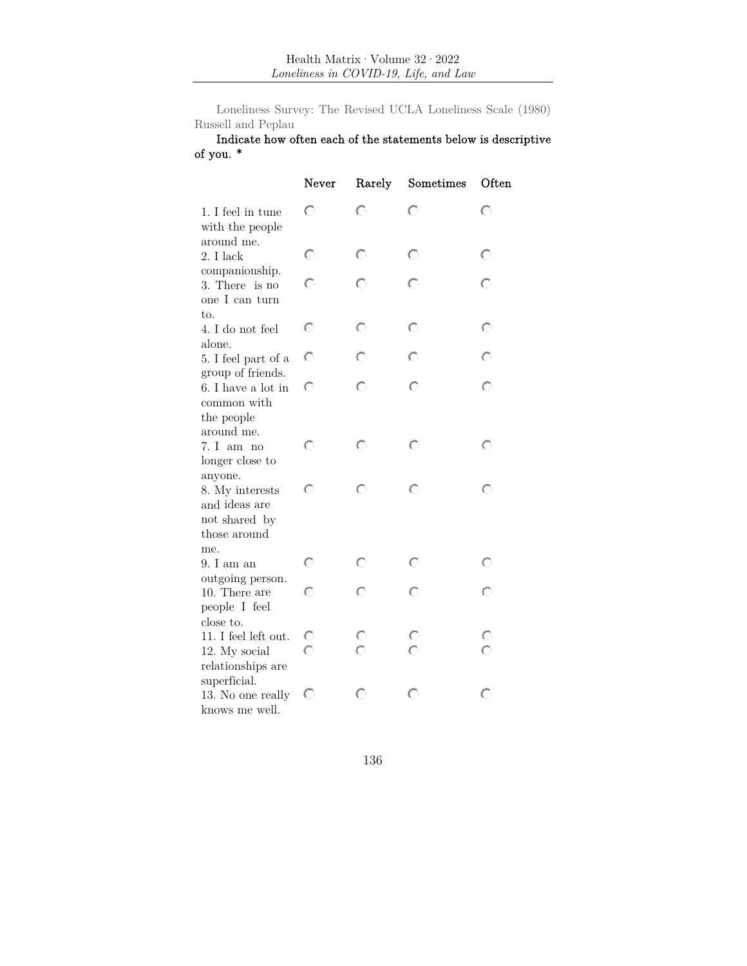Loneliness Survey: The Revised UCLA Loneliness Scale (1980) Russell and Peplau

# Indicate how often each of the statements below is descriptive of you. \*

|                                                                              | Never   | Rarely  | Sometimes | Often                         |
|------------------------------------------------------------------------------|---------|---------|-----------|-------------------------------|
| 1. I feel in tune<br>with the people                                         | O       | O       | O         | O                             |
| around me.<br>2. I lack                                                      | $\circ$ | $\circ$ | O         | $\circ$                       |
| companionship.<br>3. There is no<br>one I can turn                           | $\circ$ | O       | O         | $\circ$                       |
| to.<br>4. I do not feel<br>alone.                                            | $\circ$ | $\circ$ | $\circ$   | $\circ$                       |
| 5. I feel part of a                                                          | O       | O       | O         | O                             |
| group of friends.<br>6. I have a lot in<br>common with<br>the people         | O       | O       | O         | O                             |
| around me.<br>7. I am no<br>longer close to                                  | O       | O       | O         | $\circ$                       |
| anyone.<br>8. My interests<br>and ideas are<br>not shared by<br>those around | O       | O       | O         | O                             |
| me.<br>9. I am an                                                            | O       | O       | O         | O                             |
| outgoing person.<br>10. There are<br>people I feel                           | O       | O       | ∩         | O                             |
| close to.<br>11. I feel left out.<br>12. My social<br>relationships are      | င<br>ဂ  | C       |           | $\circ$<br>$\overline{\circ}$ |
| superficial.<br>13. No one really<br>knows me well.                          | O       | O       | O         | O                             |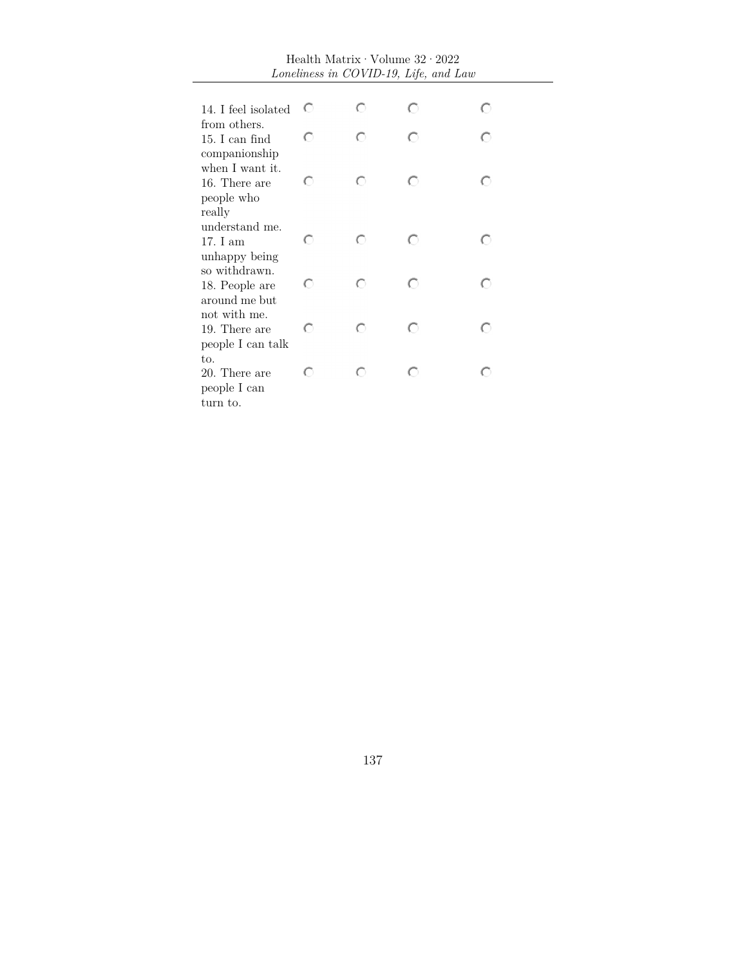| Health Matrix $\cdot$ Volume $32 \cdot 2022$<br>Loneliness in COVID-19, Life, and Law |   |   |   |   |  |
|---------------------------------------------------------------------------------------|---|---|---|---|--|
|                                                                                       |   |   |   |   |  |
| 14. I feel isolated                                                                   | O | O | O | O |  |
| from others.                                                                          |   |   |   |   |  |
| 15. I can find                                                                        | O | O | O | O |  |
| companionship<br>when I want it.                                                      |   |   |   |   |  |
| 16. There are                                                                         | O | O | O | O |  |
| people who                                                                            |   |   |   |   |  |
| really                                                                                |   |   |   |   |  |
| understand me.                                                                        |   |   |   |   |  |
| 17. I am                                                                              | O | O | O | ∩ |  |
| unhappy being<br>so withdrawn.                                                        |   |   |   |   |  |
| 18. People are                                                                        | O | O | O | O |  |
| around me but                                                                         |   |   |   |   |  |
| not with me.                                                                          |   |   |   |   |  |
| 19. There are                                                                         | O | O | O | O |  |
| people I can talk                                                                     |   |   |   |   |  |
| to.<br>20. There are                                                                  | O | O | O | O |  |
| people I can                                                                          |   |   |   |   |  |
| turn to.                                                                              |   |   |   |   |  |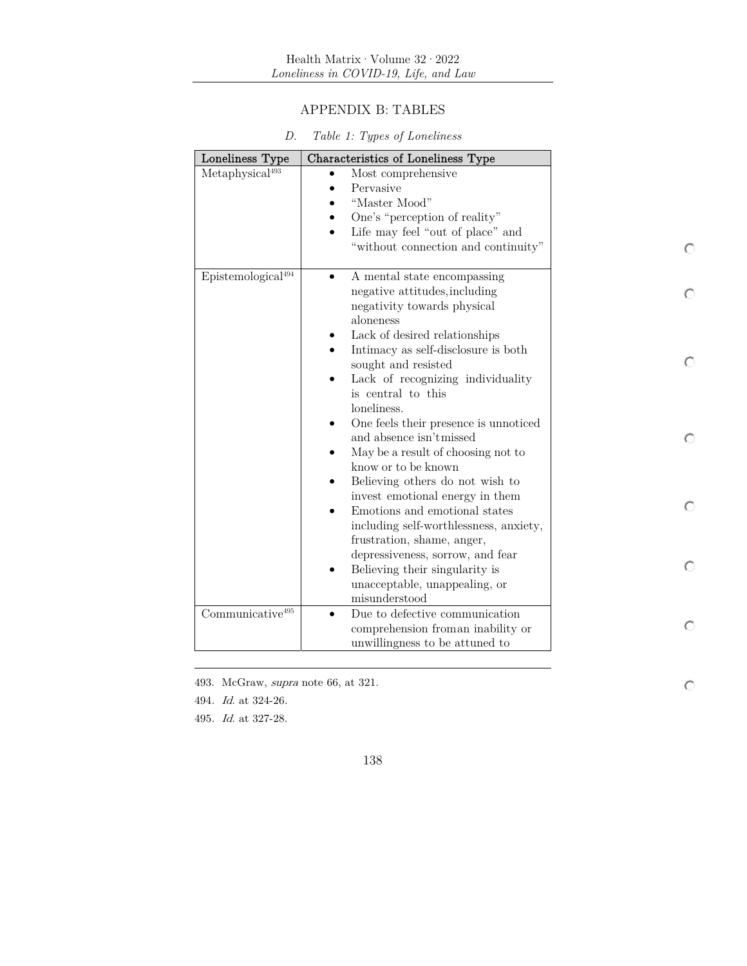# APPENDIX B: TABLES

| Loneliness Type                | Characteristics of Loneliness Type                                   |   |
|--------------------------------|----------------------------------------------------------------------|---|
| Metaphysical <sup>493</sup>    | Most comprehensive                                                   |   |
|                                | Pervasive                                                            |   |
|                                | "Master Mood"                                                        |   |
|                                | One's "perception of reality"                                        |   |
|                                | Life may feel "out of place" and                                     |   |
|                                | "without connection and continuity"                                  |   |
| Epistemological <sup>494</sup> | A mental state encompassing                                          |   |
|                                | negative attitudes, including                                        |   |
|                                | negativity towards physical<br>aloneness                             |   |
|                                | Lack of desired relationships                                        |   |
|                                | Intimacy as self-disclosure is both                                  |   |
|                                | sought and resisted                                                  |   |
|                                | Lack of recognizing individuality                                    |   |
|                                | is central to this                                                   |   |
|                                | loneliness.                                                          |   |
|                                | One feels their presence is unnoticed<br>٠                           |   |
|                                | and absence isn't missed                                             | O |
|                                | May be a result of choosing not to                                   |   |
|                                | know or to be known                                                  |   |
|                                | Believing others do not wish to                                      |   |
|                                | invest emotional energy in them                                      | O |
|                                | Emotions and emotional states                                        |   |
|                                | including self-worthlessness, anxiety,<br>frustration, shame, anger, |   |
|                                | depressiveness, sorrow, and fear                                     |   |
|                                | Believing their singularity is                                       | O |
|                                | unacceptable, unappealing, or                                        |   |
|                                | misunderstood                                                        |   |
| Communicative <sup>495</sup>   | Due to defective communication<br>$\bullet$                          |   |
|                                | comprehension from an inability or                                   |   |
|                                | unwillingness to be attuned to                                       |   |

 $\circ$ 

| D. |  |  |  |  | Table 1: Types of Loneliness |
|----|--|--|--|--|------------------------------|
|----|--|--|--|--|------------------------------|

493. McGraw, supra note 66, at 321.

494. Id. at 324-26.

495. Id. at 327-28.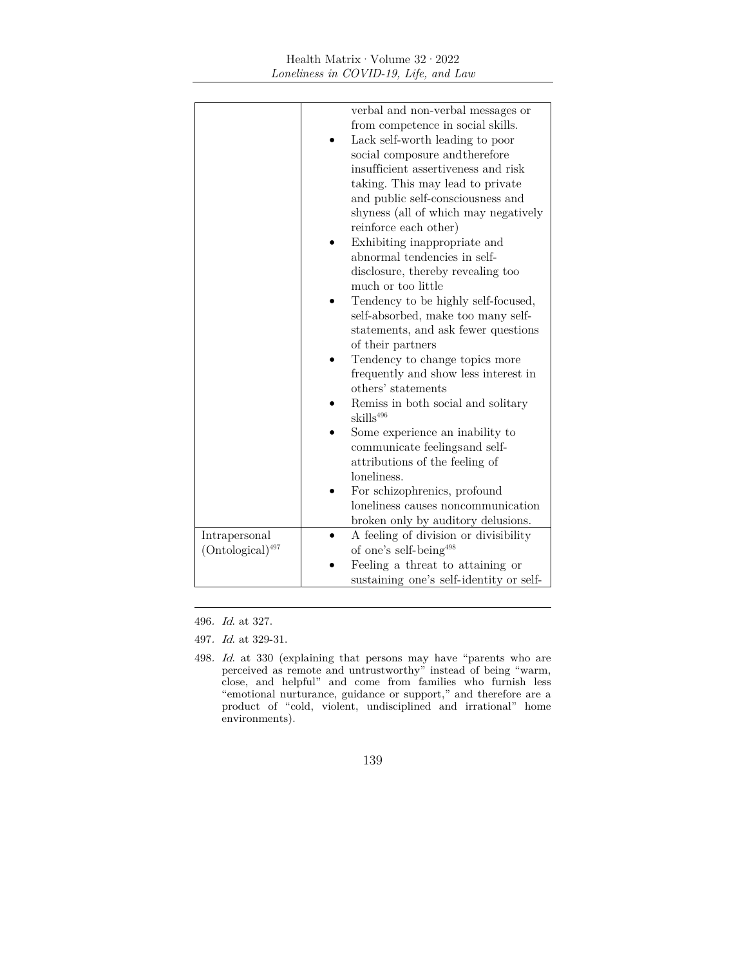|                       | verbal and non-verbal messages or                            |
|-----------------------|--------------------------------------------------------------|
|                       | from competence in social skills.                            |
|                       | Lack self-worth leading to poor                              |
|                       | social composure and therefore                               |
|                       | insufficient assertiveness and risk                          |
|                       | taking. This may lead to private                             |
|                       | and public self-consciousness and                            |
|                       | shyness (all of which may negatively                         |
|                       | reinforce each other)                                        |
|                       |                                                              |
|                       | Exhibiting inappropriate and<br>abnormal tendencies in self- |
|                       |                                                              |
|                       | disclosure, thereby revealing too<br>much or too little      |
|                       |                                                              |
|                       | Tendency to be highly self-focused,                          |
|                       | self-absorbed, make too many self-                           |
|                       | statements, and ask fewer questions                          |
|                       | of their partners                                            |
|                       | Tendency to change topics more                               |
|                       | frequently and show less interest in                         |
|                       | others' statements                                           |
|                       | Remiss in both social and solitary                           |
|                       | skills <sup>496</sup>                                        |
|                       | Some experience an inability to                              |
|                       | communicate feelings and self-                               |
|                       | attributions of the feeling of                               |
|                       | loneliness.                                                  |
|                       | For schizophrenics, profound                                 |
|                       | loneliness causes noncommunication                           |
|                       | broken only by auditory delusions.                           |
| Intrapersonal         | A feeling of division or divisibility                        |
| $(Ontological)^{497}$ | of one's self-being <sup>498</sup>                           |
|                       | Feeling a threat to attaining or                             |
|                       | sustaining one's self-identity or self-                      |

496. Id. at 327.

497. Id. at 329-31.

<sup>498</sup>. Id. at 330 (explaining that persons may have "parents who are perceived as remote and untrustworthy" instead of being "warm, close, and helpful" and come from families who furnish less "emotional nurturance, guidance or support," and therefore are a product of "cold, violent, undisciplined and irrational" home environments).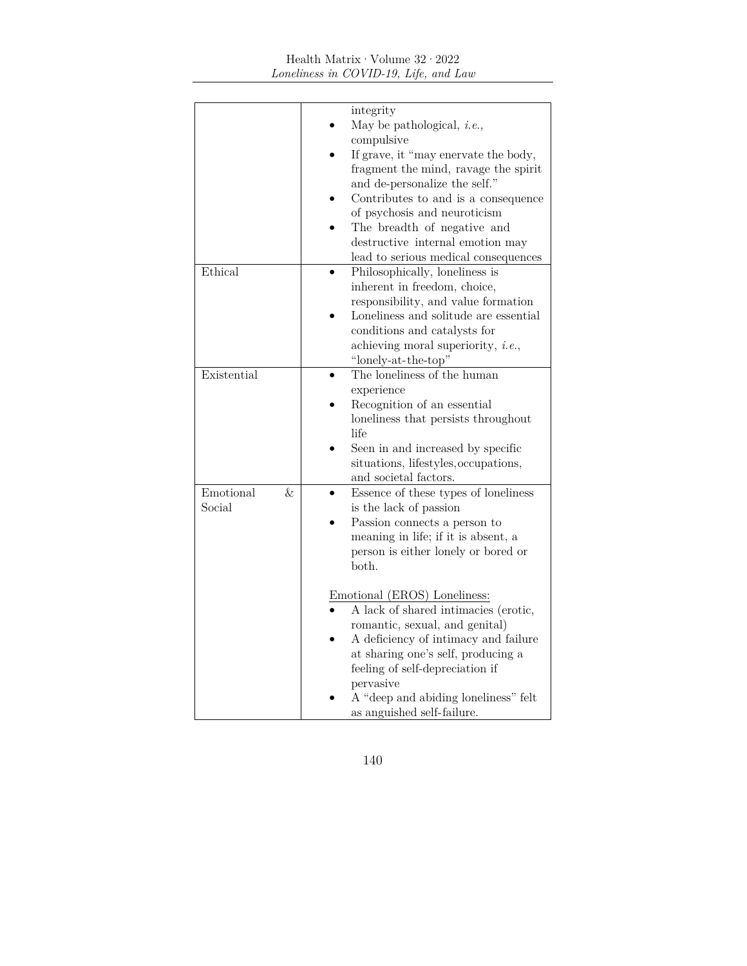# <code>Health Matrix</code>  $\cdot$  <code>Volume 32</code>  $\cdot$  <code>2022</code> *Loneliness in COVID-19, Life, and Law*

|                | integrity                                  |
|----------------|--------------------------------------------|
|                | May be pathological, $i.e.,$               |
|                | compulsive                                 |
|                | If grave, it "may enervate the body,       |
|                | fragment the mind, ravage the spirit       |
|                | and de-personalize the self."              |
|                | Contributes to and is a consequence        |
|                | of psychosis and neuroticism               |
|                | The breadth of negative and                |
|                | destructive internal emotion may           |
|                | lead to serious medical consequences       |
| Ethical        | Philosophically, loneliness is             |
|                | inherent in freedom, choice,               |
|                | responsibility, and value formation        |
|                | Loneliness and solitude are essential      |
|                | conditions and catalysts for               |
|                |                                            |
|                | achieving moral superiority, <i>i.e.</i> , |
|                | "lonely-at-the-top"                        |
| Existential    | The loneliness of the human                |
|                | experience                                 |
|                | Recognition of an essential                |
|                | loneliness that persists throughout        |
|                | life                                       |
|                | Seen in and increased by specific          |
|                | situations, lifestyles, occupations,       |
|                | and societal factors.                      |
| Emotional<br>& | Essence of these types of loneliness       |
| Social         | is the lack of passion                     |
|                | Passion connects a person to               |
|                | meaning in life; if it is absent, a        |
|                | person is either lonely or bored or        |
|                | both.                                      |
|                |                                            |
|                | Emotional (EROS) Loneliness:               |
|                | A lack of shared intimacies (erotic,       |
|                | romantic, sexual, and genital)             |
|                | A deficiency of intimacy and failure       |
|                | at sharing one's self, producing a         |
|                | feeling of self-depreciation if            |
|                | pervasive                                  |
|                | A "deep and abiding loneliness" felt       |
|                | as anguished self-failure.                 |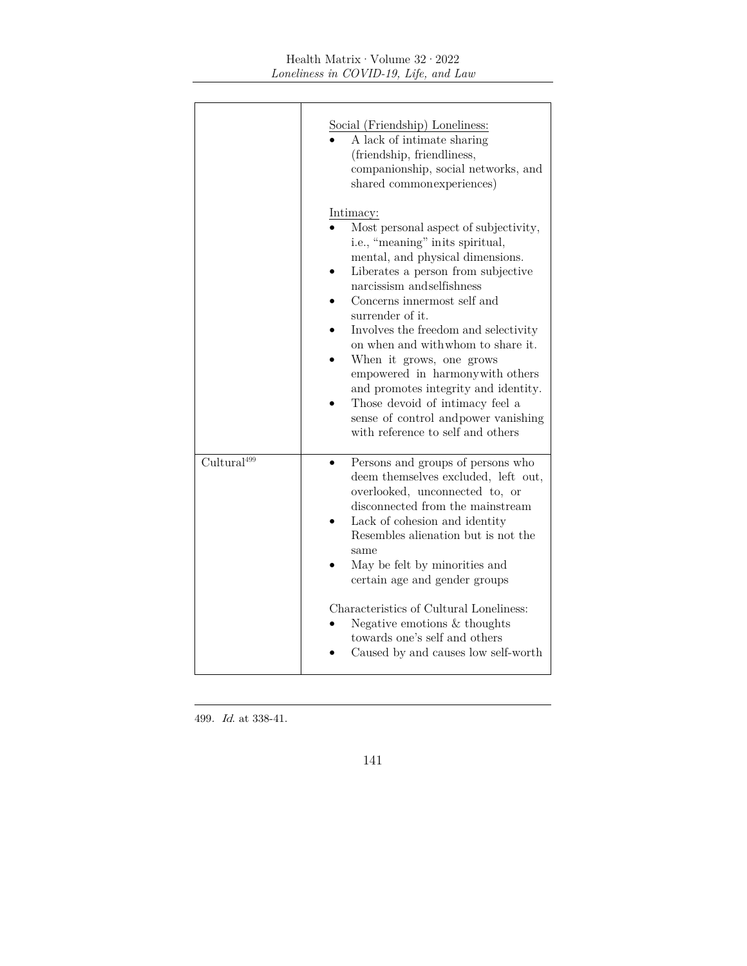|                         | Social (Friendship) Loneliness:<br>A lack of intimate sharing<br>(friendship, friendliness,<br>companionship, social networks, and<br>shared common experiences)<br>Intimacy:<br>Most personal aspect of subjectivity,<br>i.e., "meaning" in its spiritual,<br>mental, and physical dimensions.<br>Liberates a person from subjective<br>narcissism and selfishness<br>Concerns innermost self and<br>surrender of it.<br>Involves the freedom and selectivity<br>on when and with whom to share it.<br>When it grows, one grows<br>empowered in harmony with others<br>and promotes integrity and identity.<br>Those devoid of intimacy feel a<br>sense of control and power vanishing<br>with reference to self and others |
|-------------------------|------------------------------------------------------------------------------------------------------------------------------------------------------------------------------------------------------------------------------------------------------------------------------------------------------------------------------------------------------------------------------------------------------------------------------------------------------------------------------------------------------------------------------------------------------------------------------------------------------------------------------------------------------------------------------------------------------------------------------|
| Cultural <sup>499</sup> | Persons and groups of persons who<br>deem themselves excluded, left out,<br>overlooked, unconnected to, or<br>disconnected from the mainstream<br>Lack of cohesion and identity<br>Resembles alienation but is not the<br>same<br>May be felt by minorities and<br>certain age and gender groups<br>Characteristics of Cultural Loneliness:<br>Negative emotions $&$ thoughts<br>towards one's self and others<br>Caused by and causes low self-worth                                                                                                                                                                                                                                                                        |

499. Id. at 338-41.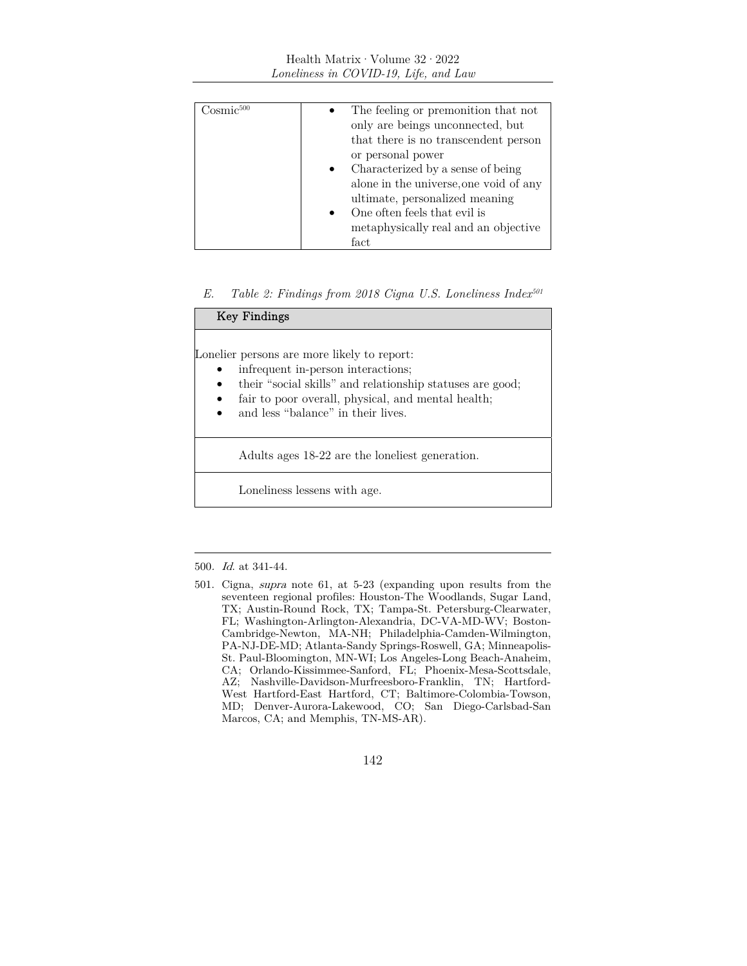### Health Matrix·Volume 32·2022 *Loneliness in COVID-19, Life, and Law*

| 'Josmic <sup>500</sup> | The feeling or premonition that not<br>only are beings unconnected, but<br>that there is no transcendent person<br>or personal power<br>Characterized by a sense of being<br>alone in the universe, one void of any |
|------------------------|---------------------------------------------------------------------------------------------------------------------------------------------------------------------------------------------------------------------|
|                        | ultimate, personalized meaning                                                                                                                                                                                      |
|                        | One often feels that evil is                                                                                                                                                                                        |
|                        | metaphysically real and an objective                                                                                                                                                                                |
|                        | fact                                                                                                                                                                                                                |

### *E. Table 2: Findings from 2018 Cigna U.S. Loneliness Index501*

| <b>Key Findings</b>                                                                                                                                                                                                                                     |
|---------------------------------------------------------------------------------------------------------------------------------------------------------------------------------------------------------------------------------------------------------|
| Lonelier persons are more likely to report:<br>infrequent in-person interactions;<br>their "social skills" and relationship statuses are good;<br>fair to poor overall, physical, and mental health;<br>and less "balance" in their lives.<br>$\bullet$ |
| Adults ages 18-22 are the loneliest generation.                                                                                                                                                                                                         |
| Loneliness lessens with age.                                                                                                                                                                                                                            |

<sup>500</sup>. Id. at 341-44.

<sup>501.</sup> Cigna, supra note 61, at 5-23 (expanding upon results from the seventeen regional profiles: Houston-The Woodlands, Sugar Land, TX; Austin-Round Rock, TX; Tampa-St. Petersburg-Clearwater, FL; Washington-Arlington-Alexandria, DC-VA-MD-WV; Boston-Cambridge-Newton, MA-NH; Philadelphia-Camden-Wilmington, PA-NJ-DE-MD; Atlanta-Sandy Springs-Roswell, GA; Minneapolis-St. Paul-Bloomington, MN-WI; Los Angeles-Long Beach-Anaheim, CA; Orlando-Kissimmee-Sanford, FL; Phoenix-Mesa-Scottsdale, AZ; Nashville-Davidson-Murfreesboro-Franklin, TN; Hartford-West Hartford-East Hartford, CT; Baltimore-Colombia-Towson, MD; Denver-Aurora-Lakewood, CO; San Diego-Carlsbad-San Marcos, CA; and Memphis, TN-MS-AR).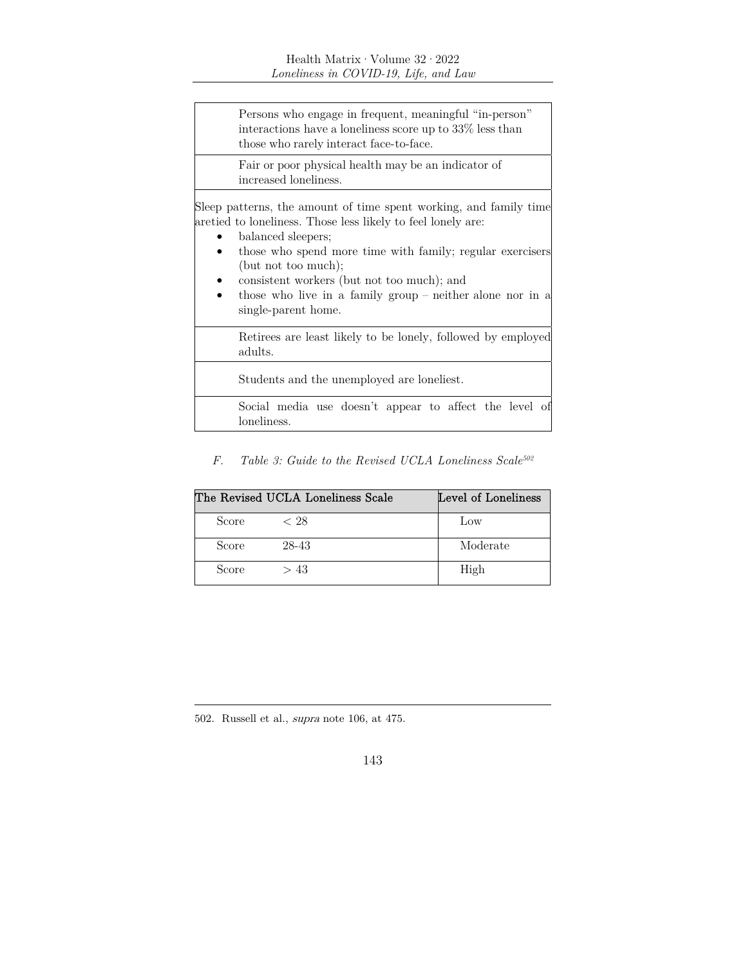Persons who engage in frequent, meaningful "in-person" interactions have a loneliness score up to 33% less than those who rarely interact face-to-face.

Fair or poor physical health may be an indicator of increased loneliness.

Sleep patterns, the amount of time spent working, and family time are tied to loneliness. Those less likely to feel lonely are:

- balanced sleepers;
- those who spend more time with family; regular exercisers (but not too much);
- consistent workers (but not too much); and
- those who live in a family group neither alone nor in a single- parent home.

Retirees are least likely to be lonely, followed by employed adults.

Students and the unemployed are loneliest.

Social media use doesn't appear to affect the level of loneliness.

*F. Table 3: Guide to the Revised UCLA Loneliness Scale502*

| The Revised UCLA Loneliness Scale | Level of Loneliness |          |
|-----------------------------------|---------------------|----------|
| Score                             | $\langle$ 28        | Low      |
| Score                             | 28-43               | Moderate |
| Score                             | >43                 | High     |

502. Russell et al., supra note 106, at 475.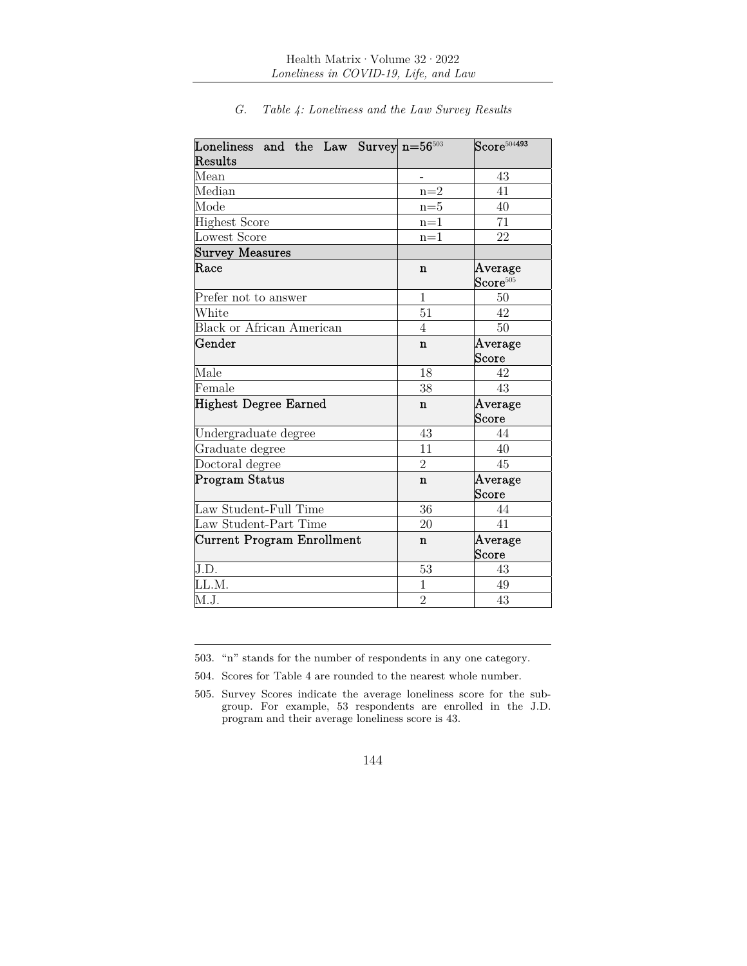| Loneliness and the Law Survey $n=56^{503}$ |                | $\mathrm{Score}^{5\overline{04493}}$ |
|--------------------------------------------|----------------|--------------------------------------|
| Results                                    |                |                                      |
| Mean                                       |                | 43                                   |
| Median                                     | $n=2$          | 41                                   |
| Mode                                       | $n=5$          | 40                                   |
| <b>Highest Score</b>                       | $n=1$          | 71                                   |
| Lowest Score                               | $n=1$          | 22                                   |
| <b>Survey Measures</b>                     |                |                                      |
| $\rm{Race}$                                | n              | Average<br>$\textbf{Score}^{505}$    |
| Prefer not to answer                       | $\mathbf{1}$   | $50\,$                               |
| White                                      | 51             | 42                                   |
| <b>Black or African American</b>           | $\overline{4}$ | 50                                   |
| Gender                                     | $\mathbf n$    | Average<br>Score                     |
| Male                                       | 18             | 42                                   |
| Female                                     | 38             | 43                                   |
| <b>Highest Degree Earned</b>               | n              | Average<br>Score                     |
| Undergraduate degree                       | 43             | 44                                   |
| Graduate degree                            | 11             | 40                                   |
| Doctoral degree                            | $\overline{2}$ | 45                                   |
| Program Status                             | $\mathbf n$    | Average<br>Score                     |
| Law Student-Full Time                      | 36             | 44                                   |
| Law Student-Part Time                      | 20             | 41                                   |
| <b>Current Program Enrollment</b>          | $\mathbf n$    | Average<br>Score                     |
| J.D.                                       | $53\,$         | 43                                   |
| LL.M.                                      | $\mathbf 1$    | 49                                   |
| M.J.                                       | $\overline{2}$ | 43                                   |

*G. Table 4: Loneliness and the Law Survey Results* 

503. "n" stands for the number of respondents in any one category.

504. Scores for Table 4 are rounded to the nearest whole number.

505. Survey Scores indicate the average loneliness score for the subgroup. For example, 53 respondents are enrolled in the J.D. program and their average loneliness score is 43.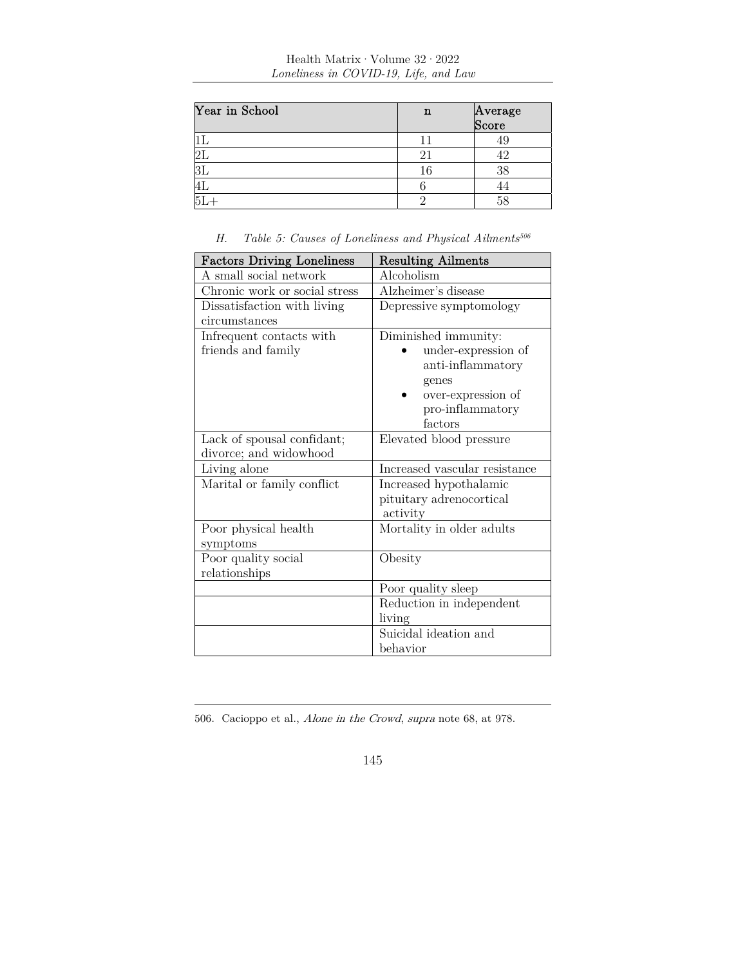| Year in School | n  | Average<br>Score |
|----------------|----|------------------|
|                |    | 45               |
|                |    |                  |
|                | 16 | 38               |
|                |    | 44               |
|                |    | 58               |

| Table 5: Causes of Loneliness and Physical Ailments <sup>506</sup><br>Н. |  |
|--------------------------------------------------------------------------|--|
|--------------------------------------------------------------------------|--|

| <b>Factors Driving Loneliness</b> | <b>Resulting Ailments</b>     |
|-----------------------------------|-------------------------------|
| A small social network            | Alcoholism                    |
| Chronic work or social stress     | Alzheimer's disease           |
| Dissatisfaction with living       | Depressive symptomology       |
| circumstances                     |                               |
| Infrequent contacts with          | Diminished immunity:          |
| friends and family                | under-expression of           |
|                                   | anti-inflammatory             |
|                                   | genes                         |
|                                   | over-expression of            |
|                                   | pro-inflammatory              |
|                                   | factors                       |
| Lack of spousal confidant;        | Elevated blood pressure       |
| divorce; and widowhood            |                               |
| Living alone                      | Increased vascular resistance |
| Marital or family conflict        | Increased hypothalamic        |
|                                   | pituitary adrenocortical      |
|                                   | activity                      |
| Poor physical health              | Mortality in older adults     |
| symptoms                          |                               |
| Poor quality social               | Obesity                       |
| relationships                     |                               |
|                                   | Poor quality sleep            |
|                                   | Reduction in independent      |
|                                   | living                        |
|                                   | Suicidal ideation and         |
|                                   | behavior                      |

<sup>506.</sup> Cacioppo et al., Alone in the Crowd, supra note 68, at 978.

<sup>145</sup>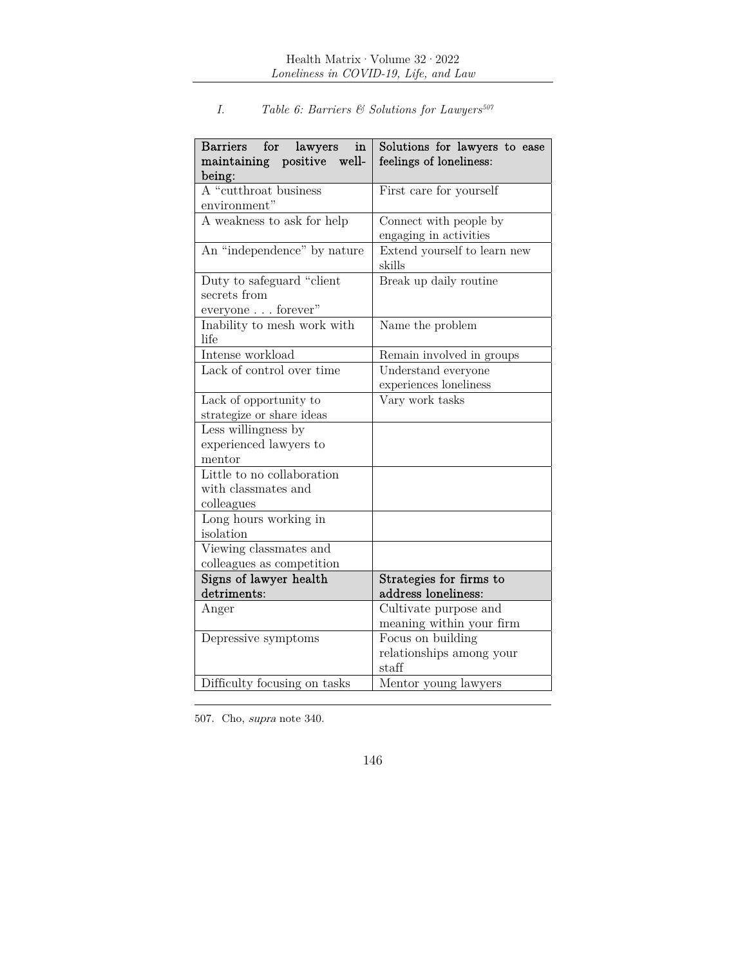| Barriers for lawyers<br>in<br>well-<br>maintaining positive | Solutions for lawyers to ease<br>feelings of loneliness: |
|-------------------------------------------------------------|----------------------------------------------------------|
| being:                                                      |                                                          |
| $\overline{A}$ "cutthroat business                          | First care for yourself                                  |
| environment"                                                |                                                          |
| A weakness to ask for help                                  | Connect with people by                                   |
|                                                             | engaging in activities                                   |
| An "independence" by nature                                 | Extend yourself to learn new<br>skills                   |
| Duty to safeguard "client"<br>secrets from                  | Break up daily routine                                   |
| everyone forever"                                           |                                                          |
| Inability to mesh work with<br>life                         | Name the problem                                         |
| Intense workload                                            | Remain involved in groups                                |
| Lack of control over time                                   | Understand everyone                                      |
|                                                             | experiences loneliness                                   |
| Lack of opportunity to                                      | Vary work tasks                                          |
| strategize or share ideas                                   |                                                          |
| Less willingness by                                         |                                                          |
| experienced lawyers to                                      |                                                          |
| mentor                                                      |                                                          |
| Little to no collaboration                                  |                                                          |
| with classmates and                                         |                                                          |
| colleagues                                                  |                                                          |
| Long hours working in                                       |                                                          |
| isolation                                                   |                                                          |
| Viewing classmates and                                      |                                                          |
| colleagues as competition                                   |                                                          |
| Signs of lawyer health<br>detriments:                       | Strategies for firms to<br>address loneliness:           |
|                                                             |                                                          |
| Anger                                                       | Cultivate purpose and<br>meaning within your firm        |
| Depressive symptoms                                         | Focus on building                                        |
|                                                             | relationships among your                                 |
|                                                             | staff                                                    |
| Difficulty focusing on tasks                                | Mentor young lawyers                                     |

# *I. Table 6: Barriers & Solutions for Lawyers*<sup>507</sup>

507. Cho, supra note 340.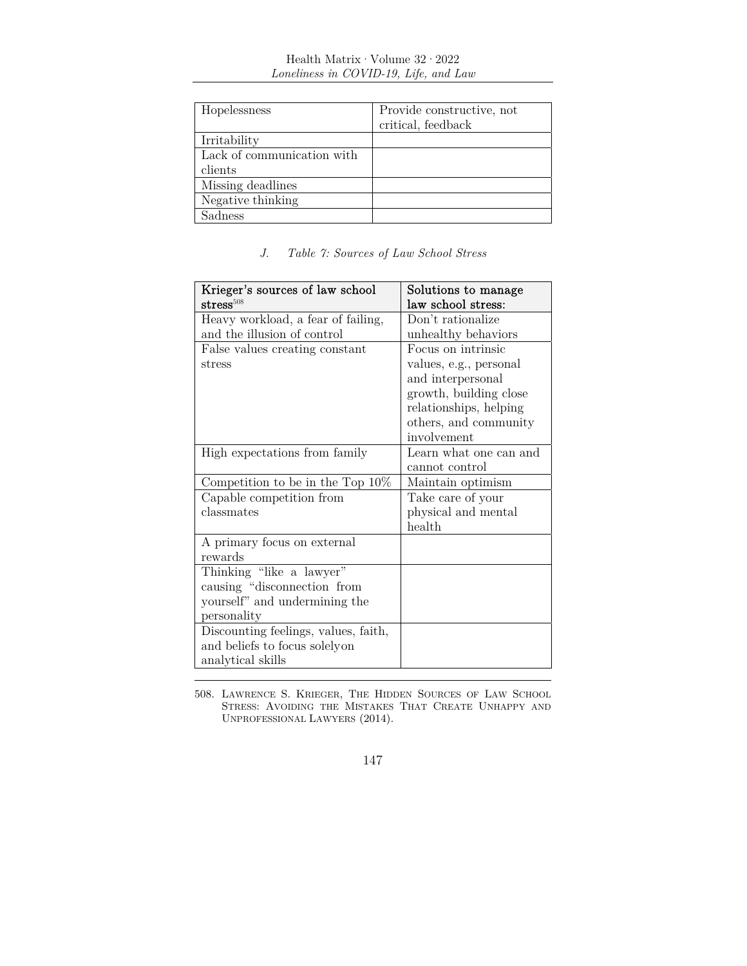| Hopelessness               | Provide constructive, not |
|----------------------------|---------------------------|
|                            | critical, feedback        |
| Irritability               |                           |
| Lack of communication with |                           |
| clients                    |                           |
| Missing deadlines          |                           |
| Negative thinking          |                           |
| Sadness                    |                           |

# *J. Table 7: Sources of Law School Stress*

| Krieger's sources of law school      | Solutions to manage    |
|--------------------------------------|------------------------|
| stress $^{508}$                      | law school stress:     |
| Heavy workload, a fear of failing,   | Don't rationalize      |
| and the illusion of control          | unhealthy behaviors    |
| False values creating constant       | Focus on intrinsic     |
| stress                               | values, e.g., personal |
|                                      | and interpersonal      |
|                                      | growth, building close |
|                                      | relationships, helping |
|                                      | others, and community  |
|                                      | involvement            |
| High expectations from family        | Learn what one can and |
|                                      | cannot control         |
| Competition to be in the Top $10\%$  | Maintain optimism      |
| Capable competition from             | Take care of your      |
| classmates                           | physical and mental    |
|                                      | health                 |
| A primary focus on external          |                        |
| rewards                              |                        |
| Thinking "like a lawyer"             |                        |
| causing "disconnection from          |                        |
| yourself" and undermining the        |                        |
| personality                          |                        |
| Discounting feelings, values, faith, |                        |
| and beliefs to focus solelyon        |                        |
| analytical skills                    |                        |

508. LAWRENCE S. KRIEGER, THE HIDDEN SOURCES OF LAW SCHOOL STRESS: AVOIDING THE MISTAKES THAT CREATE UNHAPPY AND UNPROFESSIONAL LAWYERS (2014).